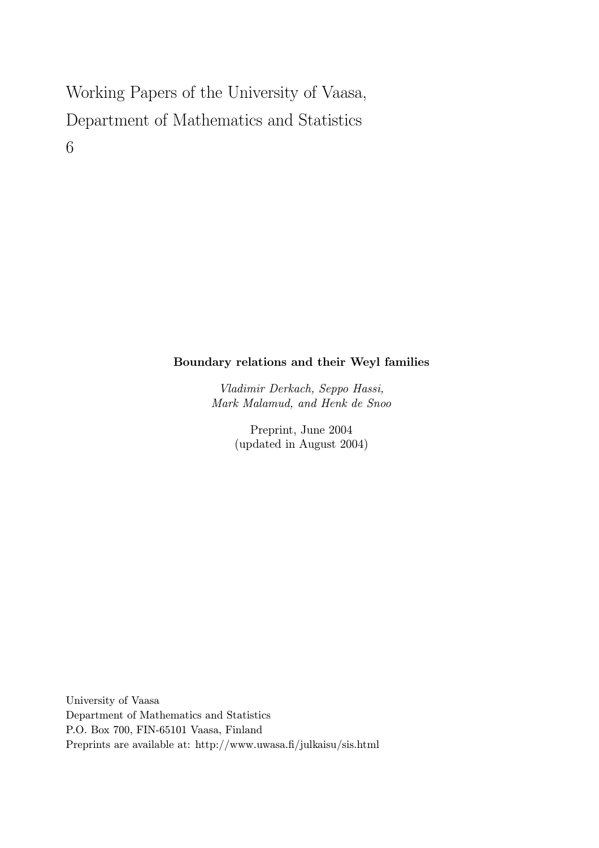# Working Papers of the University of Vaasa, Department of Mathematics and Statistics 6

## Boundary relations and their Weyl families

Vladimir Derkach, Seppo Hassi, Mark Malamud, and Henk de Snoo

> Preprint, June 2004 (updated in August 2004)

University of Vaasa Department of Mathematics and Statistics P.O. Box 700, FIN-65101 Vaasa, Finland Preprints are available at: http://www.uwasa.fi/julkaisu/sis.html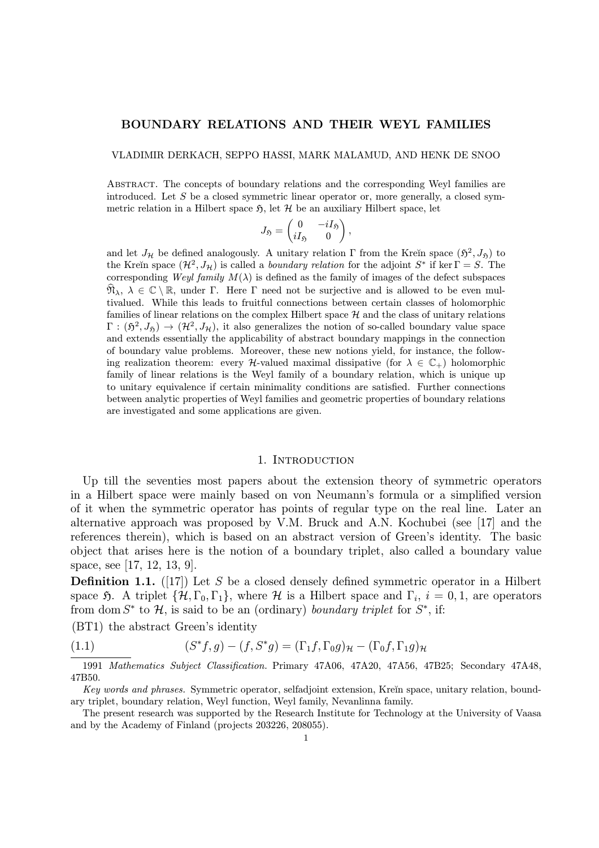#### BOUNDARY RELATIONS AND THEIR WEYL FAMILIES

VLADIMIR DERKACH, SEPPO HASSI, MARK MALAMUD, AND HENK DE SNOO

Abstract. The concepts of boundary relations and the corresponding Weyl families are introduced. Let  $S$  be a closed symmetric linear operator or, more generally, a closed symmetric relation in a Hilbert space  $\mathfrak{H}$ , let  $\mathcal{H}$  be an auxiliary Hilbert space, let

$$
J_{\mathfrak{H}} = \begin{pmatrix} 0 & -iI_{\mathfrak{H}} \\ iI_{\mathfrak{H}} & 0 \end{pmatrix},
$$

and let  $J_{\mathcal{H}}$  be defined analogously. A unitary relation Γ from the Kreĭn space  $(\mathfrak{H}^2, J_{\mathfrak{H}})$  to the Kreĭn space  $(\mathcal{H}^2, J_\mathcal{H})$  is called a *boundary relation* for the adjoint  $S^*$  if ker  $\Gamma = S$ . The corresponding Weyl family  $M(\lambda)$  is defined as the family of images of the defect subspaces  $\mathfrak{N}_{\lambda}, \lambda \in \mathbb{C} \setminus \mathbb{R}$ , under  $\Gamma$ . Here  $\Gamma$  need not be surjective and is allowed to be even multivalued. While this leads to fruitful connections between certain classes of holomorphic families of linear relations on the complex Hilbert space  $\mathcal H$  and the class of unitary relations  $\Gamma : (\mathfrak{H}^2, J_{\mathfrak{H}}) \to (\mathcal{H}^2, J_{\mathcal{H}})$ , it also generalizes the notion of so-called boundary value space and extends essentially the applicability of abstract boundary mappings in the connection of boundary value problems. Moreover, these new notions yield, for instance, the following realization theorem: every  $\mathcal{H}\text{-valued maximal dissipative (for } \lambda \in \mathbb{C}_+$ ) holomorphic family of linear relations is the Weyl family of a boundary relation, which is unique up to unitary equivalence if certain minimality conditions are satisfied. Further connections between analytic properties of Weyl families and geometric properties of boundary relations are investigated and some applications are given.

#### 1. INTRODUCTION

Up till the seventies most papers about the extension theory of symmetric operators in a Hilbert space were mainly based on von Neumann's formula or a simplified version of it when the symmetric operator has points of regular type on the real line. Later an alternative approach was proposed by V.M. Bruck and A.N. Kochubei (see [17] and the references therein), which is based on an abstract version of Green's identity. The basic object that arises here is the notion of a boundary triplet, also called a boundary value space, see [17, 12, 13, 9].

**Definition 1.1.** ([17]) Let S be a closed densely defined symmetric operator in a Hilbert space 5. A triplet  $\{\mathcal{H}, \Gamma_0, \Gamma_1\}$ , where  $\mathcal{H}$  is a Hilbert space and  $\Gamma_i$ ,  $i = 0, 1$ , are operators from dom  $S^*$  to  $\mathcal{H}$ , is said to be an (ordinary) boundary triplet for  $S^*$ , if:

(BT1) the abstract Green's identity

(1.1) 
$$
(S^*f,g)-(f,S^*g)=(\Gamma_1f,\Gamma_0g)_{\mathcal{H}}-(\Gamma_0f,\Gamma_1g)_{\mathcal{H}}
$$

1991 Mathematics Subject Classification. Primary 47A06, 47A20, 47A56, 47B25; Secondary 47A48, 47B50.

The present research was supported by the Research Institute for Technology at the University of Vaasa and by the Academy of Finland (projects 203226, 208055).

Key words and phrases. Symmetric operator, selfadioint extension, Kreĭn space, unitary relation, boundary triplet, boundary relation, Weyl function, Weyl family, Nevanlinna family.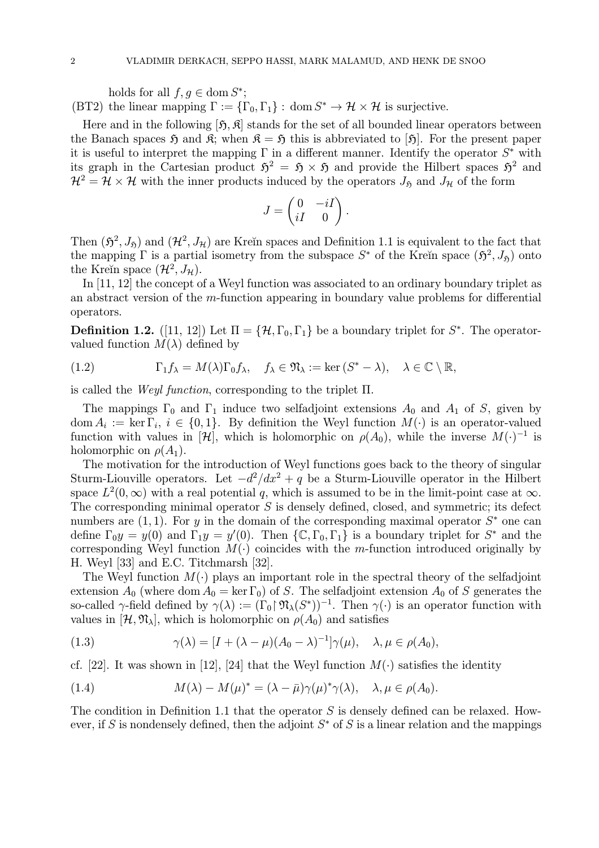holds for all  $f, g \in \text{dom } S^*$ ; (BT2) the linear mapping  $\Gamma := {\{\Gamma_0, \Gamma_1\}}: \text{dom } S^* \to \mathcal{H} \times \mathcal{H}$  is surjective.

Here and in the following  $[\mathfrak{H}, \mathfrak{K}]$  stands for the set of all bounded linear operators between the Banach spaces  $\mathfrak{H}$  and  $\mathfrak{K}$ ; when  $\mathfrak{K} = \mathfrak{H}$  this is abbreviated to [ $\mathfrak{H}$ ]. For the present paper it is useful to interpret the mapping  $\Gamma$  in a different manner. Identify the operator  $S^*$  with its graph in the Cartesian product  $\mathfrak{H}^2 = \mathfrak{H} \times \mathfrak{H}$  and provide the Hilbert spaces  $\mathfrak{H}^2$  and  $\mathcal{H}^2 = \mathcal{H} \times \mathcal{H}$  with the inner products induced by the operators  $J_{\mathfrak{H}}$  and  $J_{\mathcal{H}}$  of the form

$$
J = \begin{pmatrix} 0 & -iI \\ iI & 0 \end{pmatrix}.
$$

Then  $(\mathfrak{H}^2, J_{\mathfrak{H}})$  and  $(\mathcal{H}^2, J_{\mathcal{H}})$  are Kreĭn spaces and Definition 1.1 is equivalent to the fact that the mapping  $\Gamma$  is a partial isometry from the subspace  $S^*$  of the Kreĭn space  $(\mathfrak{H}^2, J_{\mathfrak{H}})$  onto the Kreĭn space  $(\mathcal{H}^2, J_\mathcal{H})$ .

In [11, 12] the concept of a Weyl function was associated to an ordinary boundary triplet as an abstract version of the m-function appearing in boundary value problems for differential operators.

**Definition 1.2.** ([11, 12]) Let  $\Pi = {\mathcal{H}, \Gamma_0, \Gamma_1}$  be a boundary triplet for  $S^*$ . The operatorvalued function  $M(\lambda)$  defined by

(1.2) 
$$
\Gamma_1 f_{\lambda} = M(\lambda) \Gamma_0 f_{\lambda}, \quad f_{\lambda} \in \mathfrak{N}_{\lambda} := \ker (S^* - \lambda), \quad \lambda \in \mathbb{C} \setminus \mathbb{R},
$$

is called the Weyl function, corresponding to the triplet  $\Pi$ .

The mappings  $\Gamma_0$  and  $\Gamma_1$  induce two selfadjoint extensions  $A_0$  and  $A_1$  of S, given by dom  $A_i := \ker \Gamma_i$ ,  $i \in \{0,1\}$ . By definition the Weyl function  $M(\cdot)$  is an operator-valued function with values in [H], which is holomorphic on  $\rho(A_0)$ , while the inverse  $M(\cdot)^{-1}$  is holomorphic on  $\rho(A_1)$ .

The motivation for the introduction of Weyl functions goes back to the theory of singular Sturm-Liouville operators. Let  $-d^2/dx^2 + q$  be a Sturm-Liouville operator in the Hilbert space  $L^2(0,\infty)$  with a real potential q, which is assumed to be in the limit-point case at  $\infty$ . The corresponding minimal operator  $S$  is densely defined, closed, and symmetric; its defect numbers are  $(1, 1)$ . For y in the domain of the corresponding maximal operator  $S^*$  one can define  $\Gamma_0 y = y(0)$  and  $\Gamma_1 y = y'(0)$ . Then  $\{\mathbb{C}, \Gamma_0, \Gamma_1\}$  is a boundary triplet for  $S^*$  and the corresponding Weyl function  $M(\cdot)$  coincides with the m-function introduced originally by H. Weyl [33] and E.C. Titchmarsh [32].

The Weyl function  $M(\cdot)$  plays an important role in the spectral theory of the selfadjoint extension  $A_0$  (where dom  $A_0 = \ker \Gamma_0$ ) of S. The selfadjoint extension  $A_0$  of S generates the so-called  $\gamma$ -field defined by  $\gamma(\lambda) := (\Gamma_0 \upharpoonright \mathfrak{N}_{\lambda}(S^*))^{-1}$ . Then  $\gamma(\cdot)$  is an operator function with values in  $[\mathcal{H}, \mathfrak{N}_{\lambda}]$ , which is holomorphic on  $\rho(A_0)$  and satisfies

(1.3) 
$$
\gamma(\lambda) = [I + (\lambda - \mu)(A_0 - \lambda)^{-1}] \gamma(\mu), \quad \lambda, \mu \in \rho(A_0),
$$

cf. [22]. It was shown in [12], [24] that the Weyl function  $M(\cdot)$  satisfies the identity

(1.4) 
$$
M(\lambda) - M(\mu)^* = (\lambda - \bar{\mu})\gamma(\mu)^*\gamma(\lambda), \quad \lambda, \mu \in \rho(A_0).
$$

The condition in Definition 1.1 that the operator  $S$  is densely defined can be relaxed. However, if S is nondensely defined, then the adjoint  $S^*$  of S is a linear relation and the mappings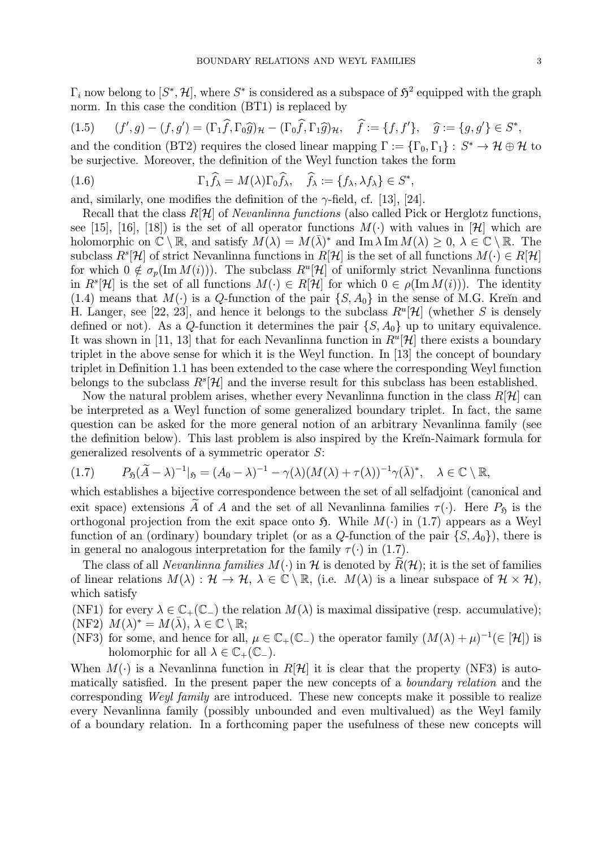$\Gamma_i$  now belong to  $[S^*, \mathcal{H}]$ , where  $S^*$  is considered as a subspace of  $\mathfrak{H}^2$  equipped with the graph norm. In this case the condition (BT1) is replaced by

$$
(1.5) \qquad (f',g)-(f,g')=(\Gamma_1\widehat{f},\Gamma_0\widehat{g})_{\mathcal{H}}-(\Gamma_0\widehat{f},\Gamma_1\widehat{g})_{\mathcal{H}},\quad \widehat{f}:=\{f,f'\},\quad \widehat{g}:=\{g,g'\}\in S^*,
$$

and the condition (BT2) requires the closed linear mapping  $\Gamma := {\{\Gamma_0, \Gamma_1\}} : S^* \to H \oplus H$  to be surjective. Moreover, the definition of the Weyl function takes the form

(1.6) 
$$
\Gamma_1 \widehat{f}_{\lambda} = M(\lambda) \Gamma_0 \widehat{f}_{\lambda}, \quad \widehat{f}_{\lambda} := \{ f_{\lambda}, \lambda f_{\lambda} \} \in S^*,
$$

and, similarly, one modifies the definition of the  $\gamma$ -field, cf. [13], [24].

Recall that the class  $R[\mathcal{H}]$  of *Nevanlinna functions* (also called Pick or Herglotz functions, see [15], [16], [18]) is the set of all operator functions  $M(\cdot)$  with values in [H] which are holomorphic on  $\mathbb{C} \setminus \mathbb{R}$ , and satisfy  $M(\lambda) = M(\overline{\lambda})^*$  and Im  $\lambda \operatorname{Im} M(\lambda) \geq 0$ ,  $\lambda \in \mathbb{C} \setminus \mathbb{R}$ . The subclass  $R^s[\mathcal{H}]$  of strict Nevanlinna functions in  $R[\mathcal{H}]$  is the set of all functions  $M(\cdot) \in R[\mathcal{H}]$ for which  $0 \notin \sigma_p(\text{Im }M(i))$ . The subclass  $R^u[\mathcal{H}]$  of uniformly strict Nevanlinna functions in  $R^s[\mathcal{H}]$  is the set of all functions  $M(\cdot) \in R[\mathcal{H}]$  for which  $0 \in \rho(\text{Im }M(i))$ . The identity (1.4) means that  $M(\cdot)$  is a Q-function of the pair  $\{S, A_0\}$  in the sense of M.G. Kreĭn and H. Langer, see [22, 23], and hence it belongs to the subclass  $R^u[\mathcal{H}]$  (whether S is densely defined or not). As a Q-function it determines the pair  $\{S, A_0\}$  up to unitary equivalence. It was shown in [11, 13] that for each Nevanlinna function in  $R^u[\mathcal{H}]$  there exists a boundary triplet in the above sense for which it is the Weyl function. In [13] the concept of boundary triplet in Definition 1.1 has been extended to the case where the corresponding Weyl function belongs to the subclass  $R^{s}[\mathcal{H}]$  and the inverse result for this subclass has been established.

Now the natural problem arises, whether every Nevanlinna function in the class  $R[\mathcal{H}]$  can be interpreted as a Weyl function of some generalized boundary triplet. In fact, the same question can be asked for the more general notion of an arbitrary Nevanlinna family (see the definition below). This last problem is also inspired by the Krein-Naimark formula for generalized resolvents of a symmetric operator S:

$$
(1.7) \tP_{\mathfrak{H}}(\widetilde{A}-\lambda)^{-1}|_{\mathfrak{H}}=(A_0-\lambda)^{-1}-\gamma(\lambda)(M(\lambda)+\tau(\lambda))^{-1}\gamma(\overline{\lambda})^*, \quad \lambda\in\mathbb{C}\setminus\mathbb{R},
$$

which establishes a bijective correspondence between the set of all selfadjoint (canonical and exit space) extensions  $\widetilde{A}$  of A and the set of all Nevanlinna families  $\tau(\cdot)$ . Here  $P_{\mathfrak{H}}$  is the orthogonal projection from the exit space onto  $\mathfrak{H}$ . While  $M(\cdot)$  in (1.7) appears as a Weyl function of an (ordinary) boundary triplet (or as a Q-function of the pair  $\{S, A_0\}$ ), there is in general no analogous interpretation for the family  $\tau(\cdot)$  in (1.7).

The class of all *Nevanlinna families*  $M(\cdot)$  in H is denoted by  $R(\mathcal{H})$ ; it is the set of families of linear relations  $M(\lambda) : \mathcal{H} \to \mathcal{H}, \lambda \in \mathbb{C} \setminus \mathbb{R}$ , (i.e.  $M(\lambda)$  is a linear subspace of  $\mathcal{H} \times \mathcal{H}$ ), which satisfy

(NF1) for every  $\lambda \in \mathbb{C}_+(\mathbb{C}_-)$  the relation  $M(\lambda)$  is maximal dissipative (resp. accumulative); (NF2)  $M(\lambda)^* = M(\lambda), \lambda \in \mathbb{C} \setminus \mathbb{R};$ 

(NF3) for some, and hence for all,  $\mu \in \mathbb{C}_+(\mathbb{C}_-)$  the operator family  $(M(\lambda)+\mu)^{-1}(\in[\mathcal{H}])$  is holomorphic for all  $\lambda \in \mathbb{C}_+(\mathbb{C}_-)$ .

When  $M(\cdot)$  is a Nevanlinna function in  $R[\mathcal{H}]$  it is clear that the property (NF3) is automatically satisfied. In the present paper the new concepts of a boundary relation and the corresponding Weyl family are introduced. These new concepts make it possible to realize every Nevanlinna family (possibly unbounded and even multivalued) as the Weyl family of a boundary relation. In a forthcoming paper the usefulness of these new concepts will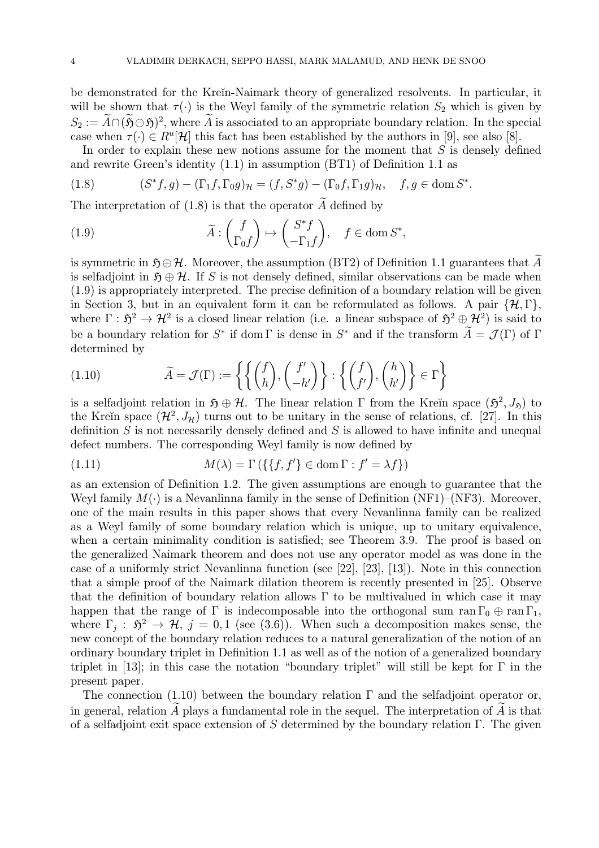be demonstrated for the Kreĭn-Naimark theory of generalized resolvents. In particular, it will be shown that  $\tau(\cdot)$  is the Weyl family of the symmetric relation  $S_2$  which is given by  $S_2 := \widetilde{A} \cap (\widetilde{S} \ominus \widetilde{S})^2$ , where  $\widetilde{A}$  is associated to an appropriate boundary relation. In the special case when  $\tau(\cdot) \in R^u[\mathcal{H}]$  this fact has been established by the authors in [9], see also [8].

In order to explain these new notions assume for the moment that  $S$  is densely defined and rewrite Green's identity (1.1) in assumption (BT1) of Definition 1.1 as

(1.8) 
$$
(S^*f,g) - (\Gamma_1f,\Gamma_0g)_{\mathcal{H}} = (f,S^*g) - (\Gamma_0f,\Gamma_1g)_{\mathcal{H}}, \quad f,g \in \text{dom } S^*.
$$

The interpretation of (1.8) is that the operator  $\widetilde{A}$  defined by

(1.9) 
$$
\widetilde{A} : \begin{pmatrix} f \\ \Gamma_0 f \end{pmatrix} \mapsto \begin{pmatrix} S^* f \\ -\Gamma_1 f \end{pmatrix}, \quad f \in \text{dom } S^*,
$$

is symmetric in  $\mathfrak{H} \oplus \mathcal{H}$ . Moreover, the assumption (BT2) of Definition 1.1 guarantees that  $\widetilde{A}$ is selfadjoint in  $\mathfrak{H} \oplus \mathcal{H}$ . If S is not densely defined, similar observations can be made when (1.9) is appropriately interpreted. The precise definition of a boundary relation will be given in Section 3, but in an equivalent form it can be reformulated as follows. A pair  $\{\mathcal{H}, \Gamma\}$ , where  $\Gamma : \mathfrak{H}^2 \to \mathcal{H}^2$  is a closed linear relation (i.e. a linear subspace of  $\mathfrak{H}^2 \oplus \mathcal{H}^2$ ) is said to be a boundary relation for  $S^*$  if dom Γ is dense in  $S^*$  and if the transform  $\widetilde{A} = \mathcal{J}(\Gamma)$  of Γ determined by

(1.10) 
$$
\widetilde{A} = \mathcal{J}(\Gamma) := \left\{ \left\{ \binom{f}{h}, \binom{f'}{h'} \right\} : \left\{ \binom{f}{f'}, \binom{h}{h'} \right\} \in \Gamma \right\}
$$

is a selfadjoint relation in  $\mathfrak{H} \oplus \mathcal{H}$ . The linear relation Γ from the Kreĭn space  $(\mathfrak{H}^2, J_{\mathfrak{h}})$  to the Kreĭn space  $(\mathcal{H}^2, J_\mathcal{H})$  turns out to be unitary in the sense of relations, cf. [27]. In this definition  $S$  is not necessarily densely defined and  $S$  is allowed to have infinite and unequal defect numbers. The corresponding Weyl family is now defined by

(1.11) 
$$
M(\lambda) = \Gamma\left(\{\{f, f'\} \in \text{dom}\,\Gamma : f' = \lambda f\}\right)
$$

as an extension of Definition 1.2. The given assumptions are enough to guarantee that the Weyl family  $M(\cdot)$  is a Nevanlinna family in the sense of Definition (NF1)–(NF3). Moreover, one of the main results in this paper shows that every Nevanlinna family can be realized as a Weyl family of some boundary relation which is unique, up to unitary equivalence, when a certain minimality condition is satisfied; see Theorem 3.9. The proof is based on the generalized Naimark theorem and does not use any operator model as was done in the case of a uniformly strict Nevanlinna function (see [22], [23], [13]). Note in this connection that a simple proof of the Naimark dilation theorem is recently presented in [25]. Observe that the definition of boundary relation allows  $\Gamma$  to be multivalued in which case it may happen that the range of  $\Gamma$  is indecomposable into the orthogonal sum ran  $\Gamma_0 \oplus \text{ran } \Gamma_1$ , where  $\Gamma_i : \mathfrak{H}^2 \to \mathcal{H}, j = 0, 1$  (see (3.6)). When such a decomposition makes sense, the new concept of the boundary relation reduces to a natural generalization of the notion of an ordinary boundary triplet in Definition 1.1 as well as of the notion of a generalized boundary triplet in [13]; in this case the notation "boundary triplet" will still be kept for  $\Gamma$  in the present paper.

The connection (1.10) between the boundary relation  $\Gamma$  and the selfadjoint operator or, in general, relation  $\widetilde{A}$  plays a fundamental role in the sequel. The interpretation of  $\widetilde{A}$  is that of a selfadjoint exit space extension of S determined by the boundary relation  $\Gamma$ . The given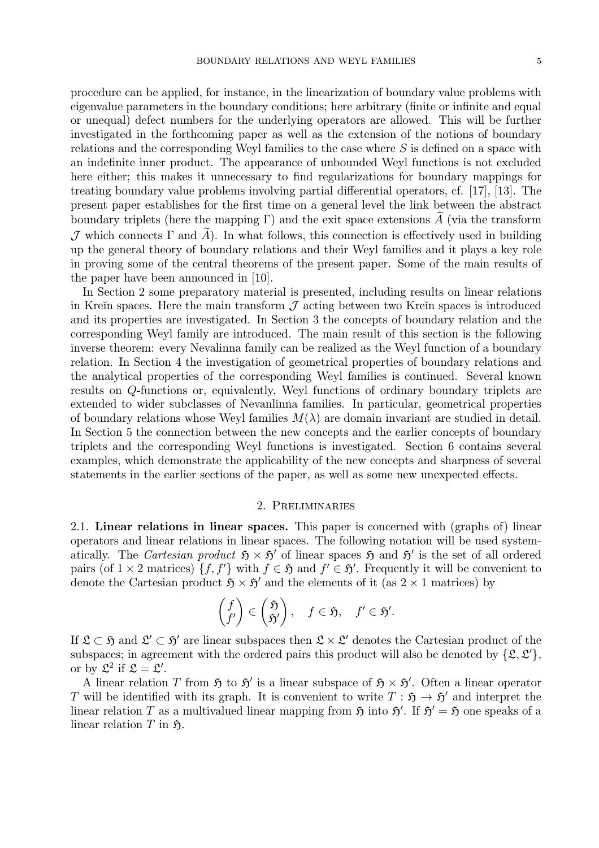procedure can be applied, for instance, in the linearization of boundary value problems with eigenvalue parameters in the boundary conditions; here arbitrary (finite or infinite and equal or unequal) defect numbers for the underlying operators are allowed. This will be further investigated in the forthcoming paper as well as the extension of the notions of boundary relations and the corresponding Weyl families to the case where S is defined on a space with an indefinite inner product. The appearance of unbounded Weyl functions is not excluded here either; this makes it unnecessary to find regularizations for boundary mappings for treating boundary value problems involving partial differential operators, cf. [17], [13]. The present paper establishes for the first time on a general level the link between the abstract boundary triplets (here the mapping Γ) and the exit space extensions  $\tilde{A}$  (via the transform J which connects Γ and  $\widetilde{A}$ ). In what follows, this connection is effectively used in building up the general theory of boundary relations and their Weyl families and it plays a key role in proving some of the central theorems of the present paper. Some of the main results of the paper have been announced in [10].

In Section 2 some preparatory material is presented, including results on linear relations in Kreĭn spaces. Here the main transform  $\mathcal J$  acting between two Kreĭn spaces is introduced and its properties are investigated. In Section 3 the concepts of boundary relation and the corresponding Weyl family are introduced. The main result of this section is the following inverse theorem: every Nevalinna family can be realized as the Weyl function of a boundary relation. In Section 4 the investigation of geometrical properties of boundary relations and the analytical properties of the corresponding Weyl families is continued. Several known results on Q-functions or, equivalently, Weyl functions of ordinary boundary triplets are extended to wider subclasses of Nevanlinna families. In particular, geometrical properties of boundary relations whose Weyl families  $M(\lambda)$  are domain invariant are studied in detail. In Section 5 the connection between the new concepts and the earlier concepts of boundary triplets and the corresponding Weyl functions is investigated. Section 6 contains several examples, which demonstrate the applicability of the new concepts and sharpness of several statements in the earlier sections of the paper, as well as some new unexpected effects.

#### 2. Preliminaries

2.1. Linear relations in linear spaces. This paper is concerned with (graphs of) linear operators and linear relations in linear spaces. The following notation will be used systematically. The Cartesian product  $\mathfrak{H} \times \mathfrak{H}'$  of linear spaces  $\mathfrak{H}$  and  $\mathfrak{H}'$  is the set of all ordered pairs (of  $1 \times 2$  matrices)  $\{f, f'\}$  with  $f \in \mathfrak{H}$  and  $f' \in \mathfrak{H}'$ . Frequently it will be convenient to denote the Cartesian product  $\mathfrak{H} \times \mathfrak{H}'$  and the elements of it (as  $2 \times 1$  matrices) by

$$
\begin{pmatrix} f \\ f' \end{pmatrix} \in \begin{pmatrix} \mathfrak{H} \\ \mathfrak{H}' \end{pmatrix}, \quad f \in \mathfrak{H}, \quad f' \in \mathfrak{H}'.
$$

If  $\mathfrak{L} \subset \mathfrak{H}$  and  $\mathfrak{L}' \subset \mathfrak{H}'$  are linear subspaces then  $\mathfrak{L} \times \mathfrak{L}'$  denotes the Cartesian product of the subspaces; in agreement with the ordered pairs this product will also be denoted by  $\{\mathfrak{L}, \mathfrak{L}'\},$ or by  $\mathfrak{L}^2$  if  $\mathfrak{L} = \mathfrak{L}'$ .

A linear relation T from  $\mathfrak{H}$  to  $\mathfrak{H}'$  is a linear subspace of  $\mathfrak{H} \times \mathfrak{H}'$ . Often a linear operator T will be identified with its graph. It is convenient to write  $T : \mathfrak{H} \to \mathfrak{H}'$  and interpret the linear relation T as a multivalued linear mapping from  $\mathfrak{H}$  into  $\mathfrak{H}'$ . If  $\mathfrak{H}' = \mathfrak{H}$  one speaks of a linear relation  $T$  in  $\mathfrak{H}$ .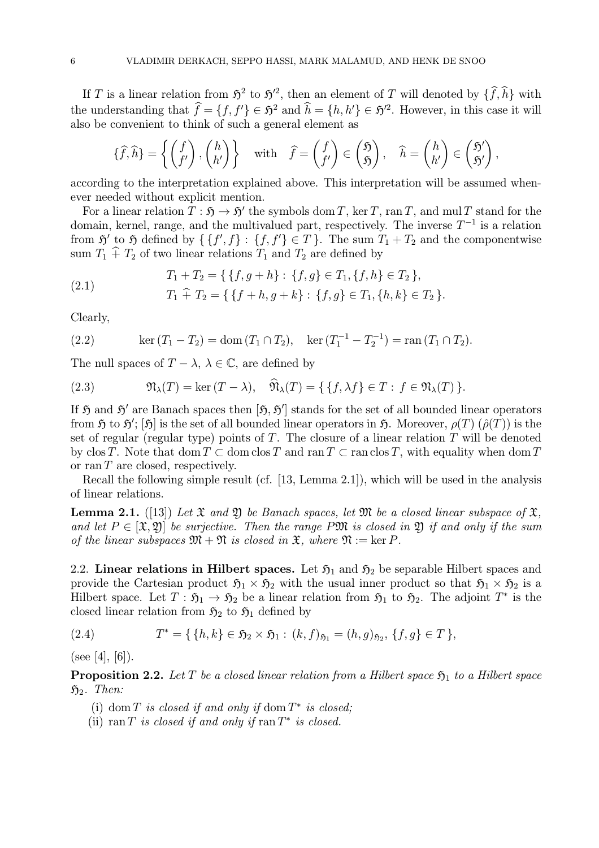If T is a linear relation from  $5^2$  to  $5^2$ , then an element of T will denoted by  $\{\hat{f}, \hat{h}\}$  with the understanding that  $\hat{f} = \{f, f'\} \in \mathfrak{H}^2$  and  $\hat{h} = \{h, h'\} \in \mathfrak{H}^2$ . However, in this case it will also be convenient to think of such a general element as

$$
\{\widehat{f},\widehat{h}\} = \left\{ \begin{pmatrix} f \\ f' \end{pmatrix}, \begin{pmatrix} h \\ h' \end{pmatrix} \right\} \quad \text{with} \quad \widehat{f} = \begin{pmatrix} f \\ f' \end{pmatrix} \in \begin{pmatrix} \mathfrak{H} \\ \mathfrak{H} \end{pmatrix}, \quad \widehat{h} = \begin{pmatrix} h \\ h' \end{pmatrix} \in \begin{pmatrix} \mathfrak{H}' \\ \mathfrak{H}' \end{pmatrix},
$$

according to the interpretation explained above. This interpretation will be assumed whenever needed without explicit mention.

For a linear relation  $T : \mathfrak{H} \to \mathfrak{H}'$  the symbols dom T, ker T, ran T, and mul T stand for the domain, kernel, range, and the multivalued part, respectively. The inverse  $T^{-1}$  is a relation from  $\mathfrak{H}'$  to  $\mathfrak{H}$  defined by  $\{ \{f', f\} : \{f, f'\} \in T \}$ . The sum  $T_1 + T_2$  and the componentwise sum  $T_1 \hat{+} T_2$  of two linear relations  $T_1$  and  $T_2$  are defined by

$$
T_1 + T_2 = \{ \{ f, g + h \} : \{ f, g \} \in T_1, \{ f, h \} \in T_2 \},
$$

(2.1) 
$$
T_1 \hat{+} T_2 = \{ \{f+h,g+k\} : \{f,g\} \in T_1, \{h,k\} \in T_2 \}.
$$

Clearly,

(2.2) 
$$
\ker (T_1 - T_2) = \text{dom} (T_1 \cap T_2), \quad \ker (T_1^{-1} - T_2^{-1}) = \text{ran} (T_1 \cap T_2).
$$

The null spaces of  $T - \lambda$ ,  $\lambda \in \mathbb{C}$ , are defined by

(2.3) 
$$
\mathfrak{N}_{\lambda}(T) = \ker (T - \lambda), \quad \mathfrak{N}_{\lambda}(T) = \{ \{ f, \lambda f \} \in T : f \in \mathfrak{N}_{\lambda}(T) \}.
$$

If  $\mathfrak H$  and  $\mathfrak H'$  are Banach spaces then  $[\mathfrak H, \mathfrak H']$  stands for the set of all bounded linear operators from  $\frak H$  to  $\frak H';$   $[\frak H]$  is the set of all bounded linear operators in  $\frak H.$  Moreover,  $\rho(T)$   $(\hat\rho(T))$  is the set of regular (regular type) points of T. The closure of a linear relation  $T$  will be denoted by clos T. Note that dom  $T \subset \text{dom} \, \text{clos } T$  and  $\text{ran } T \subset \text{ran} \, \text{clos } T$ , with equality when dom T or ran  $T$  are closed, respectively.

Recall the following simple result (cf. [13, Lemma 2.1]), which will be used in the analysis of linear relations.

**Lemma 2.1.** ([13]) Let  $\mathfrak X$  and  $\mathfrak Y$  be Banach spaces, let  $\mathfrak M$  be a closed linear subspace of  $\mathfrak X$ , and let  $P \in [\mathfrak{X}, \mathfrak{Y}]$  be surjective. Then the range PM is closed in  $\mathfrak{Y}$  if and only if the sum of the linear subspaces  $\mathfrak{M} + \mathfrak{N}$  is closed in  $\mathfrak{X}$ , where  $\mathfrak{N} := \ker P$ .

2.2. Linear relations in Hilbert spaces. Let  $\mathfrak{H}_1$  and  $\mathfrak{H}_2$  be separable Hilbert spaces and provide the Cartesian product  $\mathfrak{H}_1 \times \mathfrak{H}_2$  with the usual inner product so that  $\mathfrak{H}_1 \times \mathfrak{H}_2$  is a Hilbert space. Let  $T : \mathfrak{H}_1 \to \mathfrak{H}_2$  be a linear relation from  $\mathfrak{H}_1$  to  $\mathfrak{H}_2$ . The adjoint  $T^*$  is the closed linear relation from  $\mathfrak{H}_2$  to  $\mathfrak{H}_1$  defined by

(2.4) 
$$
T^* = \{ \{h, k\} \in \mathfrak{H}_2 \times \mathfrak{H}_1 : (k, f)_{\mathfrak{H}_1} = (h, g)_{\mathfrak{H}_2}, \{f, g\} \in T \},
$$

(see [4], [6]).

**Proposition 2.2.** Let T be a closed linear relation from a Hilbert space  $\mathfrak{H}_1$  to a Hilbert space  $\mathfrak{H}_2$ . Then:

- (i) dom T is closed if and only if dom  $T^*$  is closed;
- (ii) ran T is closed if and only if ran  $T^*$  is closed.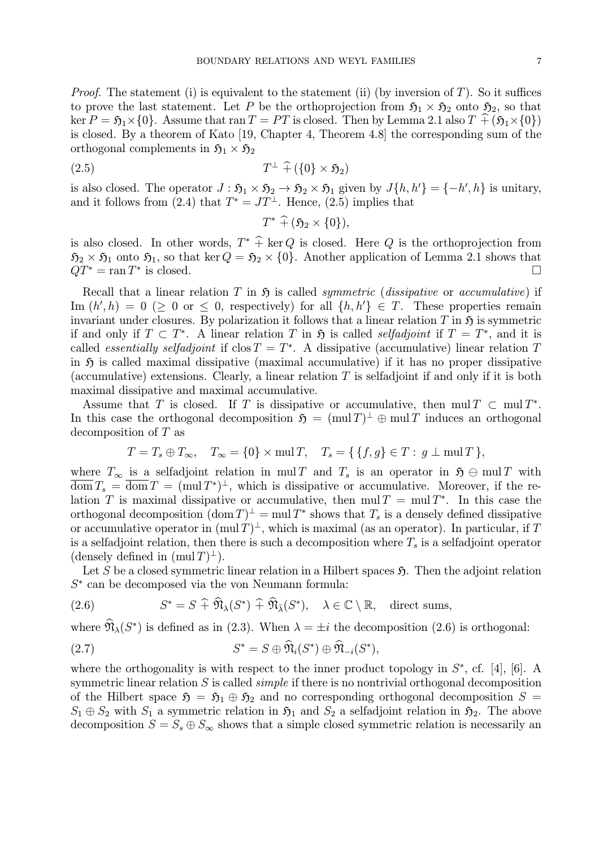*Proof.* The statement (i) is equivalent to the statement (ii) (by inversion of  $T$ ). So it suffices to prove the last statement. Let P be the orthoprojection from  $5<sub>1</sub> \times 5<sub>2</sub>$  onto  $5<sub>2</sub>$ , so that ker  $P = \mathfrak{H}_1 \times \{0\}$ . Assume that ran  $T = PT$  is closed. Then by Lemma 2.1 also  $T \hat{+} (\mathfrak{H}_1 \times \{0\})$ is closed. By a theorem of Kato [19, Chapter 4, Theorem 4.8] the corresponding sum of the orthogonal complements in  $5<sub>1</sub> \times 5<sub>2</sub>$ 

$$
(2.5) \t\t T^{\perp} \hat{+} (\{0\} \times \mathfrak{H}_2)
$$

is also closed. The operator  $J : \mathfrak{H}_1 \times \mathfrak{H}_2 \to \mathfrak{H}_2 \times \mathfrak{H}_1$  given by  $J\{h, h'\} = \{-h', h\}$  is unitary, and it follows from (2.4) that  $T^* = JT^{\perp}$ . Hence, (2.5) implies that

$$
T^*\widehat{+} (\mathfrak{H}_2\times\{0\}),
$$

is also closed. In other words,  $T^* \hat{+} \ker Q$  is closed. Here Q is the orthoprojection from  $\mathfrak{H}_2 \times \mathfrak{H}_1$  onto  $\mathfrak{H}_1$ , so that ker  $Q = \mathfrak{H}_2 \times \{0\}$ . Another application of Lemma 2.1 shows that  $QT^* = \text{ran } T^*$  is closed.  $Q T^{\ast}$  =  $\operatorname{ran} T^{\ast}$  is closed.

Recall that a linear relation T in  $\mathfrak H$  is called *symmetric* (*dissipative* or *accumulative*) if Im  $(h', h) = 0 \geq 0$  or  $\leq 0$ , respectively) for all  $\{h, h'\} \in T$ . These properties remain invariant under closures. By polarization it follows that a linear relation T in  $\mathfrak{H}$  is symmetric if and only if  $T \subset T^*$ . A linear relation T in  $\mathfrak H$  is called selfadjoint if  $T = T^*$ , and it is called *essentially selfadjoint* if  $\text{clos } T = T^*$ . A dissipative (accumulative) linear relation T in  $\mathfrak H$  is called maximal dissipative (maximal accumulative) if it has no proper dissipative (accumulative) extensions. Clearly, a linear relation  $T$  is selfadjoint if and only if it is both maximal dissipative and maximal accumulative.

Assume that T is closed. If T is dissipative or accumulative, then mul  $T \subset \text{mul } T^*$ . In this case the orthogonal decomposition  $\mathfrak{H} = (\text{mul }T)^{\perp} \oplus \text{mul }T$  induces an orthogonal decomposition of T as

$$
T = T_s \oplus T_{\infty}, \quad T_{\infty} = \{0\} \times \text{mul } T, \quad T_s = \{ \{f, g\} \in T : g \perp \text{mul } T \},
$$

where  $T_{\infty}$  is a selfadjoint relation in mul T and  $T_s$  is an operator in  $\mathfrak{H} \oplus \text{mul } T$  with  $\overline{\text{dom}} T_s = \overline{\text{dom}} T = (\text{mul } T^*)^{\perp}$ , which is dissipative or accumulative. Moreover, if the relation T is maximal dissipative or accumulative, then mul  $T = \text{mul } T^*$ . In this case the orthogonal decomposition  $(\text{dom } T)^{\perp} = \text{mul } T^*$  shows that  $T_s$  is a densely defined dissipative or accumulative operator in  $(\text{mul }T)^{\perp}$ , which is maximal (as an operator). In particular, if T is a selfadjoint relation, then there is such a decomposition where  $T_s$  is a selfadjoint operator (densely defined in  $(\text{mul }T)^{\perp}$ ).

Let S be a closed symmetric linear relation in a Hilbert spaces  $\mathfrak{H}$ . Then the adjoint relation  $S^*$  can be decomposed via the von Neumann formula:

(2.6) 
$$
S^* = S \widehat{+} \widehat{\mathfrak{N}}_{\lambda}(S^*) \widehat{+} \widehat{\mathfrak{N}}_{\overline{\lambda}}(S^*), \quad \lambda \in \mathbb{C} \setminus \mathbb{R}, \quad \text{direct sums},
$$

where  $\widehat{\mathfrak{N}}_{\lambda}(S^*)$  is defined as in (2.3). When  $\lambda = \pm i$  the decomposition (2.6) is orthogonal:

(2.7) 
$$
S^* = S \oplus \widehat{\mathfrak{N}}_i(S^*) \oplus \widehat{\mathfrak{N}}_{-i}(S^*),
$$

where the orthogonality is with respect to the inner product topology in  $S^*$ , cf. [4], [6]. A symmetric linear relation  $S$  is called *simple* if there is no nontrivial orthogonal decomposition of the Hilbert space  $\mathfrak{H} = \mathfrak{H}_1 \oplus \mathfrak{H}_2$  and no corresponding orthogonal decomposition  $S =$  $S_1 \oplus S_2$  with  $S_1$  a symmetric relation in  $\mathfrak{H}_1$  and  $S_2$  a selfadjoint relation in  $\mathfrak{H}_2$ . The above decomposition  $S = S_s \oplus S_{\infty}$  shows that a simple closed symmetric relation is necessarily an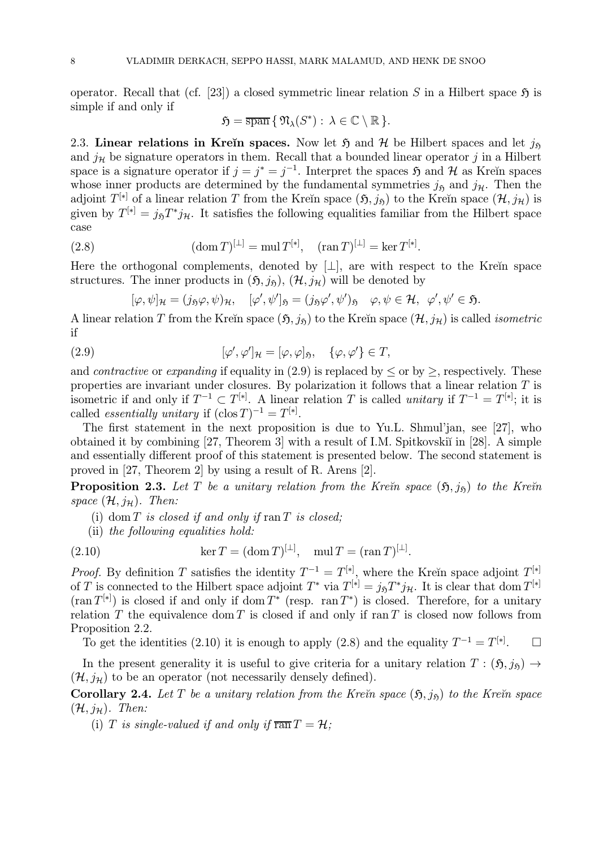operator. Recall that (cf. [23]) a closed symmetric linear relation S in a Hilbert space  $\mathfrak H$  is simple if and only if

$$
\mathfrak{H}=\overline{\operatorname{span}}\,\{\,\mathfrak{N}_{\lambda}(S^*):\,\lambda\in\mathbb{C}\setminus\mathbb{R}\,\}.
$$

2.3. Linear relations in Kreĭn spaces. Now let  $\mathfrak{H}$  and  $\mathcal{H}$  be Hilbert spaces and let  $j_{\mathfrak{H}}$ and  $j<sub>H</sub>$  be signature operators in them. Recall that a bounded linear operator j in a Hilbert space is a signature operator if  $j = j^* = j^{-1}$ . Interpret the spaces  $\mathfrak{H}$  and  $\mathcal{H}$  as Kreĭn spaces whose inner products are determined by the fundamental symmetries  $j_{\tilde{p}}$  and  $j_{\tilde{H}}$ . Then the adjoint  $T^{[*]}$  of a linear relation T from the Kreĭn space  $(5, j_5)$  to the Kreĭn space  $(\mathcal{H}, j_\mathcal{H})$  is given by  $T^{[*]} = j_{\mathfrak{H}}T^*j_{\mathcal{H}}$ . It satisfies the following equalities familiar from the Hilbert space case

(2.8) 
$$
(\text{dom } T)^{[\perp]} = \text{mul } T^{[*]}, \quad (\text{ran } T)^{[\perp]} = \text{ker } T^{[*]}.
$$

Here the orthogonal complements, denoted by  $[\perp]$ , are with respect to the Kreĭn space structures. The inner products in  $(\mathfrak{H}, j_{\mathfrak{H}}), (\mathcal{H}, j_{\mathcal{H}})$  will be denoted by

$$
[\varphi,\psi]_{\mathcal{H}}=(j_{\mathfrak{H}}\varphi,\psi)_{\mathcal{H}},\quad [\varphi',\psi']_{\mathfrak{H}}=(j_{\mathfrak{H}}\varphi',\psi')_{\mathfrak{H}}\quad \varphi,\psi\in\mathcal{H},\ \varphi',\psi'\in\mathfrak{H}.
$$

A linear relation T from the Kreĭn space  $(\mathfrak{H}, j_{\mathfrak{H}})$  to the Kreĭn space  $(\mathcal{H}, j_{\mathcal{H}})$  is called *isometric* if

(2.9) 
$$
[\varphi', \varphi']_{\mathcal{H}} = [\varphi, \varphi]_{\mathfrak{H}}, \quad {\varphi, \varphi'} \in T,
$$

and *contractive* or *expanding* if equality in (2.9) is replaced by  $\leq$  or by  $\geq$ , respectively. These properties are invariant under closures. By polarization it follows that a linear relation  $T$  is isometric if and only if  $T^{-1} \subset T^{[*]}$ . A linear relation T is called unitary if  $T^{-1} = T^{[*]}$ ; it is called *essentially unitary* if  $(\text{clos } T)^{-1} = T^{[*]}.$ 

The first statement in the next proposition is due to Yu.L. Shmul'jan, see [27], who obtained it by combining  $[27,$  Theorem 3 with a result of I.M. Spitkovskiı̆ in  $[28]$ . A simple and essentially different proof of this statement is presented below. The second statement is proved in [27, Theorem 2] by using a result of R. Arens [2].

**Proposition 2.3.** Let T be a unitary relation from the Kre $\check{n}$  space  $(\mathfrak{H},j_{\mathfrak{H}})$  to the Kre $\check{n}$ space  $(\mathcal{H}, j_{\mathcal{H}})$ . Then:

- (i) dom  $T$  is closed if and only if ran  $T$  is closed;
- (ii) the following equalities hold:

(2.10) 
$$
\ker T = (\operatorname{dom} T)^{[\perp]}, \quad \operatorname{mul} T = (\operatorname{ran} T)^{[\perp]}.
$$

*Proof.* By definition T satisfies the identity  $T^{-1} = T^{[*]}$ , where the Kreĭn space adjoint  $T^{[*]}$ of T is connected to the Hilbert space adjoint  $T^*$  via  $T^{[*]} = j_{\mathfrak{H}} T^* j_{\mathcal{H}}$ . It is clear that dom  $T^{[*]}$  $(\text{ran }T^{[*]})$  is closed if and only if dom  $T^*$  (resp. ran  $T^*$ ) is closed. Therefore, for a unitary relation  $T$  the equivalence dom  $T$  is closed if and only if ran  $T$  is closed now follows from Proposition 2.2.

To get the identities (2.10) it is enough to apply (2.8) and the equality  $T^{-1} = T^{[*]}$ .  $\Box$ 

In the present generality it is useful to give criteria for a unitary relation  $T : (\mathfrak{H}, j_{\mathfrak{H}}) \rightarrow$  $(\mathcal{H}, i_{\mathcal{H}})$  to be an operator (not necessarily densely defined).

**Corollary 2.4.** Let T be a unitary relation from the Kreïn space  $(\mathfrak{H}, j_{\mathfrak{H}})$  to the Kreïn space  $(\mathcal{H}, j_{\mathcal{H}})$ . Then:

(i) T is single-valued if and only if  $\overline{ran} T = H$ ;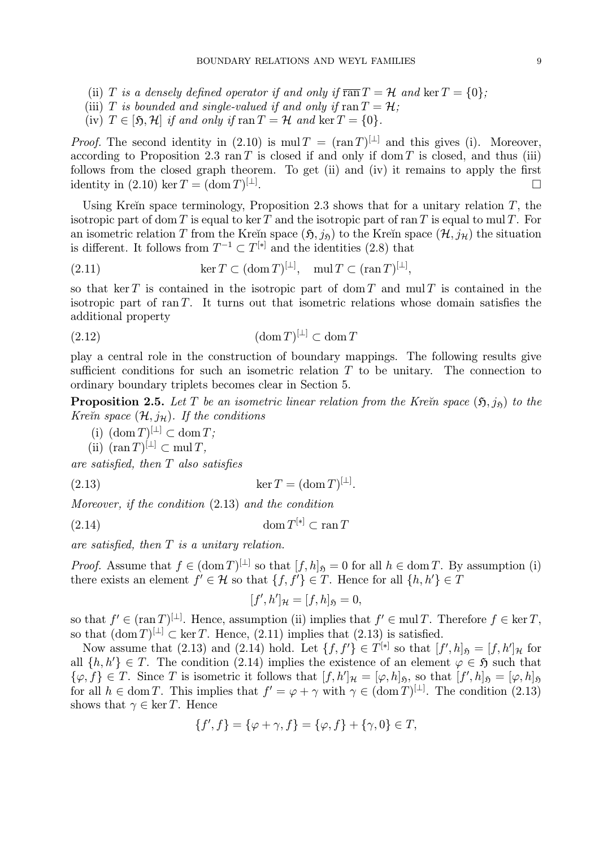- (ii) T is a densely defined operator if and only if  $\overline{ran} T = \mathcal{H}$  and  $\ker T = \{0\};$
- (iii) T is bounded and single-valued if and only if  $\text{ran } T = \mathcal{H}$ ;
- (iv)  $T \in [5, \mathcal{H}]$  if and only if  $\text{ran } T = \mathcal{H}$  and  $\text{ker } T = \{0\}.$

*Proof.* The second identity in (2.10) is mul  $T = (\text{ran } T)^{[\perp]}$  and this gives (i). Moreover, according to Proposition 2.3 ran T is closed if and only if dom T is closed, and thus (iii) follows from the closed graph theorem. To get (ii) and (iv) it remains to apply the first identity in  $(2.10)$  ker  $T = (\text{dom } T)^{[\perp]}$ . . The contract of the contract of the contract of  $\Box$ 

Using Kreĭn space terminology, Proposition 2.3 shows that for a unitary relation  $T$ , the isotropic part of dom T is equal to ker T and the isotropic part of ran T is equal to mul T. For an isometric relation T from the Kreĭn space  $(\mathfrak{H}, j_{\mathfrak{H}})$  to the Kreĭn space  $(\mathcal{H}, j_{\mathcal{H}})$  the situation is different. It follows from  $T^{-1} \subset T^{[*]}$  and the identities (2.8) that

(2.11) 
$$
\ker T \subset (\operatorname{dom} T)^{[\perp]}, \quad \operatorname{mul} T \subset (\operatorname{ran} T)^{[\perp]},
$$

so that ker T is contained in the isotropic part of dom T and mul T is contained in the isotropic part of ran  $T$ . It turns out that isometric relations whose domain satisfies the additional property

(2.12) (dom T) [⊥] <sup>⊂</sup> dom <sup>T</sup>

play a central role in the construction of boundary mappings. The following results give sufficient conditions for such an isometric relation  $T$  to be unitary. The connection to ordinary boundary triplets becomes clear in Section 5.

**Proposition 2.5.** Let T be an isometric linear relation from the Kre $\tilde{m}$  space  $(\mathfrak{H},j_{\tilde{p}})$  to the Kre $\check{\mathit{n}}$  space  $(\mathcal{H}, j_{\mathcal{H}})$ . If the conditions

- (i)  $(\text{dom } T)^{[\perp]} \subset \text{dom } T;$
- (ii)  $(\operatorname{ran} T)^{[\perp]} \subset \operatorname{mul} T$ .

are satisfied, then T also satisfies

(2.13)  $\ker T = (\text{dom } T)^{[\perp]}$ .

Moreover, if the condition (2.13) and the condition

$$
(2.14) \t\t\t dom T^{[*]} \subset \operatorname{ran} T
$$

are satisfied, then  $T$  is a unitary relation.

*Proof.* Assume that  $f \in (\text{dom } T)^{[\perp]}$  so that  $[f, h]_{\mathfrak{H}} = 0$  for all  $h \in \text{dom } T$ . By assumption (i) there exists an element  $f' \in \mathcal{H}$  so that  $\{f, f'\} \in T$ . Hence for all  $\{h, h'\} \in T$ 

$$
[f',h']_{\mathcal{H}}=[f,h]_{\mathfrak{H}}=0,
$$

so that  $f \in (\operatorname{ran} T)^{[\perp]}$ . Hence, assumption (ii) implies that  $f' \in \operatorname{mul} T$ . Therefore  $f \in \ker T$ , so that  $(\text{dom } T)^{[\perp]} \subset \text{ker } T$ . Hence,  $(2.11)$  implies that  $(2.13)$  is satisfied.

Now assume that (2.13) and (2.14) hold. Let  $\{f, f'\} \in T^{[*]}$  so that  $[f', h]_{\mathfrak{H}} = [f, h']_{\mathcal{H}}$  for all  $\{h, h'\} \in T$ . The condition (2.14) implies the existence of an element  $\varphi \in \mathfrak{H}$  such that  $\{\varphi, f\} \in T$ . Since T is isometric it follows that  $[f, h']_{\mathcal{H}} = [\varphi, h]_{\mathfrak{H}}$ , so that  $[f', h]_{\mathfrak{H}} = [\varphi, h]_{\mathfrak{H}}$ for all  $h \in \text{dom } T$ . This implies that  $f' = \varphi + \gamma$  with  $\gamma \in (\text{dom } T)^{[\perp]}$ . The condition (2.13) shows that  $\gamma \in \ker T$ . Hence

$$
\{f', f\} = \{\varphi + \gamma, f\} = \{\varphi, f\} + \{\gamma, 0\} \in T,
$$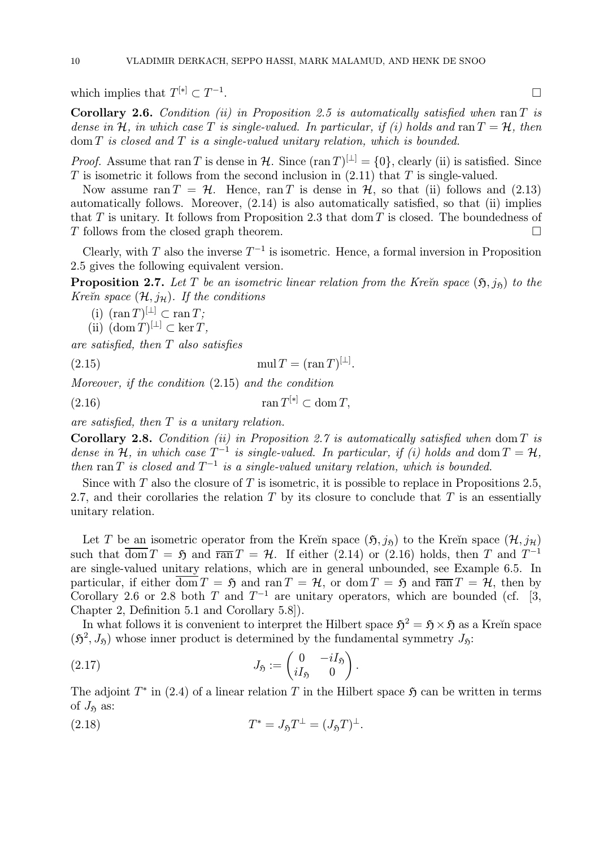which implies that  $T^{[*]}\subset T^{-1}$ .

Corollary 2.6. Condition (ii) in Proposition 2.5 is automatically satisfied when  $ran T$  is dense in H, in which case T is single-valued. In particular, if (i) holds and ran  $T = H$ , then  $dom T$  is closed and  $T$  is a single-valued unitary relation, which is bounded.

*Proof.* Assume that ran T is dense in H. Since  $(\text{ran } T)^{[\perp]} = \{0\}$ , clearly (ii) is satisfied. Since  $T$  is isometric it follows from the second inclusion in  $(2.11)$  that  $T$  is single-valued.

Now assume ran  $T = H$ . Hence, ran T is dense in H, so that (ii) follows and (2.13) automatically follows. Moreover, (2.14) is also automatically satisfied, so that (ii) implies that T is unitary. It follows from Proposition 2.3 that dom T is closed. The boundedness of T follows from the closed graph theorem.  $\Box$ 

Clearly, with T also the inverse  $T^{-1}$  is isometric. Hence, a formal inversion in Proposition 2.5 gives the following equivalent version.

**Proposition 2.7.** Let T be an isometric linear relation from the Kre $\tilde{m}$  space  $(\tilde{p}, j_{\tilde{p}})$  to the Kre $\check{\mathit{n}}$  space  $(\mathcal{H},j_{\mathcal{H}})$ . If the conditions

(i)  $(\operatorname{ran} T)^{[\perp]} \subset \operatorname{ran} T;$ 

(ii)  $(\text{dom } T)^{[\perp]} \subset \ker T$ ,

are satisfied, then T also satisfies

(2.15)  $\text{mul } T = (\text{ran } T)^{[\perp]}$ .

Moreover, if the condition (2.15) and the condition

 $(2.16)$  ran  $T^{[*]}\subset \text{dom } T$ ,

are satisfied, then  $T$  is a unitary relation.

Corollary 2.8. Condition (ii) in Proposition 2.7 is automatically satisfied when dom  $T$  is dense in H, in which case  $T^{-1}$  is single-valued. In particular, if (i) holds and dom  $T = H$ . then ran T is closed and  $T^{-1}$  is a single-valued unitary relation, which is bounded.

Since with  $T$  also the closure of  $T$  is isometric, it is possible to replace in Propositions 2.5, 2.7, and their corollaries the relation  $T$  by its closure to conclude that  $T$  is an essentially unitary relation.

Let T be an isometric operator from the Kreĭn space  $(\mathfrak{H}, j_{\mathfrak{H}})$  to the Kreĭn space  $(\mathcal{H}, j_{\mathcal{H}})$ such that  $\overline{\text{dom }T} = \mathfrak{H}$  and  $\overline{\text{ran }T} = \mathcal{H}$ . If either (2.14) or (2.16) holds, then T and  $T^{-1}$ are single-valued unitary relations, which are in general unbounded, see Example 6.5. In particular, if either  $\overline{\text{dom }T} = \mathfrak{H}$  and  $\text{ran }T = \mathcal{H}$ , or  $\text{dom }T = \mathfrak{H}$  and  $\overline{\text{ran }T} = \mathcal{H}$ , then by Corollary 2.6 or 2.8 both T and  $T^{-1}$  are unitary operators, which are bounded (cf. [3, Chapter 2, Definition 5.1 and Corollary 5.8]).

In what follows it is convenient to interpret the Hilbert space  $\mathfrak{H}^2 = \mathfrak{H} \times \mathfrak{H}$  as a Kreĭn space  $(\mathfrak{H}^2, J_{\mathfrak{H}})$  whose inner product is determined by the fundamental symmetry  $J_{\mathfrak{H}}$ :

(2.17) 
$$
J_{\mathfrak{H}} := \begin{pmatrix} 0 & -iI_{\mathfrak{H}} \\ iI_{\mathfrak{H}} & 0 \end{pmatrix}.
$$

The adjoint  $T^*$  in (2.4) of a linear relation T in the Hilbert space  $\mathfrak{H}$  can be written in terms of  $J_{\mathfrak{H}}$  as:

(2.18) 
$$
T^* = J_{\mathfrak{H}} T^{\perp} = (J_{\mathfrak{H}} T)^{\perp}.
$$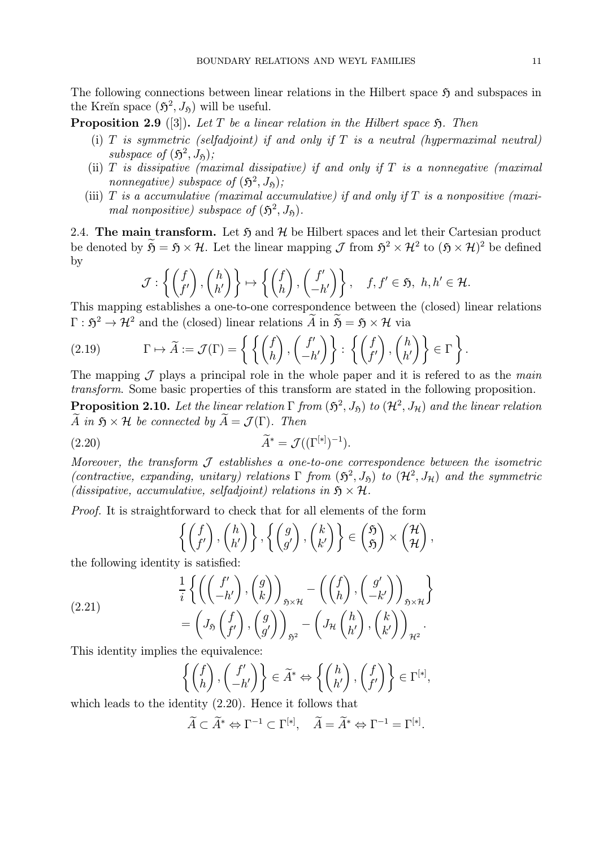The following connections between linear relations in the Hilbert space  $\mathfrak H$  and subspaces in the Kreĭn space  $(\mathfrak{H}^2, J_{\mathfrak{h}})$  will be useful.

**Proposition 2.9** ([3]). Let T be a linear relation in the Hilbert space  $\mathfrak{H}$ . Then

- (i)  $T$  is symmetric (selfadjoint) if and only if  $T$  is a neutral (hypermaximal neutral) subspace of  $(\mathfrak{H}^2, J_{\mathfrak{h}})$ ;
- (ii)  $T$  is dissipative (maximal dissipative) if and only if  $T$  is a nonnegative (maximal nonnegative) subspace of  $(\mathfrak{H}^2, J_{\mathfrak{H}})$ ;
- (iii)  $T$  is a accumulative (maximal accumulative) if and only if  $T$  is a nonpositive (maximal nonpositive) subspace of  $(\mathfrak{H}^2, J_{\mathfrak{h}})$ .

2.4. The main transform. Let  $\mathfrak{H}$  and  $\mathcal{H}$  be Hilbert spaces and let their Cartesian product be denoted by  $\widetilde{\mathfrak{H}} = \mathfrak{H} \times \mathcal{H}$ . Let the linear mapping  $\mathcal{J}$  from  $\mathfrak{H}^2 \times \mathcal{H}^2$  to  $(\mathfrak{H} \times \mathcal{H})^2$  be defined by

$$
\mathcal{J}: \left\{ \begin{pmatrix} f \\ f' \end{pmatrix}, \begin{pmatrix} h \\ h' \end{pmatrix} \right\} \mapsto \left\{ \begin{pmatrix} f \\ h \end{pmatrix}, \begin{pmatrix} f' \\ -h' \end{pmatrix} \right\}, \quad f, f' \in \mathfrak{H}, \ h, h' \in \mathcal{H}.
$$

This mapping establishes a one-to-one correspondence between the (closed) linear relations  $\Gamma : \mathfrak{H}^2 \to \mathcal{H}^2$  and the (closed) linear relations  $\widetilde{A}$  in  $\widetilde{B} = \mathfrak{H} \times \mathcal{H}$  via

(2.19) 
$$
\Gamma \mapsto \widetilde{A} := \mathcal{J}(\Gamma) = \left\{ \left\{ \begin{pmatrix} f \\ h \end{pmatrix}, \begin{pmatrix} f' \\ -h' \end{pmatrix} \right\} : \left\{ \begin{pmatrix} f \\ f' \end{pmatrix}, \begin{pmatrix} h \\ h' \end{pmatrix} \right\} \in \Gamma \right\}
$$

The mapping  $\mathcal J$  plays a principal role in the whole paper and it is referred to as the main transform. Some basic properties of this transform are stated in the following proposition.

**Proposition 2.10.** Let the linear relation  $\Gamma$  from  $(\mathfrak{H}^2, J_{\mathfrak{H}})$  to  $(\mathcal{H}^2, J_{\mathfrak{H}})$  and the linear relation A in  $\mathfrak{H} \times \mathcal{H}$  be connected by  $\widetilde{A} = \mathcal{J}(\Gamma)$ . Then

$$
\widetilde{A}^* = \mathcal{J}((\Gamma^{[*]})^{-1}).
$$

Moreover, the transform  $\mathcal J$  establishes a one-to-one correspondence between the isometric (contractive, expanding, unitary) relations  $\Gamma$  from  $(\mathfrak{H}^2, J_{\mathfrak{H}})$  to  $(\mathcal{H}^2, J_{\mathcal{H}})$  and the symmetric (dissipative, accumulative, selfadjoint) relations in  $\mathfrak{H} \times \mathcal{H}$ .

Proof. It is straightforward to check that for all elements of the form

$$
\left\{ \begin{pmatrix} f \\ f' \end{pmatrix}, \begin{pmatrix} h \\ h' \end{pmatrix} \right\}, \left\{ \begin{pmatrix} g \\ g' \end{pmatrix}, \begin{pmatrix} k \\ k' \end{pmatrix} \right\} \in \begin{pmatrix} \mathfrak{H} \\ \mathfrak{H} \end{pmatrix} \times \begin{pmatrix} \mathcal{H} \\ \mathcal{H} \end{pmatrix},
$$

the following identity is satisfied:

(2.21) 
$$
\frac{1}{i} \left\{ \left( \begin{pmatrix} f' \\ -h' \end{pmatrix}, \begin{pmatrix} g \\ k \end{pmatrix} \right)_{\mathfrak{s} \times \mathcal{H}} - \left( \begin{pmatrix} f \\ h \end{pmatrix}, \begin{pmatrix} g' \\ -k' \end{pmatrix} \right)_{\mathfrak{s} \times \mathcal{H}} \right\} = \left( J_{\mathfrak{s}} \begin{pmatrix} f \\ f' \end{pmatrix}, \begin{pmatrix} g \\ g' \end{pmatrix} \right)_{\mathfrak{s}^2} - \left( J_{\mathcal{H}} \begin{pmatrix} h \\ h' \end{pmatrix}, \begin{pmatrix} k \\ k' \end{pmatrix} \right)_{\mathcal{H}^2}.
$$

This identity implies the equivalence:

$$
\left\{ \begin{pmatrix} f \\ h \end{pmatrix}, \begin{pmatrix} f' \\ -h' \end{pmatrix} \right\} \in \widetilde{A}^* \Leftrightarrow \left\{ \begin{pmatrix} h \\ h' \end{pmatrix}, \begin{pmatrix} f \\ f' \end{pmatrix} \right\} \in \Gamma^{[*]},
$$

which leads to the identity  $(2.20)$ . Hence it follows that

$$
\widetilde{A} \subset \widetilde{A}^* \Leftrightarrow \Gamma^{-1} \subset \Gamma^{[*]}, \quad \widetilde{A} = \widetilde{A}^* \Leftrightarrow \Gamma^{-1} = \Gamma^{[*]}.
$$

.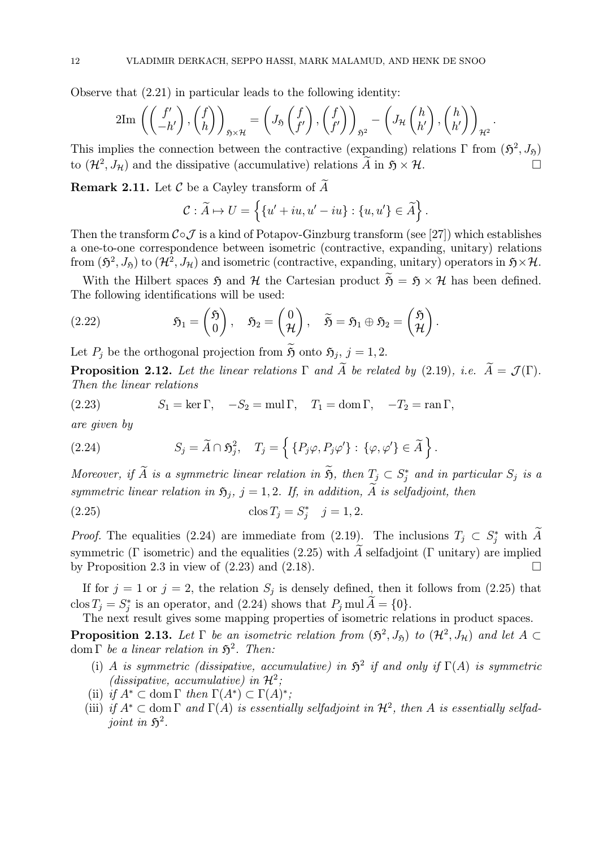Observe that (2.21) in particular leads to the following identity:

$$
2\mathrm{Im}\,\left(\begin{pmatrix}f'\\-h'\end{pmatrix},\begin{pmatrix}f\\h\end{pmatrix}\right)_{\mathfrak{H}\times\mathcal{H}}=\left(J_{\mathfrak{H}}\begin{pmatrix}f\\f'\end{pmatrix},\begin{pmatrix}f\\f'\end{pmatrix}\right)_{\mathfrak{H}^2}-\left(J_{\mathcal{H}}\begin{pmatrix}h\\h'\end{pmatrix},\begin{pmatrix}h\\h'\end{pmatrix}\right)_{\mathcal{H}^2}
$$

.

This implies the connection between the contractive (expanding) relations  $\Gamma$  from  $(\mathfrak{H}^2, J_{\mathfrak{H}})$ to  $(\mathcal{H}^2, J_\mathcal{H})$  and the dissipative (accumulative) relations  $\widetilde{A}$  in  $\mathfrak{H} \times \mathcal{H}$ .

Remark 2.11. Let  $\mathcal C$  be a Cayley transform of  $\widetilde A$ 

$$
\mathcal{C} : \widetilde{A} \mapsto U = \left\{ \{u' + iu, u' - iu\} : \{u, u'\} \in \widetilde{A} \right\}.
$$

Then the transform  $C \circ \mathcal{J}$  is a kind of Potapov-Ginzburg transform (see [27]) which establishes a one-to-one correspondence between isometric (contractive, expanding, unitary) relations from  $(\mathfrak{H}^2, J_{\mathfrak{H}})$  to  $(\mathcal{H}^2, J_{\mathcal{H}})$  and isometric (contractive, expanding, unitary) operators in  $\mathfrak{H}\times\mathcal{H}$ .

With the Hilbert spaces  $\mathfrak{H}$  and  $\mathcal{H}$  the Cartesian product  $\widetilde{\mathfrak{H}} = \mathfrak{H} \times \mathcal{H}$  has been defined. The following identifications will be used:

(2.22) 
$$
\mathfrak{H}_1 = \begin{pmatrix} \mathfrak{H} \\ 0 \end{pmatrix}, \quad \mathfrak{H}_2 = \begin{pmatrix} 0 \\ \mathcal{H} \end{pmatrix}, \quad \widetilde{\mathfrak{H}} = \mathfrak{H}_1 \oplus \mathfrak{H}_2 = \begin{pmatrix} \mathfrak{H} \\ \mathcal{H} \end{pmatrix}.
$$

Let  $P_j$  be the orthogonal projection from  $\widetilde{\mathfrak{H}}$  onto  $\mathfrak{H}_j$ ,  $j = 1, 2$ .

**Proposition 2.12.** Let the linear relations  $\Gamma$  and  $\widetilde{A}$  be related by (2.19), i.e.  $\widetilde{A} = \mathcal{J}(\Gamma)$ . Then the linear relations

(2.23)  $S_1 = \ker \Gamma$ ,  $-S_2 = \text{mul } \Gamma$ ,  $T_1 = \text{dom } \Gamma$ ,  $-T_2 = \text{ran } \Gamma$ ,

are given by

(2.24) 
$$
S_j = \widetilde{A} \cap \widetilde{S}_j^2, \quad T_j = \left\{ \{ P_j \varphi, P_j \varphi' \} : \{ \varphi, \varphi' \} \in \widetilde{A} \right\}.
$$

Moreover, if A is a symmetric linear relation in  $\mathfrak{H}$ , then  $T_j \subset S_j^*$  and in particular  $S_j$  is a symmetric linear relation in  $\mathfrak{H}_i$ ,  $j = 1, 2$ . If, in addition,  $\widetilde{A}$  is selfadjoint, then

(2.25) 
$$
\cos T_j = S_j^* \quad j = 1, 2.
$$

*Proof.* The equalities (2.24) are immediate from (2.19). The inclusions  $T_j \,\subset S_j^*$  with A symmetric (Γ isometric) and the equalities (2.25) with  $\tilde{A}$  selfadjoint (Γ unitary) are implied<br>by Proposition 2.3 in view of (2.23) and (2.18). by Proposition 2.3 in view of  $(2.23)$  and  $(2.18)$ .

If for  $j = 1$  or  $j = 2$ , the relation  $S_j$  is densely defined, then it follows from (2.25) that clos  $T_j = S_j^*$  is an operator, and (2.24) shows that  $P_j$  mul  $A = \{0\}.$ 

The next result gives some mapping properties of isometric relations in product spaces.

**Proposition 2.13.** Let  $\Gamma$  be an isometric relation from  $(\mathfrak{H}^2, J_{\mathfrak{H}})$  to  $(\mathcal{H}^2, J_{\mathfrak{H}})$  and let  $A \subset$ dom  $\Gamma$  be a linear relation in  $\mathfrak{H}^2$ . Then:

- (i) A is symmetric (dissipative, accumulative) in  $\mathfrak{H}^2$  if and only if  $\Gamma(A)$  is symmetric (dissipative, accumulative) in  $\mathcal{H}^2$ ;
- (ii) if  $A^* \subset \text{dom }\Gamma$  then  $\Gamma(A^*) \subset \Gamma(A)^*$ ;
- (iii) if  $A^* \subset$  dom  $\Gamma$  and  $\Gamma(A)$  is essentially selfadjoint in  $\mathcal{H}^2$ , then A is essentially selfadjoint in  $\mathfrak{H}^2$ .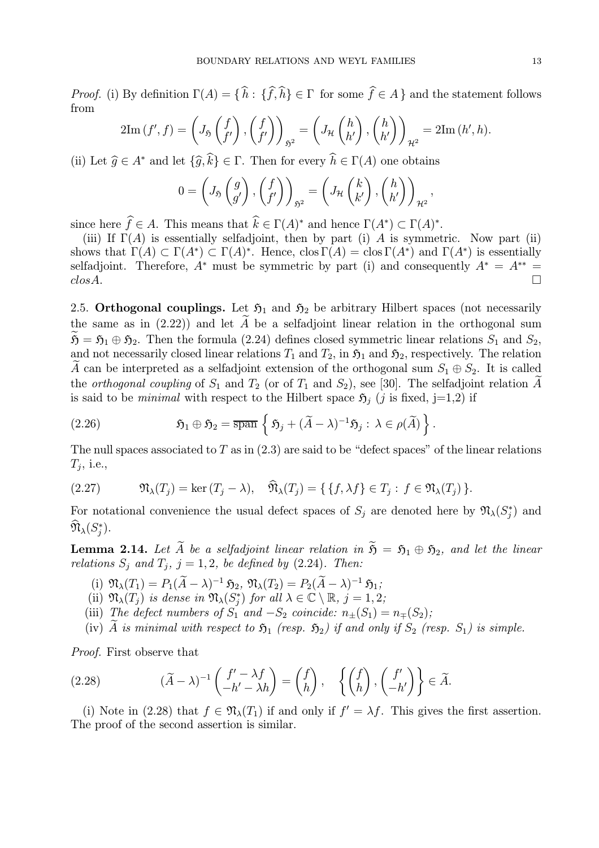*Proof.* (i) By definition  $\Gamma(A) = \{ h : \{ f, h \} \in \Gamma \text{ for some } f \in A \}$  and the statement follows from

$$
2\mathrm{Im}\,(f',f) = \left(J_{\mathfrak{H}}\left(\begin{matrix}f\\f'\end{matrix}\right),\left(\begin{matrix}f\\f'\end{matrix}\right)\right)_{\mathfrak{H}^2} = \left(J_{\mathcal{H}}\left(\begin{matrix}h\\h'\end{matrix}\right),\left(\begin{matrix}h\\h'\end{matrix}\right)\right)_{\mathcal{H}^2} = 2\mathrm{Im}\,(h',h).
$$

(ii) Let  $\widehat{g} \in A^*$  and let  $\{\widehat{g}, k\} \in \Gamma$ . Then for every  $h \in \Gamma(A)$  one obtains

$$
0 = \left(J_{\mathfrak{H}}\left(\begin{matrix}g\\g'\end{matrix}\right),\left(\begin{matrix}f\\f'\end{matrix}\right)\right)_{\mathfrak{H}^2} = \left(J_{\mathcal{H}}\left(\begin{matrix}k\\k'\end{matrix}\right),\left(\begin{matrix}h\\h'\end{matrix}\right)\right)_{\mathcal{H}^2},
$$

since here  $f \in A$ . This means that  $k \in \Gamma(A)^*$  and hence  $\Gamma(A^*) \subset \Gamma(A)^*$ .

(iii) If  $\Gamma(A)$  is essentially selfadjoint, then by part (i) A is symmetric. Now part (ii) shows that  $\Gamma(A) \subset \Gamma(A^*) \subset \Gamma(A)^*$ . Hence, clos  $\Gamma(A) = \text{clos }\Gamma(A^*)$  and  $\Gamma(A^*)$  is essentially selfadjoint. Therefore,  $A^*$  must be symmetric by part (i) and consequently  $A^* = A^{**} =$  $\cos A.$ 

2.5. Orthogonal couplings. Let  $\mathfrak{H}_1$  and  $\mathfrak{H}_2$  be arbitrary Hilbert spaces (not necessarily the same as in  $(2.22)$ ) and let  $\tilde{A}$  be a selfadjoint linear relation in the orthogonal sum  $\mathfrak{H} = \mathfrak{H}_1 \oplus \mathfrak{H}_2$ . Then the formula (2.24) defines closed symmetric linear relations  $S_1$  and  $S_2$ , and not necessarily closed linear relations  $T_1$  and  $T_2$ , in  $\mathfrak{H}_1$  and  $\mathfrak{H}_2$ , respectively. The relation A can be interpreted as a selfadjoint extension of the orthogonal sum  $S_1 \oplus S_2$ . It is called the *orthogonal coupling* of  $S_1$  and  $T_2$  (or of  $T_1$  and  $S_2$ ), see [30]. The selfadjoint relation A is said to be *minimal* with respect to the Hilbert space  $\mathfrak{H}_i$  (j is fixed, j=1,2) if

(2.26) 
$$
\qquad \qquad \mathfrak{H}_1 \oplus \mathfrak{H}_2 = \overline{\operatorname{span}} \left\{ \mathfrak{H}_j + (\widetilde{A} - \lambda)^{-1} \mathfrak{H}_j : \lambda \in \rho(\widetilde{A}) \right\}.
$$

The null spaces associated to  $T$  as in  $(2.3)$  are said to be "defect spaces" of the linear relations  $T_i$ , i.e.,

(2.27) 
$$
\mathfrak{N}_{\lambda}(T_j) = \ker (T_j - \lambda), \quad \widehat{\mathfrak{N}}_{\lambda}(T_j) = \{ \{ f, \lambda f \} \in T_j : f \in \mathfrak{N}_{\lambda}(T_j) \}.
$$

For notational convenience the usual defect spaces of  $S_j$  are denoted here by  $\mathfrak{N}_{\lambda}(S_j^*)$  and  $\mathfrak{N}_{\lambda}(S^*_j).$ 

**Lemma 2.14.** Let  $\widetilde{A}$  be a selfadjoint linear relation in  $\widetilde{S} = S_1 \oplus S_2$ , and let the linear relations  $S_j$  and  $T_j$ ,  $j = 1, 2$ , be defined by (2.24). Then:

- (i)  $\mathfrak{N}_{\lambda}(T_1) = P_1(\widetilde{A} \lambda)^{-1} \mathfrak{H}_2, \, \mathfrak{N}_{\lambda}(T_2) = P_2(\widetilde{A} \lambda)^{-1} \mathfrak{H}_1;$
- (ii)  $\mathfrak{N}_{\lambda}(T_j)$  is dense in  $\mathfrak{N}_{\lambda}(S_j^*)$  for all  $\lambda \in \mathbb{C} \setminus \mathbb{R}, j = 1, 2;$
- (iii) The defect numbers of  $S_1$  and  $-S_2$  coincide:  $n_{\pm}(S_1) = n_{\mp}(S_2)$ ;
- (iv)  $\tilde{A}$  is minimal with respect to  $\mathfrak{H}_1$  (resp.  $\mathfrak{H}_2$ ) if and only if  $S_2$  (resp.  $S_1$ ) is simple.

Proof. First observe that

(2.28) 
$$
(\widetilde{A} - \lambda)^{-1} \begin{pmatrix} f' - \lambda f \\ -h' - \lambda h \end{pmatrix} = \begin{pmatrix} f \\ h \end{pmatrix}, \quad \left\{ \begin{pmatrix} f \\ h \end{pmatrix}, \begin{pmatrix} f' \\ -h' \end{pmatrix} \right\} \in \widetilde{A}.
$$

(i) Note in (2.28) that  $f \in \mathfrak{N}_{\lambda}(T_1)$  if and only if  $f' = \lambda f$ . This gives the first assertion. The proof of the second assertion is similar.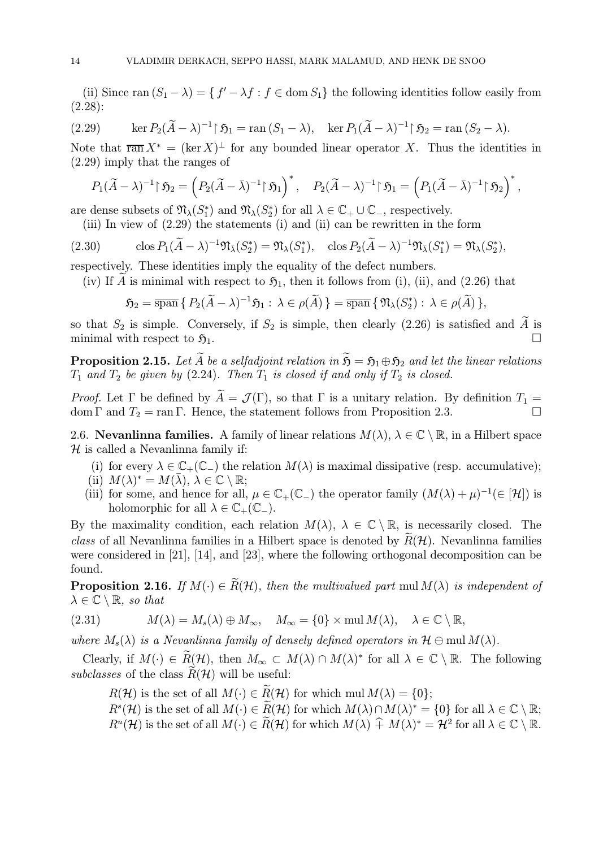(ii) Since ran  $(S_1 - \lambda) = \{ f' - \lambda f : f \in \text{dom } S_1 \}$  the following identities follow easily from (2.28):

(2.29) 
$$
\ker P_2(\widetilde{A} - \lambda)^{-1} \upharpoonright \mathfrak{H}_1 = \text{ran}(S_1 - \lambda), \quad \ker P_1(\widetilde{A} - \lambda)^{-1} \upharpoonright \mathfrak{H}_2 = \text{ran}(S_2 - \lambda).
$$

Note that  $\overline{\operatorname{ran}} X^* = (\ker X)^{\perp}$  for any bounded linear operator X. Thus the identities in (2.29) imply that the ranges of

$$
P_1(\widetilde{A}-\lambda)^{-1}\upharpoonright \mathfrak{H}_2=\left(P_2(\widetilde{A}-\bar{\lambda})^{-1}\upharpoonright \mathfrak{H}_1\right)^*,\quad P_2(\widetilde{A}-\lambda)^{-1}\upharpoonright \mathfrak{H}_1=\left(P_1(\widetilde{A}-\bar{\lambda})^{-1}\upharpoonright \mathfrak{H}_2\right)^*,
$$

are dense subsets of  $\mathfrak{N}_{\lambda}(S_1^*)$  and  $\mathfrak{N}_{\lambda}(S_2^*)$  for all  $\lambda \in \mathbb{C}_+ \cup \mathbb{C}_-$ , respectively.

(iii) In view of (2.29) the statements (i) and (ii) can be rewritten in the form

(2.30) 
$$
\operatorname{clos} P_1(\widetilde{A} - \lambda)^{-1} \mathfrak{N}_{\bar{\lambda}}(S_2^*) = \mathfrak{N}_{\lambda}(S_1^*), \quad \operatorname{clos} P_2(\widetilde{A} - \lambda)^{-1} \mathfrak{N}_{\bar{\lambda}}(S_1^*) = \mathfrak{N}_{\lambda}(S_2^*),
$$

respectively. These identities imply the equality of the defect numbers.

(iv) If A is minimal with respect to  $\mathfrak{H}_1$ , then it follows from (i), (ii), and (2.26) that

$$
\mathfrak{H}_2 = \overline{\operatorname{span}} \{ P_2(\widetilde{A} - \lambda)^{-1} \mathfrak{H}_1 : \lambda \in \rho(\widetilde{A}) \} = \overline{\operatorname{span}} \{ \mathfrak{N}_{\lambda}(S_2^*) : \lambda \in \rho(\widetilde{A}) \},
$$

so that  $S_2$  is simple. Conversely, if  $S_2$  is simple, then clearly (2.26) is satisfied and  $\widetilde{A}$  is minimal with respect to  $\mathfrak{H}_1$ . minimal with respect to  $\mathfrak{H}_1$ .

**Proposition 2.15.** Let  $\widetilde{A}$  be a selfadjoint relation in  $\widetilde{B} = \mathfrak{H}_1 \oplus \mathfrak{H}_2$  and let the linear relations  $T_1$  and  $T_2$  be given by (2.24). Then  $T_1$  is closed if and only if  $T_2$  is closed.

*Proof.* Let  $\Gamma$  be defined by  $\widetilde{A} = \mathcal{J}(\Gamma)$ , so that  $\Gamma$  is a unitary relation. By definition  $T_1 =$ dom  $\Gamma$  and  $T_2 = \text{ran } \Gamma$ . Hence, the statement follows from Proposition 2.3. dom Γ and  $T_2$  = ran Γ. Hence, the statement follows from Proposition 2.3.

2.6. Nevanlinna families. A family of linear relations  $M(\lambda)$ ,  $\lambda \in \mathbb{C} \setminus \mathbb{R}$ , in a Hilbert space  $H$  is called a Nevanlinna family if:

- (i) for every  $\lambda \in \mathbb{C}_+(\mathbb{C}_-)$  the relation  $M(\lambda)$  is maximal dissipative (resp. accumulative);
- (ii)  $M(\lambda)^* = M(\overline{\lambda}), \lambda \in \mathbb{C} \setminus \mathbb{R};$
- (iii) for some, and hence for all,  $\mu \in \mathbb{C}_+(\mathbb{C}_-)$  the operator family  $(M(\lambda)+\mu)^{-1}(\in \mathcal{H})$  is holomorphic for all  $\lambda \in \mathbb{C}_+(\mathbb{C}_-)$ .

By the maximality condition, each relation  $M(\lambda)$ ,  $\lambda \in \mathbb{C} \setminus \mathbb{R}$ , is necessarily closed. The class of all Nevanlinna families in a Hilbert space is denoted by  $R(\mathcal{H})$ . Nevanlinna families were considered in [21], [14], and [23], where the following orthogonal decomposition can be found.

**Proposition 2.16.** If  $M(\cdot) \in \widetilde{R}(\mathcal{H})$ , then the multivalued part mul $M(\lambda)$  is independent of  $\lambda \in \mathbb{C} \setminus \mathbb{R}$ , so that

(2.31) 
$$
M(\lambda) = M_s(\lambda) \oplus M_\infty, \quad M_\infty = \{0\} \times \text{mul } M(\lambda), \quad \lambda \in \mathbb{C} \setminus \mathbb{R},
$$

where  $M_s(\lambda)$  is a Nevanlinna family of densely defined operators in  $\mathcal{H} \ominus \text{mul } M(\lambda)$ .

Clearly, if  $M(\cdot) \in \widetilde{R}(\mathcal{H})$ , then  $M_{\infty} \subset M(\lambda) \cap M(\lambda)^*$  for all  $\lambda \in \mathbb{C} \setminus \mathbb{R}$ . The following subclasses of the class  $R(H)$  will be useful:

 $R(\mathcal{H})$  is the set of all  $M(\cdot) \in \widetilde{R}(\mathcal{H})$  for which mul  $M(\lambda) = \{0\};$ 

 $R^{s}(\mathcal{H})$  is the set of all  $M(\cdot) \in \widetilde{R}(\mathcal{H})$  for which  $M(\lambda) \cap M(\lambda)^{*} = \{0\}$  for all  $\lambda \in \mathbb{C} \setminus \mathbb{R}$ ;  $R^u(\mathcal{H})$  is the set of all  $M(\cdot) \in \widetilde{R}(\mathcal{H})$  for which  $M(\lambda) \hat{+} M(\lambda)^* = \mathcal{H}^2$  for all  $\lambda \in \mathbb{C} \setminus \mathbb{R}$ .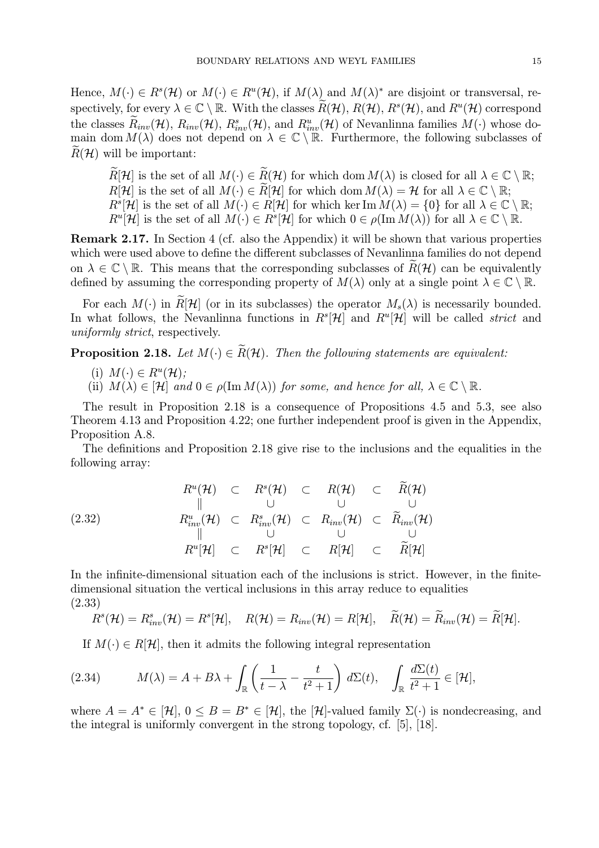Hence,  $M(\cdot) \in R^{s}(\mathcal{H})$  or  $M(\cdot) \in R^{u}(\mathcal{H})$ , if  $M(\lambda)$  and  $M(\lambda)^{*}$  are disjoint or transversal, respectively, for every  $\lambda \in \mathbb{C} \setminus \mathbb{R}$ . With the classes  $\widetilde{R}(\mathcal{H}), R(\mathcal{H}), R^s(\mathcal{H})$ , and  $R^u(\mathcal{H})$  correspond the classes  $\tilde{R}_{inv}(\mathcal{H})$ ,  $R_{inv}(\mathcal{H})$ ,  $R_{inv}^s(\mathcal{H})$ , and  $R_{inv}^u(\mathcal{H})$  of Nevanlinna families  $M(\cdot)$  whose domain dom  $M(\lambda)$  does not depend on  $\lambda \in \mathbb{C} \setminus \mathbb{R}$ . Furthermore, the following subclasses of  $R(\mathcal{H})$  will be important:

 $\widetilde{R}[\mathcal{H}]$  is the set of all  $M(\cdot) \in \widetilde{R}(\mathcal{H})$  for which dom  $M(\lambda)$  is closed for all  $\lambda \in \mathbb{C} \setminus \mathbb{R}$ ;  $R[\mathcal{H}]$  is the set of all  $M(\cdot) \in \widetilde{R}[\mathcal{H}]$  for which dom  $M(\lambda) = \mathcal{H}$  for all  $\lambda \in \mathbb{C} \setminus \mathbb{R}$ ;  $R^{s}[\mathcal{H}]$  is the set of all  $M(\cdot) \in R[\mathcal{H}]$  for which ker Im  $M(\lambda) = \{0\}$  for all  $\lambda \in \mathbb{C} \setminus \mathbb{R}$ ;  $R^u[\mathcal{H}]$  is the set of all  $M(\cdot) \in R^s[\mathcal{H}]$  for which  $0 \in \rho(\text{Im } M(\lambda))$  for all  $\lambda \in \mathbb{C} \setminus \mathbb{R}$ .

Remark 2.17. In Section 4 (cf. also the Appendix) it will be shown that various properties which were used above to define the different subclasses of Nevanlinna families do not depend on  $\lambda \in \mathbb{C} \setminus \mathbb{R}$ . This means that the corresponding subclasses of  $R(\mathcal{H})$  can be equivalently defined by assuming the corresponding property of  $M(\lambda)$  only at a single point  $\lambda \in \mathbb{C} \setminus \mathbb{R}$ .

For each  $M(\cdot)$  in  $\widetilde{R}[\mathcal{H}]$  (or in its subclasses) the operator  $M_s(\lambda)$  is necessarily bounded. In what follows, the Nevanlinna functions in  $R^{s}[\mathcal{H}]$  and  $R^{u}[\mathcal{H}]$  will be called *strict* and uniformly strict, respectively.

**Proposition 2.18.** Let  $M(\cdot) \in \widetilde{R}(\mathcal{H})$ . Then the following statements are equivalent:

- (i)  $M(\cdot) \in R^u(\mathcal{H});$
- (ii)  $M(\lambda) \in [\mathcal{H}]$  and  $0 \in \rho(\text{Im } M(\lambda))$  for some, and hence for all,  $\lambda \in \mathbb{C} \setminus \mathbb{R}$ .

The result in Proposition 2.18 is a consequence of Propositions 4.5 and 5.3, see also Theorem 4.13 and Proposition 4.22; one further independent proof is given in the Appendix, Proposition A.8.

The definitions and Proposition 2.18 give rise to the inclusions and the equalities in the following array:

$$
R^{u}(\mathcal{H}) \quad \subset \quad R^{s}(\mathcal{H}) \quad \subset \quad R(\mathcal{H}) \quad \subset \quad \widetilde{R}(\mathcal{H})
$$
\n
$$
\parallel \qquad \qquad \cup \qquad \qquad \cup \qquad \qquad \cup
$$
\n
$$
R^{u}_{inv}(\mathcal{H}) \quad \subset \quad R^{s}_{inv}(\mathcal{H}) \quad \subset \quad R_{inv}(\mathcal{H}) \quad \subset \quad \widetilde{R}_{inv}(\mathcal{H})
$$
\n
$$
\parallel \qquad \qquad \cup \qquad \qquad \cup \qquad \qquad \cup
$$
\n
$$
R^{u}[\mathcal{H}] \quad \subset \quad R^{s}[\mathcal{H}] \quad \subset \quad R[\mathcal{H}] \quad \subset \quad \widetilde{R}[\mathcal{H}]
$$

In the infinite-dimensional situation each of the inclusions is strict. However, in the finitedimensional situation the vertical inclusions in this array reduce to equalities (2.33)

$$
R^{s}(\mathcal{H})=R^{s}_{inv}(\mathcal{H})=R^{s}[\mathcal{H}], \quad R(\mathcal{H})=R_{inv}(\mathcal{H})=R[\mathcal{H}], \quad \widetilde{R}(\mathcal{H})=\widetilde{R}_{inv}(\mathcal{H})=\widetilde{R}[\mathcal{H}].
$$

If  $M(\cdot) \in R[\mathcal{H}]$ , then it admits the following integral representation

(2.34) 
$$
M(\lambda) = A + B\lambda + \int_{\mathbb{R}} \left( \frac{1}{t - \lambda} - \frac{t}{t^2 + 1} \right) d\Sigma(t), \quad \int_{\mathbb{R}} \frac{d\Sigma(t)}{t^2 + 1} \in [\mathcal{H}],
$$

where  $A = A^* \in [\mathcal{H}]$ ,  $0 \leq B = B^* \in [\mathcal{H}]$ , the  $[\mathcal{H}]$ -valued family  $\Sigma(\cdot)$  is nondecreasing, and the integral is uniformly convergent in the strong topology, cf. [5], [18].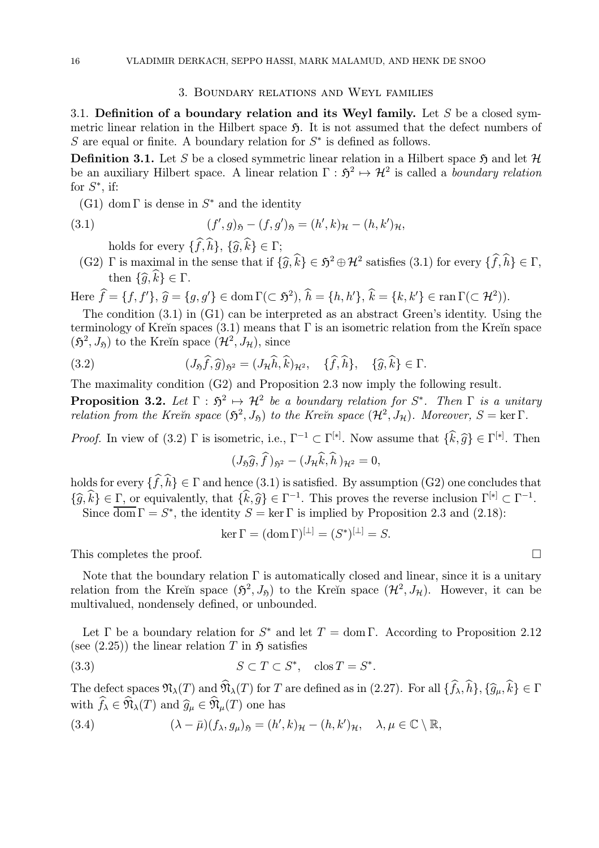#### 3. Boundary relations and Weyl families

3.1. Definition of a boundary relation and its Weyl family. Let S be a closed symmetric linear relation in the Hilbert space  $\mathfrak{H}$ . It is not assumed that the defect numbers of S are equal or finite. A boundary relation for  $S^*$  is defined as follows.

**Definition 3.1.** Let S be a closed symmetric linear relation in a Hilbert space  $\mathfrak{H}$  and let  $\mathcal{H}$ be an auxiliary Hilbert space. A linear relation  $\Gamma : \mathfrak{H}^2 \mapsto \mathcal{H}^2$  is called a boundary relation for  $S^*$ , if:

(G1) dom  $\Gamma$  is dense in  $S^*$  and the identity

(3.1) 
$$
(f', g)_{\mathfrak{H}} - (f, g')_{\mathfrak{H}} = (h', k)_{\mathcal{H}} - (h, k')_{\mathcal{H}},
$$

holds for every  $\{f, h\}$ ,  $\{\widehat{g}, k\} \in \Gamma$ ;

(G2) Γ is maximal in the sense that if  $\{\widehat{g}, \widehat{k}\} \in \mathfrak{H}^2 \oplus \mathcal{H}^2$  satisfies (3.1) for every  $\{\widehat{f}, \widehat{h}\} \in \Gamma$ , then  $\{\widehat{g}, \widehat{k}\} \in \Gamma$ .

Here  $\hat{f} = \{f, f'\}, \hat{g} = \{g, g'\} \in \text{dom}\,\Gamma(\subset \mathfrak{H}^2), \, \hat{h} = \{h, h'\}, \, \hat{k} = \{k, k'\} \in \text{ran}\,\Gamma(\subset \mathcal{H}^2)).$ 

The condition (3.1) in (G1) can be interpreted as an abstract Green's identity. Using the terminology of Kreĭn spaces (3.1) means that  $\Gamma$  is an isometric relation from the Kreĭn space  $(\mathfrak{H}^2, J_{\mathfrak{H}})$  to the Kreĭn space  $(\mathcal{H}^2, J_{\mathcal{H}})$ , since

(3.2) 
$$
(J_{\mathfrak{H}}\widehat{f},\widehat{g})_{\mathfrak{H}^2}=(J_{\mathcal{H}}\widehat{h},\widehat{k})_{\mathcal{H}^2},\quad \{\widehat{f},\widehat{h}\},\quad \{\widehat{g},\widehat{k}\}\in\Gamma.
$$

The maximality condition (G2) and Proposition 2.3 now imply the following result.

**Proposition 3.2.** Let  $\Gamma : \mathfrak{H}^2 \mapsto \mathcal{H}^2$  be a boundary relation for  $S^*$ . Then  $\Gamma$  is a unitary relation from the Kre $\check{\imath}$ n space  $(\mathfrak{H}^2, J_{\mathfrak{H}})$  to the Kre $\check{\imath}$ n space  $(\mathcal{H}^2, J_{\mathcal{H}})$ . Moreover,  $S = \ker \Gamma$ .

*Proof.* In view of (3.2)  $\Gamma$  is isometric, i.e.,  $\Gamma^{-1} \subset \Gamma^{[*]}$ . Now assume that  $\{\hat{k}, \hat{g}\} \in \Gamma^{[*]}$ . Then

$$
(J_{\mathfrak{H}}\widehat{g},\widehat{f})_{\mathfrak{H}^2}-(J_{\mathcal{H}}\widehat{k},\widehat{h})_{\mathcal{H}^2}=0,
$$

holds for every  $\{f, h\} \in \Gamma$  and hence  $(3.1)$  is satisfied. By assumption  $(G2)$  one concludes that  ${\{\widehat{g},\widehat{k}\}} \in \Gamma$ , or equivalently, that  ${\{\widehat{k},\widehat{g}\}} \in \Gamma^{-1}$ . This proves the reverse inclusion  $\Gamma^{[*]}\subset \Gamma^{-1}$ . Since  $\overline{\text{dom}} \Gamma = S^*$ , the identity  $S = \ker \Gamma$  is implied by Proposition 2.3 and (2.18):

$$
\ker \Gamma = (\operatorname{dom} \Gamma)^{[\perp]} = (S^*)^{[\perp]} = S.
$$

This completes the proof.  $\Box$ 

Note that the boundary relation  $\Gamma$  is automatically closed and linear, since it is a unitary relation from the Kreĭn space  $(\mathfrak{H}^2, J_{\mathfrak{H}})$  to the Kreĭn space  $(\mathcal{H}^2, J_{\mathcal{H}})$ . However, it can be multivalued, nondensely defined, or unbounded.

Let Γ be a boundary relation for  $S^*$  and let  $T = \text{dom }\Gamma$ . According to Proposition 2.12 (see  $(2.25)$ ) the linear relation T in  $\mathfrak{H}$  satisfies

$$
(3.3) \t\t S \subset T \subset S^*, \quad \cos T = S^*.
$$

The defect spaces  $\mathfrak{N}_{\lambda}(T)$  and  $\mathfrak{N}_{\lambda}(T)$  for T are defined as in (2.27). For all  $\{f_{\lambda}, h\}, \{\widehat{g}_{\mu}, k\} \in \Gamma$ with  $f_{\lambda} \in \mathfrak{N}_{\lambda}(T)$  and  $\widehat{g}_{\mu} \in \mathfrak{N}_{\mu}(T)$  one has

(3.4) 
$$
(\lambda - \bar{\mu})(f_{\lambda}, g_{\mu})_{\mathfrak{H}} = (h', k)_{\mathcal{H}} - (h, k')_{\mathcal{H}}, \quad \lambda, \mu \in \mathbb{C} \setminus \mathbb{R},
$$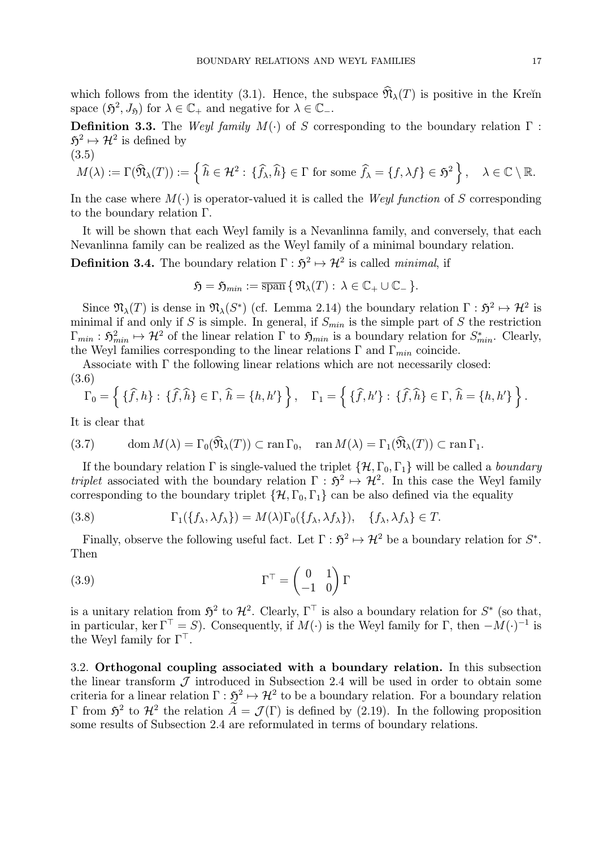which follows from the identity (3.1). Hence, the subspace  $\widehat{\mathfrak{N}}_{\lambda}(T)$  is positive in the Kreĭn space  $(\mathfrak{H}^2, J_{\mathfrak{H}})$  for  $\lambda \in \mathbb{C}_+$  and negative for  $\lambda \in \mathbb{C}_-$ .

Definition 3.3. The Weyl family  $M(\cdot)$  of S corresponding to the boundary relation  $\Gamma$ :  $\mathfrak{H}^2 \mapsto \mathcal{H}^2$  is defined by (3.5)

$$
M(\lambda) := \Gamma(\widehat{\mathfrak{N}}_{\lambda}(T)) := \left\{ \widehat{h} \in \mathcal{H}^2 : \{ \widehat{f}_{\lambda}, \widehat{h} \} \in \Gamma \text{ for some } \widehat{f}_{\lambda} = \{ f, \lambda f \} \in \mathfrak{H}^2 \right\}, \quad \lambda \in \mathbb{C} \setminus \mathbb{R}.
$$

In the case where  $M(\cdot)$  is operator-valued it is called the Weyl function of S corresponding to the boundary relation Γ.

It will be shown that each Weyl family is a Nevanlinna family, and conversely, that each Nevanlinna family can be realized as the Weyl family of a minimal boundary relation.

**Definition 3.4.** The boundary relation  $\Gamma : \mathfrak{H}^2 \mapsto \mathcal{H}^2$  is called *minimal*, if

$$
\mathfrak{H} = \mathfrak{H}_{min} := \overline{\operatorname{span}} \{ \mathfrak{N}_{\lambda}(T) : \lambda \in \mathbb{C}_{+} \cup \mathbb{C}_{-} \}.
$$

Since  $\mathfrak{N}_{\lambda}(T)$  is dense in  $\mathfrak{N}_{\lambda}(S^*)$  (cf. Lemma 2.14) the boundary relation  $\Gamma : \mathfrak{H}^2 \mapsto \mathcal{H}^2$  is minimal if and only if S is simple. In general, if  $S_{min}$  is the simple part of S the restriction  $\Gamma_{min}: \mathfrak{H}^2_{min} \mapsto \mathcal{H}^2$  of the linear relation  $\Gamma$  to  $\mathfrak{H}_{min}$  is a boundary relation for  $S^*_{min}$ . Clearly, the Weyl families corresponding to the linear relations  $\Gamma$  and  $\Gamma_{min}$  coincide.

Associate with Γ the following linear relations which are not necessarily closed: (3.6)

$$
\Gamma_0 = \left\{ \{ \widehat{f}, h \} : \{ \widehat{f}, \widehat{h} \} \in \Gamma, \, \widehat{h} = \{ h, h' \} \right\}, \quad \Gamma_1 = \left\{ \{ \widehat{f}, h' \} : \{ \widehat{f}, \widehat{h} \} \in \Gamma, \, \widehat{h} = \{ h, h' \} \right\}.
$$

It is clear that

(3.7) 
$$
\operatorname{dom} M(\lambda) = \Gamma_0(\widehat{\mathfrak{N}}_{\lambda}(T)) \subset \operatorname{ran} \Gamma_0, \quad \operatorname{ran} M(\lambda) = \Gamma_1(\widehat{\mathfrak{N}}_{\lambda}(T)) \subset \operatorname{ran} \Gamma_1.
$$

If the boundary relation  $\Gamma$  is single-valued the triplet  $\{\mathcal{H}, \Gamma_0, \Gamma_1\}$  will be called a *boundary* triplet associated with the boundary relation  $\Gamma : \mathfrak{H}^2 \mapsto \mathcal{H}^2$ . In this case the Weyl family corresponding to the boundary triplet  $\{\mathcal{H}, \Gamma_0, \Gamma_1\}$  can be also defined via the equality

(3.8) 
$$
\Gamma_1(\lbrace f_\lambda, \lambda f_\lambda \rbrace) = M(\lambda) \Gamma_0(\lbrace f_\lambda, \lambda f_\lambda \rbrace), \quad \lbrace f_\lambda, \lambda f_\lambda \rbrace \in T.
$$

Finally, observe the following useful fact. Let  $\Gamma : \mathfrak{H}^2 \mapsto \mathcal{H}^2$  be a boundary relation for  $S^*$ . Then

(3.9) 
$$
\Gamma^{\top} = \begin{pmatrix} 0 & 1 \\ -1 & 0 \end{pmatrix} \Gamma
$$

is a unitary relation from  $\mathfrak{H}^2$  to  $\mathcal{H}^2$ . Clearly,  $\Gamma^{\top}$  is also a boundary relation for  $S^*$  (so that, in particular, ker  $\Gamma^{\top} = S$ ). Consequently, if  $M(\cdot)$  is the Weyl family for  $\Gamma$ , then  $-M(\cdot)^{-1}$  is the Weyl family for  $\Gamma^{\top}$ .

3.2. Orthogonal coupling associated with a boundary relation. In this subsection the linear transform  $\mathcal J$  introduced in Subsection 2.4 will be used in order to obtain some criteria for a linear relation  $\Gamma : \mathfrak{H}^2 \to \mathcal{H}^2$  to be a boundary relation. For a boundary relation Γ from  $\mathfrak{H}^2$  to  $\mathcal{H}^2$  the relation  $\tilde{A} = \mathcal{J}(\Gamma)$  is defined by (2.19). In the following proposition some results of Subsection 2.4 are reformulated in terms of boundary relations.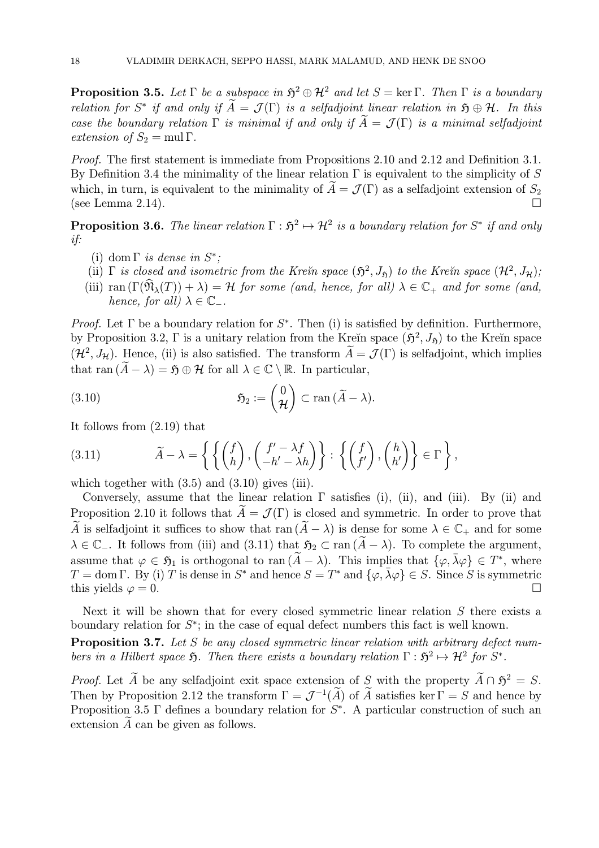**Proposition 3.5.** Let  $\Gamma$  be a subspace in  $\mathfrak{H}^2 \oplus \mathcal{H}^2$  and let  $S = \text{ker } \Gamma$ . Then  $\Gamma$  is a boundary relation for S<sup>\*</sup> if and only if  $\widetilde{A} = \mathcal{J}(\Gamma)$  is a selfadjoint linear relation in  $\mathfrak{H} \oplus \mathcal{H}$ . In this case the boundary relation  $\Gamma$  is minimal if and only if  $\widetilde{A} = \mathcal{J}(\Gamma)$  is a minimal selfadjoint extension of  $S_2 = \text{mul } \Gamma$ .

Proof. The first statement is immediate from Propositions 2.10 and 2.12 and Definition 3.1. By Definition 3.4 the minimality of the linear relation  $\Gamma$  is equivalent to the simplicity of S which, in turn, is equivalent to the minimality of  $\tilde{A} = \mathcal{J}(\Gamma)$  as a selfadjoint extension of  $S_2$  (see Lemma 2.14). (see Lemma  $2.14$ ).

**Proposition 3.6.** The linear relation  $\Gamma : \mathfrak{H}^2 \mapsto \mathcal{H}^2$  is a boundary relation for  $S^*$  if and only if:

- (i) dom  $\Gamma$  is dense in  $S^*$ ;
- (ii)  $\Gamma$  is closed and isometric from the Kre $\tilde{m}$  space  $(\mathfrak{H}^2, J_{\mathfrak{H}})$  to the Kre $\tilde{m}$  space  $(\mathcal{H}^2, J_{\mathcal{H}})$ ;
- (iii) ran  $(\Gamma(\hat{\mathfrak{N}}_{\lambda}(T)) + \lambda) = \mathcal{H}$  for some (and, hence, for all)  $\lambda \in \mathbb{C}_+$  and for some (and, hence, for all)  $\lambda \in \mathbb{C}_-$ .

Proof. Let  $\Gamma$  be a boundary relation for  $S^*$ . Then (i) is satisfied by definition. Furthermore, by Proposition 3.2, Γ is a unitary relation from the Kreĭn space  $(\mathfrak{H}^2, J_{\mathfrak{H}})$  to the Kreĭn space  $({\cal H}^2, J_{\cal H})$ . Hence, (ii) is also satisfied. The transform  $\widetilde{A}={\cal J}(\Gamma)$  is selfadjoint, which implies that ran  $(\widetilde{A} - \lambda) = \mathfrak{H} \oplus \mathcal{H}$  for all  $\lambda \in \mathbb{C} \setminus \mathbb{R}$ . In particular,

(3.10) 
$$
\mathfrak{H}_2 := \begin{pmatrix} 0 \\ \mathcal{H} \end{pmatrix} \subset \text{ran} \, (\widetilde{A} - \lambda).
$$

It follows from (2.19) that

(3.11) 
$$
\widetilde{A} - \lambda = \left\{ \left\{ \begin{pmatrix} f \\ h \end{pmatrix}, \begin{pmatrix} f' - \lambda f \\ -h' - \lambda h \end{pmatrix} \right\} : \left\{ \begin{pmatrix} f \\ f' \end{pmatrix}, \begin{pmatrix} h \\ h' \end{pmatrix} \right\} \in \Gamma \right\},\
$$

which together with  $(3.5)$  and  $(3.10)$  gives (iii).

Conversely, assume that the linear relation  $\Gamma$  satisfies (i), (ii), and (iii). By (ii) and Proposition 2.10 it follows that  $\tilde{A} = \mathcal{J}(\Gamma)$  is closed and symmetric. In order to prove that  $\widetilde{A}$  is selfadjoint it suffices to show that ran  $(\widetilde{A}-\lambda)$  is dense for some  $\lambda \in \mathbb{C}_+$  and for some  $\lambda \in \mathbb{C}_-$ . It follows from (iii) and (3.11) that  $\mathfrak{H}_2 \subset \text{ran } (\widetilde{A} - \lambda)$ . To complete the argument, assume that  $\varphi \in \mathfrak{H}_1$  is orthogonal to ran  $(\widetilde{A}-\lambda)$ . This implies that  $\{\varphi, \overline{\lambda}\varphi\} \in T^*$ , where  $T = \text{dom }\Gamma$ . By (i) T is dense in  $S^*$  and hence  $S = T^*$  and  $\{\varphi, \bar{\lambda}\varphi\} \in S$ . Since S is symmetric this vields  $\varphi = 0$ . this yields  $\varphi = 0$ .

Next it will be shown that for every closed symmetric linear relation  $S$  there exists a boundary relation for  $S^*$ ; in the case of equal defect numbers this fact is well known.

Proposition 3.7. Let S be any closed symmetric linear relation with arbitrary defect numbers in a Hilbert space  $\mathfrak{H}$ . Then there exists a boundary relation  $\Gamma : \mathfrak{H}^2 \mapsto \mathcal{H}^2$  for  $S^*$ .

*Proof.* Let  $\widetilde{A}$  be any selfadjoint exit space extension of S with the property  $\widetilde{A} \cap \widetilde{A}^2 = S$ . Then by Proposition 2.12 the transform  $\Gamma = \mathcal{J}^{-1}(\widetilde{A})$  of  $\widetilde{A}$  satisfies ker  $\Gamma = S$  and hence by Proposition 3.5  $\Gamma$  defines a boundary relation for  $S^*$ . A particular construction of such an extension  $A$  can be given as follows.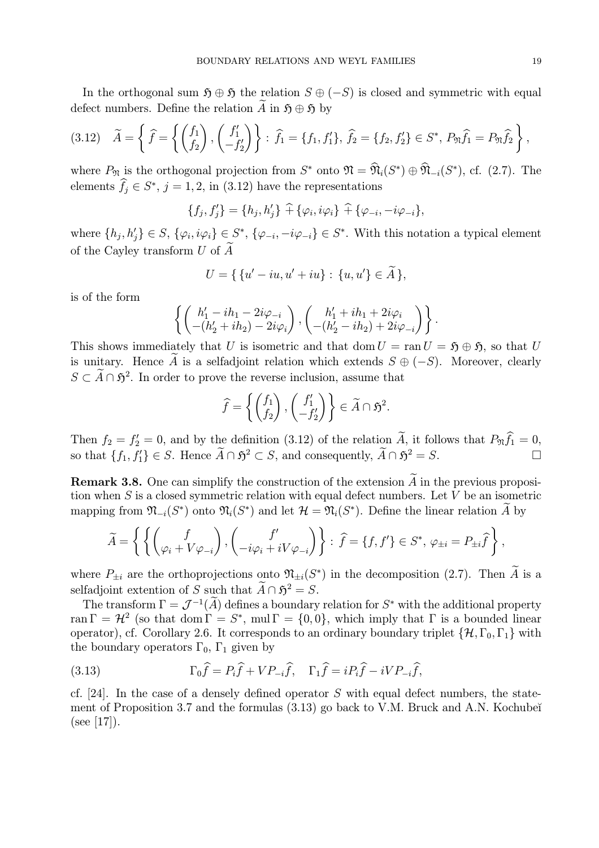In the orthogonal sum  $\mathfrak{H} \oplus \mathfrak{H}$  the relation  $S \oplus (-S)$  is closed and symmetric with equal defect numbers. Define the relation  $\widetilde{A}$  in  $\mathfrak{H} \oplus \mathfrak{H}$  by

$$
(3.12) \quad \widetilde{A} = \left\{ \widehat{f} = \left\{ \begin{pmatrix} f_1 \\ f_2 \end{pmatrix}, \begin{pmatrix} f'_1 \\ -f'_2 \end{pmatrix} \right\} : \widehat{f}_1 = \{f_1, f'_1\}, \widehat{f}_2 = \{f_2, f'_2\} \in S^*, P_{\mathfrak{N}} \widehat{f}_1 = P_{\mathfrak{N}} \widehat{f}_2 \right\},
$$

where  $P_{\mathfrak{N}}$  is the orthogonal projection from  $S^*$  onto  $\mathfrak{N} = \widehat{\mathfrak{N}}_i(S^*) \oplus \widehat{\mathfrak{N}}_{-i}(S^*)$ , cf. (2.7). The elements  $f_j \in S^*$ ,  $j = 1, 2$ , in (3.12) have the representations

$$
\{f_j, f'_j\} = \{h_j, h'_j\} \widehat{+} \{\varphi_i, i\varphi_i\} \widehat{+} \{\varphi_{-i}, -i\varphi_{-i}\},\
$$

where  $\{h_j, h'_j\} \in S$ ,  $\{\varphi_i, i\varphi_i\} \in S^*$ ,  $\{\varphi_{-i}, -i\varphi_{-i}\} \in S^*$ . With this notation a typical element of the Cayley transform  $U$  of  $\widetilde{A}$ 

$$
U = \{ \{u' - iu, u' + iu\} : \{u, u'\} \in \widetilde{A} \},
$$

is of the form

$$
\left\{ \begin{pmatrix} h'_1 - ih_1 - 2i\varphi_{-i} \\ -(h'_2 + ih_2) - 2i\varphi_i \end{pmatrix}, \begin{pmatrix} h'_1 + ih_1 + 2i\varphi_i \\ -(h'_2 - ih_2) + 2i\varphi_{-i} \end{pmatrix} \right\}.
$$

This shows immediately that U is isometric and that dom  $U = \text{ran } U = \mathfrak{H} \oplus \mathfrak{H}$ , so that U is unitary. Hence A is a selfadjoint relation which extends  $S \oplus (-S)$ . Moreover, clearly  $S \subset \tilde{A} \cap \tilde{\mathfrak{H}}^2$ . In order to prove the reverse inclusion, assume that

$$
\widehat{f} = \left\{ \begin{pmatrix} f_1 \\ f_2 \end{pmatrix}, \begin{pmatrix} f'_1 \\ -f'_2 \end{pmatrix} \right\} \in \widetilde{A} \cap \mathfrak{H}^2.
$$

Then  $f_2 = f_2' = 0$ , and by the definition (3.12) of the relation A, it follows that  $P_{\mathfrak{N}} f_1 = 0$ , so that  $\{f_1, f'_1\} \in S$ . Hence  $\widetilde{A} \cap \mathfrak{H}^2 \subset S$ , and consequently,  $\widetilde{A} \cap \mathfrak{H}^2 = S$ .

**Remark 3.8.** One can simplify the construction of the extension  $\widetilde{A}$  in the previous proposition when  $S$  is a closed symmetric relation with equal defect numbers. Let  $V$  be an isometric mapping from  $\mathfrak{N}_{-i}(S^*)$  onto  $\mathfrak{N}_i(S^*)$  and let  $\mathcal{H} = \mathfrak{N}_i(S^*)$ . Define the linear relation A by

$$
\widetilde{A} = \left\{ \left\{ \begin{pmatrix} f \\ \varphi_i + V \varphi_{-i} \end{pmatrix}, \begin{pmatrix} f' \\ -i\varphi_i + iV \varphi_{-i} \end{pmatrix} \right\} : \ \widehat{f} = \{f, f'\} \in S^*, \ \varphi_{\pm i} = P_{\pm i} \widehat{f} \right\},\
$$

where  $P_{\pm i}$  are the orthoprojections onto  $\mathfrak{N}_{\pm i}(S^*)$  in the decomposition (2.7). Then  $\widetilde{A}$  is a selfadjoint extention of S such that  $\widetilde{A} \cap \mathfrak{H}^2 = S$ .

The transform  $\Gamma = \mathcal{J}^{-1}(\widetilde{A})$  defines a boundary relation for  $S^*$  with the additional property ran  $\Gamma = H^2$  (so that dom  $\Gamma = S^*$ , mul  $\Gamma = \{0, 0\}$ , which imply that  $\Gamma$  is a bounded linear operator), cf. Corollary 2.6. It corresponds to an ordinary boundary triplet  $\{\mathcal{H}, \Gamma_0, \Gamma_1\}$  with the boundary operators  $\Gamma_0$ ,  $\Gamma_1$  given by

(3.13) 
$$
\Gamma_0 \widehat{f} = P_i \widehat{f} + V P_{-i} \widehat{f}, \quad \Gamma_1 \widehat{f} = i P_i \widehat{f} - i V P_{-i} \widehat{f},
$$

cf. [24]. In the case of a densely defined operator  $S$  with equal defect numbers, the statement of Proposition 3.7 and the formulas  $(3.13)$  go back to V.M. Bruck and A.N. Kochubeĭ  $(see [17]).$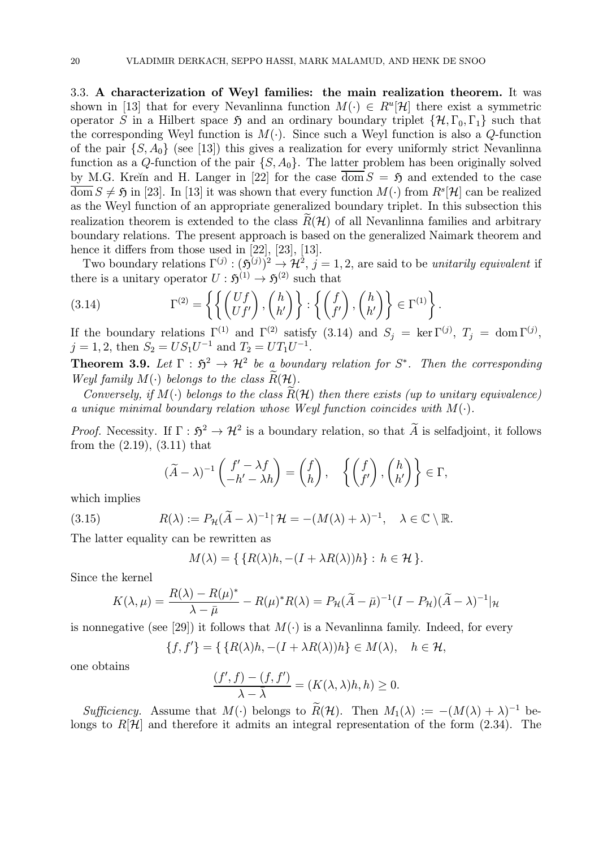3.3. A characterization of Weyl families: the main realization theorem. It was shown in [13] that for every Nevanlinna function  $M(\cdot) \in R^u[\mathcal{H}]$  there exist a symmetric operator S in a Hilbert space  $\mathfrak{H}$  and an ordinary boundary triplet  $\{\mathcal{H}, \Gamma_0, \Gamma_1\}$  such that the corresponding Weyl function is  $M(\cdot)$ . Since such a Weyl function is also a Q-function of the pair  $\{S, A_0\}$  (see [13]) this gives a realization for every uniformly strict Nevanlinna function as a Q-function of the pair  $\{S, A_0\}$ . The latter problem has been originally solved by M.G. Kreĭn and H. Langer in [22] for the case dom  $S = \mathfrak{H}$  and extended to the case  $\overline{\text{dom}} S \neq \mathfrak{H}$  in [23]. In [13] it was shown that every function  $M(\cdot)$  from  $R^s[\mathcal{H}]$  can be realized as the Weyl function of an appropriate generalized boundary triplet. In this subsection this realization theorem is extended to the class  $R(H)$  of all Nevanlinna families and arbitrary boundary relations. The present approach is based on the generalized Naimark theorem and hence it differs from those used in [22], [23], [13].

Two boundary relations  $\Gamma^{(j)} : (\mathfrak{H}^{(j)})^2 \to \mathcal{H}^2$ ,  $j = 1, 2$ , are said to be unitarily equivalent if there is a unitary operator  $U : \mathfrak{H}^{(1)} \to \mathfrak{H}^{(2)}$  such that

(3.14) 
$$
\Gamma^{(2)} = \left\{ \left\{ \begin{pmatrix} Uf \\ Uf' \end{pmatrix}, \begin{pmatrix} h \\ h' \end{pmatrix} \right\} : \left\{ \begin{pmatrix} f \\ f' \end{pmatrix}, \begin{pmatrix} h \\ h' \end{pmatrix} \right\} \in \Gamma^{(1)} \right\}.
$$

If the boundary relations  $\Gamma^{(1)}$  and  $\Gamma^{(2)}$  satisfy (3.14) and  $S_j = \ker \Gamma^{(j)}$ ,  $T_j = \text{dom } \Gamma^{(j)}$ ,  $j = 1, 2$ , then  $S_2 = US_1U^{-1}$  and  $T_2 = UT_1U^{-1}$ .

**Theorem 3.9.** Let  $\Gamma : \mathfrak{H}^2 \to \mathcal{H}^2$  be a boundary relation for  $S^*$ . Then the corresponding Weyl family  $M(\cdot)$  belongs to the class  $R(\mathcal{H})$ .

Conversely, if  $M(\cdot)$  belongs to the class  $R(H)$  then there exists (up to unitary equivalence) a unique minimal boundary relation whose Weyl function coincides with  $M(\cdot)$ .

*Proof.* Necessity. If  $\Gamma : \mathfrak{H}^2 \to \mathcal{H}^2$  is a boundary relation, so that  $\widetilde{A}$  is selfadjoint, it follows from the (2.19), (3.11) that

$$
(\widetilde{A} - \lambda)^{-1} \begin{pmatrix} f' - \lambda f \\ -h' - \lambda h \end{pmatrix} = \begin{pmatrix} f \\ h \end{pmatrix}, \quad \left\{ \begin{pmatrix} f \\ f' \end{pmatrix}, \begin{pmatrix} h \\ h' \end{pmatrix} \right\} \in \Gamma,
$$

which implies

(3.15) 
$$
R(\lambda) := P_{\mathcal{H}}(\widetilde{A} - \lambda)^{-1} \upharpoonright \mathcal{H} = -(M(\lambda) + \lambda)^{-1}, \quad \lambda \in \mathbb{C} \setminus \mathbb{R}.
$$

The latter equality can be rewritten as

$$
M(\lambda) = \{ \{ R(\lambda)h, -(I + \lambda R(\lambda))h \} : h \in \mathcal{H} \}.
$$

Since the kernel

$$
K(\lambda,\mu) = \frac{R(\lambda) - R(\mu)^*}{\lambda - \bar{\mu}} - R(\mu)^* R(\lambda) = P_{\mathcal{H}}(\tilde{A} - \bar{\mu})^{-1} (I - P_{\mathcal{H}})(\tilde{A} - \lambda)^{-1} |\mathcal{H}
$$

is nonnegative (see [29]) it follows that  $M(\cdot)$  is a Nevanlinna family. Indeed, for every

$$
\{f, f'\} = \{ \{R(\lambda)h, -(I + \lambda R(\lambda))h\} \in M(\lambda), \quad h \in \mathcal{H},
$$

one obtains

$$
\frac{(f',f)-(f,f')}{\lambda-\bar{\lambda}}=(K(\lambda,\lambda)h,h)\geq 0.
$$

Sufficiency. Assume that  $M(\cdot)$  belongs to  $\widetilde{R}(\mathcal{H})$ . Then  $M_1(\lambda) := -(M(\lambda) + \lambda)^{-1}$  belongs to  $R[\mathcal{H}]$  and therefore it admits an integral representation of the form (2.34). The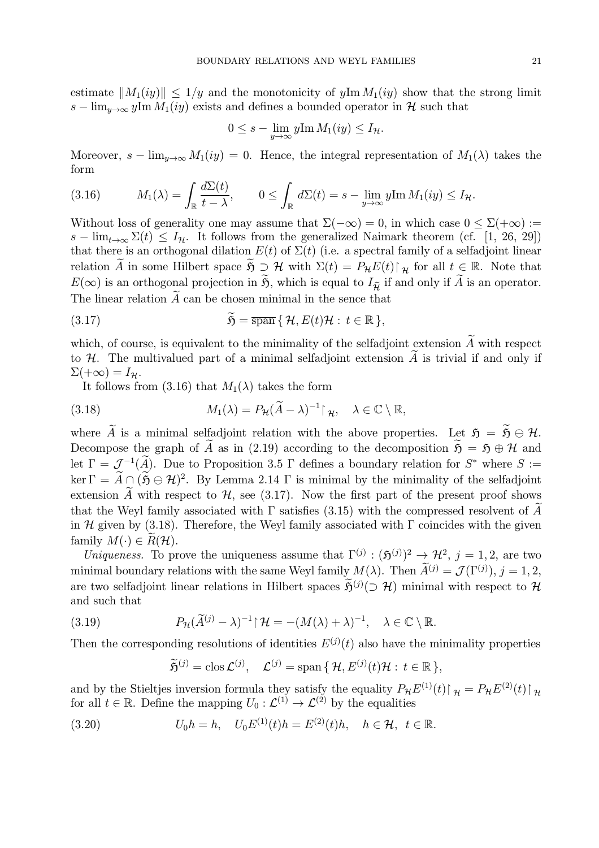estimate  $||M_1(iy)|| \leq 1/y$  and the monotonicity of  $y \text{Im } M_1(iy)$  show that the strong limit  $s - \lim_{y \to \infty} y \lim M_1(iy)$  exists and defines a bounded operator in H such that

$$
0 \leq s - \lim_{y \to \infty} y \text{Im } M_1(iy) \leq I_{\mathcal{H}}.
$$

Moreover,  $s - \lim_{y \to \infty} M_1(iy) = 0$ . Hence, the integral representation of  $M_1(\lambda)$  takes the form

(3.16) 
$$
M_1(\lambda) = \int_{\mathbb{R}} \frac{d\Sigma(t)}{t - \lambda}, \qquad 0 \leq \int_{\mathbb{R}} d\Sigma(t) = s - \lim_{y \to \infty} y \text{Im } M_1(iy) \leq I_{\mathcal{H}}.
$$

Without loss of generality one may assume that  $\Sigma(-\infty) = 0$ , in which case  $0 \le \Sigma(+\infty)$ :=  $s - \lim_{t\to\infty} \Sigma(t) \leq I_{\mathcal{H}}$ . It follows from the generalized Naimark theorem (cf. [1, 26, 29]) that there is an orthogonal dilation  $E(t)$  of  $\Sigma(t)$  (i.e. a spectral family of a selfadjoint linear relation  $\widetilde{A}$  in some Hilbert space  $\widetilde{B} \supset \mathcal{H}$  with  $\Sigma(t) = P_{\mathcal{H}}E(t)\upharpoonright_{\mathcal{H}}$  for all  $t \in \mathbb{R}$ . Note that  $E(\infty)$  is an orthogonal projection in  $\widetilde{\mathfrak{H}}$ , which is equal to  $I_{\widetilde{\mathcal{H}}}$  if and only if  $\widetilde{A}$  is an operator. The linear relation  $\widetilde{A}$  can be chosen minimal in the sence that

(3.17) 
$$
\widetilde{\mathfrak{H}} = \overline{\text{span}} \{ \mathcal{H}, E(t) \mathcal{H} : t \in \mathbb{R} \},
$$

which, of course, is equivalent to the minimality of the selfadjoint extension  $\widetilde{A}$  with respect to H. The multivalued part of a minimal selfadjoint extension  $\tilde{A}$  is trivial if and only if  $\Sigma(+\infty)=I_{\mathcal{H}}.$ 

It follows from (3.16) that  $M_1(\lambda)$  takes the form

(3.18) 
$$
M_1(\lambda) = P_{\mathcal{H}}(\tilde{A} - \lambda)^{-1} \upharpoonright_{\mathcal{H}}, \quad \lambda \in \mathbb{C} \setminus \mathbb{R},
$$

where  $\widetilde{A}$  is a minimal selfadjoint relation with the above properties. Let  $\mathfrak{H} = \widetilde{\mathfrak{H}} \oplus \mathcal{H}$ . Decompose the graph of  $\widetilde{A}$  as in (2.19) according to the decomposition  $\widetilde{S} = S \oplus \mathcal{H}$  and let  $\Gamma = \mathcal{J}^{-1}(\widetilde{A})$ . Due to Proposition 3.5  $\Gamma$  defines a boundary relation for  $S^*$  where  $S :=$ ker  $\Gamma = \widetilde{A} \cap (\widetilde{B} \ominus \mathcal{H})^2$ . By Lemma 2.14  $\Gamma$  is minimal by the minimality of the selfadjoint extension  $\widetilde{A}$  with respect to  $\mathcal{H}$ , see (3.17). Now the first part of the present proof shows that the Weyl family associated with  $\Gamma$  satisfies (3.15) with the compressed resolvent of A in H given by (3.18). Therefore, the Weyl family associated with  $\Gamma$  coincides with the given family  $M(\cdot) \in R(H)$ .

Uniqueness. To prove the uniqueness assume that  $\Gamma^{(j)} : (\mathfrak{H}^{(j)})^2 \to \mathcal{H}^2$ ,  $j = 1, 2$ , are two minimal boundary relations with the same Weyl family  $M(\lambda)$ . Then  $\tilde{A}^{(j)} = \mathcal{J}(\Gamma^{(j)}), j = 1, 2$ , are two selfadjoint linear relations in Hilbert spaces  $\tilde{\mathfrak{H}}^{(j)}(\supset \mathcal{H})$  minimal with respect to  $\mathcal{H}$ and such that

(3.19) 
$$
P_{\mathcal{H}}(\widetilde{A}^{(j)} - \lambda)^{-1} | \mathcal{H} = -(M(\lambda) + \lambda)^{-1}, \quad \lambda \in \mathbb{C} \setminus \mathbb{R}.
$$

Then the corresponding resolutions of identities  $E^{(j)}(t)$  also have the minimality properties

$$
\widetilde{\mathfrak{H}}^{(j)} = \text{clos}\,\mathcal{L}^{(j)}, \quad \mathcal{L}^{(j)} = \text{span}\,\{\,\mathcal{H}, E^{(j)}(t)\mathcal{H} : t \in \mathbb{R}\,\},
$$

and by the Stieltjes inversion formula they satisfy the equality  $P_{\mathcal{H}}E^{(1)}(t)\upharpoonright_{\mathcal{H}} = P_{\mathcal{H}}E^{(2)}(t)\upharpoonright_{\mathcal{H}}$ for all  $t \in \mathbb{R}$ . Define the mapping  $U_0: \mathcal{L}^{(1)} \to \mathcal{L}^{(2)}$  by the equalities

(3.20) 
$$
U_0 h = h, \quad U_0 E^{(1)}(t) h = E^{(2)}(t) h, \quad h \in \mathcal{H}, \ t \in \mathbb{R}.
$$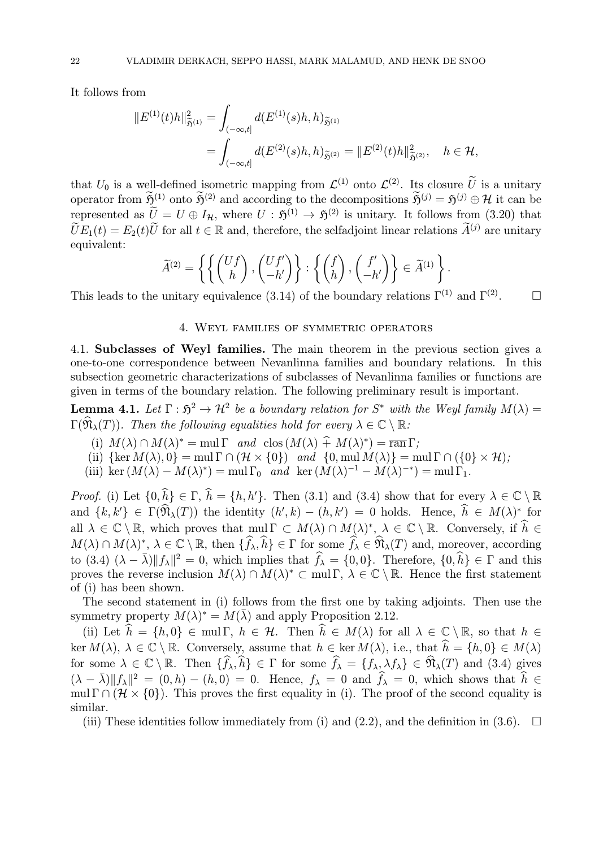It follows from

$$
||E^{(1)}(t)h||_{\tilde{\mathfrak{H}}^{(1)}}^2 = \int_{(-\infty,t]} d(E^{(1)}(s)h, h)_{\tilde{\mathfrak{H}}^{(1)}} = \int_{(-\infty,t]} d(E^{(2)}(s)h, h)_{\tilde{\mathfrak{H}}^{(2)}} = ||E^{(2)}(t)h||_{\tilde{\mathfrak{H}}^{(2)}}^2, \quad h \in \mathcal{H},
$$

that  $U_0$  is a well-defined isometric mapping from  $\mathcal{L}^{(1)}$  onto  $\mathcal{L}^{(2)}$ . Its closure  $\tilde{U}$  is a unitary operator from  $\widetilde{\mathfrak{H}}^{(1)}$  onto  $\widetilde{\mathfrak{H}}^{(2)}$  and according to the decompositions  $\widetilde{\mathfrak{H}}^{(j)} = \mathfrak{H}^{(j)} \oplus \mathcal{H}$  it can be represented as  $\tilde{U}=U\oplus I_{\mathcal{H}}$ , where  $U:\mathfrak{H}^{(1)}\to\mathfrak{H}^{(2)}$  is unitary. It follows from (3.20) that  $\widetilde{U}E_1(t) = E_2(t)\widetilde{U}$  for all  $t \in \mathbb{R}$  and, therefore, the selfadjoint linear relations  $\widetilde{A}^{(j)}$  are unitary equivalent:

$$
\widetilde{A}^{(2)} = \left\{ \left\{ \begin{pmatrix} Uf \\ h \end{pmatrix}, \begin{pmatrix} Uf' \\ -h' \end{pmatrix} \right\} : \left\{ \begin{pmatrix} f \\ h \end{pmatrix}, \begin{pmatrix} f' \\ -h' \end{pmatrix} \right\} \in \widetilde{A}^{(1)} \right\}.
$$

This leads to the unitary equivalence (3.14) of the boundary relations  $\Gamma^{(1)}$  and  $\Gamma^{(2)}$ .  $\Box$ 

#### 4. Weyl families of symmetric operators

4.1. Subclasses of Weyl families. The main theorem in the previous section gives a one-to-one correspondence between Nevanlinna families and boundary relations. In this subsection geometric characterizations of subclasses of Nevanlinna families or functions are given in terms of the boundary relation. The following preliminary result is important.

**Lemma 4.1.** Let  $\Gamma : \mathfrak{H}^2 \to \mathcal{H}^2$  be a boundary relation for  $S^*$  with the Weyl family  $M(\lambda) =$  $\Gamma(\widehat{\mathfrak{N}}_{\lambda}(T))$ . Then the following equalities hold for every  $\lambda \in \mathbb{C} \setminus \mathbb{R}$ :

- (i)  $M(\lambda) \cap M(\lambda)^* = \text{mul } \Gamma$  and  $\text{clos } (M(\lambda) \hat{+} M(\lambda)^*) = \overline{\text{ran }} \Gamma$ ;
- (ii)  $\{\ker M(\lambda), 0\} = \text{mul }\Gamma \cap (\mathcal{H} \times \{0\})$  and  $\{0, \text{mul }M(\lambda)\} = \text{mul }\Gamma \cap (\{0\} \times \mathcal{H})$ ;
- (iii) ker  $(M(\lambda) M(\lambda)^*) = \text{mul } \Gamma_0$  and ker  $(M(\lambda)^{-1} M(\lambda)^{-*}) = \text{mul } \Gamma_1$ .

*Proof.* (i) Let  $\{0, h\} \in \Gamma$ ,  $h = \{h, h'\}$ . Then (3.1) and (3.4) show that for every  $\lambda \in \mathbb{C} \setminus \mathbb{R}$ and  $\{k, k'\}\in \Gamma(\mathfrak{N}_{\lambda}(T))$  the identity  $(h', k) - (h, k') = 0$  holds. Hence,  $h \in M(\lambda)^*$  for all  $\lambda \in \mathbb{C} \setminus \mathbb{R}$ , which proves that  $\text{mul } \Gamma \subset M(\lambda) \cap M(\lambda)^*, \lambda \in \mathbb{C} \setminus \mathbb{R}$ . Conversely, if  $h \in$  $M(\lambda) \cap M(\lambda)$ <sup>\*</sup>,  $\lambda \in \mathbb{C} \setminus \mathbb{R}$ , then  $\{f_{\lambda}, h\} \in \Gamma$  for some  $f_{\lambda} \in \mathfrak{N}_{\lambda}(T)$  and, moreover, according to  $(3.4)$   $(\lambda - \overline{\lambda}) ||f_{\lambda}||^2 = 0$ , which implies that  $\widehat{f}_{\lambda} = \{0, 0\}$ . Therefore,  $\{0, \widehat{h}\} \in \Gamma$  and this proves the reverse inclusion  $M(\lambda) \cap M(\lambda)^* \subset \text{mul } \Gamma$ ,  $\lambda \in \mathbb{C} \setminus \mathbb{R}$ . Hence the first statement of (i) has been shown.

The second statement in (i) follows from the first one by taking adjoints. Then use the symmetry property  $M(\lambda)^* = M(\overline{\lambda})$  and apply Proposition 2.12.

(ii) Let  $h = \{h, 0\} \in \text{mul } \Gamma$ ,  $h \in \mathcal{H}$ . Then  $h \in M(\lambda)$  for all  $\lambda \in \mathbb{C} \setminus \mathbb{R}$ , so that  $h \in$  $\ker M(\lambda), \ \lambda \in \mathbb{C} \setminus \mathbb{R}$ . Conversely, assume that  $h \in \ker M(\lambda)$ , i.e., that  $h = \{h, 0\} \in M(\lambda)$ for some  $\lambda \in \mathbb{C} \setminus \mathbb{R}$ . Then  $\{f_{\lambda}, h\} \in \Gamma$  for some  $f_{\lambda} = \{f_{\lambda}, \lambda f_{\lambda}\} \in \mathfrak{N}_{\lambda}(T)$  and (3.4) gives  $(\lambda - \bar{\lambda}) ||f_{\lambda}||^2 = (0, h) - (h, 0) = 0.$  Hence,  $f_{\lambda} = 0$  and  $\hat{f}_{\lambda} = 0$ , which shows that  $\hat{h} \in$ mul  $\Gamma \cap (\mathcal{H} \times \{0\})$ . This proves the first equality in (i). The proof of the second equality is similar.

(iii) These identities follow immediately from (i) and (2.2), and the definition in (3.6).  $\Box$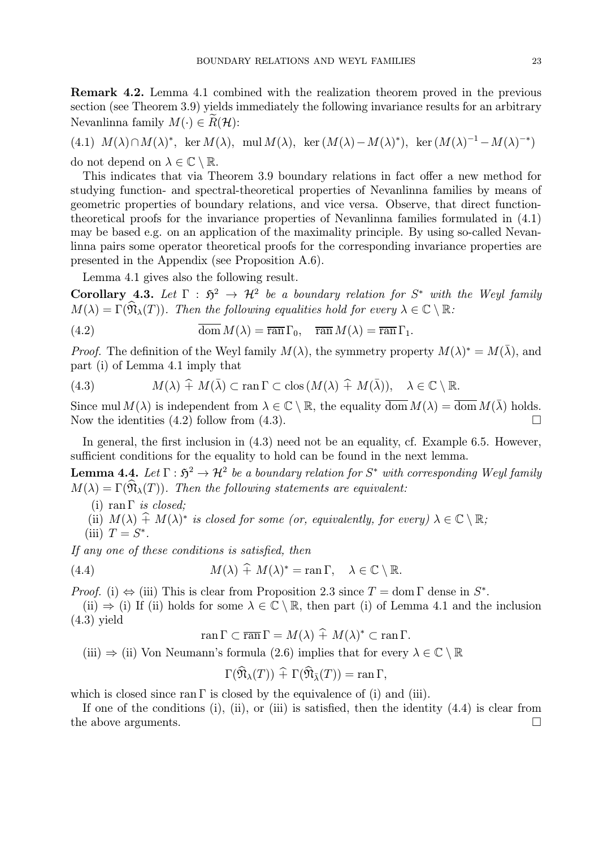Remark 4.2. Lemma 4.1 combined with the realization theorem proved in the previous section (see Theorem 3.9) yields immediately the following invariance results for an arbitrary Nevanlinna family  $M(\cdot) \in \widetilde{R}(\mathcal{H})$ :

(4.1)  $M(\lambda) \cap M(\lambda)^*$ , ker  $M(\lambda)$ , mul  $M(\lambda)$ , ker  $(M(\lambda) - M(\lambda)^*)$ , ker  $(M(\lambda)^{-1} - M(\lambda)^{-*})$ do not depend on  $\lambda \in \mathbb{C} \setminus \mathbb{R}$ .

This indicates that via Theorem 3.9 boundary relations in fact offer a new method for studying function- and spectral-theoretical properties of Nevanlinna families by means of geometric properties of boundary relations, and vice versa. Observe, that direct functiontheoretical proofs for the invariance properties of Nevanlinna families formulated in (4.1) may be based e.g. on an application of the maximality principle. By using so-called Nevanlinna pairs some operator theoretical proofs for the corresponding invariance properties are presented in the Appendix (see Proposition A.6).

Lemma 4.1 gives also the following result.

Corollary 4.3. Let  $\Gamma : \mathfrak{H}^2 \to \mathcal{H}^2$  be a boundary relation for  $S^*$  with the Weyl family  $M(\lambda) = \Gamma(\widehat{\mathfrak{N}}_{\lambda}(T))$ . Then the following equalities hold for every  $\lambda \in \mathbb{C} \setminus \mathbb{R}$ :

(4.2) 
$$
\overline{\text{dom}} M(\lambda) = \overline{\text{ran}} \Gamma_0, \quad \overline{\text{ran}} M(\lambda) = \overline{\text{ran}} \Gamma_1.
$$

*Proof.* The definition of the Weyl family  $M(\lambda)$ , the symmetry property  $M(\lambda)^* = M(\overline{\lambda})$ , and part (i) of Lemma 4.1 imply that

(4.3) 
$$
M(\lambda) \hat{+} M(\bar{\lambda}) \subset \text{ran } \Gamma \subset \text{clos } (M(\lambda) \hat{+} M(\bar{\lambda})), \quad \lambda \in \mathbb{C} \setminus \mathbb{R}.
$$

Since mul  $M(\lambda)$  is independent from  $\lambda \in \mathbb{C} \setminus \mathbb{R}$ , the equality  $\overline{\text{dom}} M(\lambda) = \overline{\text{dom}} M(\overline{\lambda})$  holds.<br>Now the identities (4.2) follow from (4.3) Now the identities  $(4.2)$  follow from  $(4.3)$ .

In general, the first inclusion in  $(4.3)$  need not be an equality, cf. Example 6.5. However, sufficient conditions for the equality to hold can be found in the next lemma.

**Lemma 4.4.** Let  $\Gamma : \mathfrak{H}^2 \to \mathcal{H}^2$  be a boundary relation for  $S^*$  with corresponding Weyl family  $M(\lambda) = \Gamma(\hat{\mathfrak{N}}_{\lambda}(T))$ . Then the following statements are equivalent:

- (i) ran  $\Gamma$  *is closed*;
- (ii)  $M(\lambda) \hat{+} M(\lambda)^*$  is closed for some (or, equivalently, for every)  $\lambda \in \mathbb{C} \setminus \mathbb{R}$ ;
- (iii)  $T = S^*$ .

If any one of these conditions is satisfied, then

(4.4) 
$$
M(\lambda) \widehat{+} M(\lambda)^* = \operatorname{ran} \Gamma, \quad \lambda \in \mathbb{C} \setminus \mathbb{R}.
$$

*Proof.* (i)  $\Leftrightarrow$  (iii) This is clear from Proposition 2.3 since  $T = \text{dom } \Gamma$  dense in  $S^*$ .

(ii)  $\Rightarrow$  (i) If (ii) holds for some  $\lambda \in \mathbb{C} \setminus \mathbb{R}$ , then part (i) of Lemma 4.1 and the inclusion (4.3) yield

$$
\operatorname{ran}\Gamma\subset\overline{\operatorname{ran}}\Gamma=M(\lambda)+M(\lambda)^*\subset\operatorname{ran}\Gamma.
$$

(iii)  $\Rightarrow$  (ii) Von Neumann's formula (2.6) implies that for every  $\lambda \in \mathbb{C} \setminus \mathbb{R}$ 

$$
\Gamma(\widehat{\mathfrak{N}}_{\lambda}(T)) \widehat{+} \Gamma(\widehat{\mathfrak{N}}_{\overline{\lambda}}(T)) = \operatorname{ran} \Gamma,
$$

which is closed since ran  $\Gamma$  is closed by the equivalence of (i) and (iii).

If one of the conditions (i), (ii), or (iii) is satisfied, then the identity  $(4.4)$  is clear from the above arguments.  $\Box$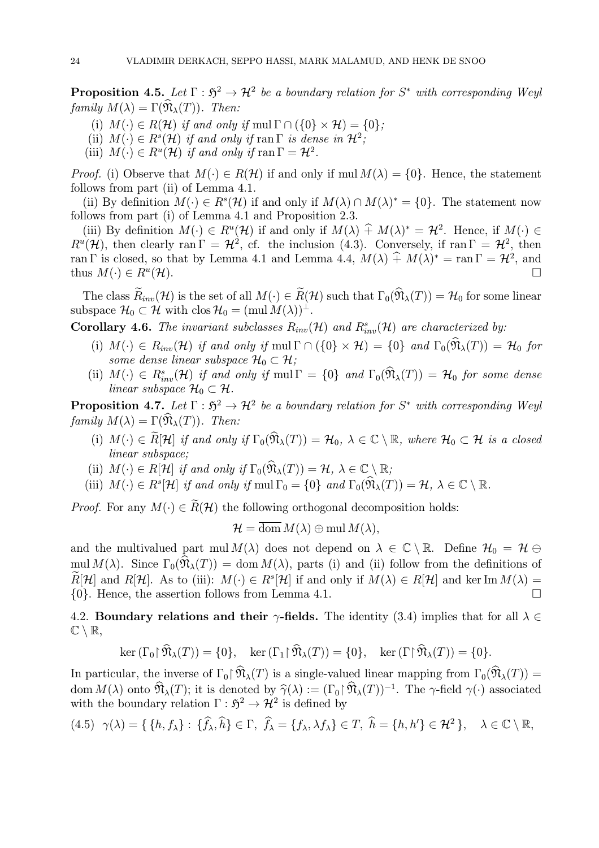**Proposition 4.5.** Let  $\Gamma : \mathfrak{H}^2 \to \mathcal{H}^2$  be a boundary relation for  $S^*$  with corresponding Weyl family  $M(\lambda) = \Gamma(\widehat{\mathfrak{N}}_{\lambda}(T))$ . Then:

- (i)  $M(\cdot) \in R(\mathcal{H})$  if and only if mul  $\Gamma \cap (\{0\} \times \mathcal{H}) = \{0\};$
- (ii)  $M(\cdot) \in R^{s}(\mathcal{H})$  if and only if ran  $\Gamma$  is dense in  $\mathcal{H}^{2}$ ;
- (iii)  $M(\cdot) \in R^u(\mathcal{H})$  if and only if ran  $\Gamma = \mathcal{H}^2$ .

*Proof.* (i) Observe that  $M(\cdot) \in R(\mathcal{H})$  if and only if mul  $M(\lambda) = \{0\}$ . Hence, the statement follows from part (ii) of Lemma 4.1.

(ii) By definition  $M(\cdot) \in R^{s}(\mathcal{H})$  if and only if  $M(\lambda) \cap M(\lambda)^{*} = \{0\}$ . The statement now follows from part (i) of Lemma 4.1 and Proposition 2.3.

(iii) By definition  $M(\cdot) \in R^u(\mathcal{H})$  if and only if  $M(\lambda) \hat{+} M(\lambda)^* = \mathcal{H}^2$ . Hence, if  $M(\cdot) \in$  $R^u(\mathcal{H})$ , then clearly ran  $\Gamma = \mathcal{H}^2$ , cf. the inclusion (4.3). Conversely, if ran  $\Gamma = \mathcal{H}^2$ , then ran Γ is closed, so that by Lemma 4.1 and Lemma 4.4,  $M(\lambda) \hat{+} M(\lambda)^* = \text{ran } \Gamma = \mathcal{H}^2$ , and thus  $M(\lambda) \in R^u(\mathcal{H})$ thus  $M(\cdot) \in R^u(\mathcal{H})$ .

The class  $\widetilde{R}_{inv}(\mathcal{H})$  is the set of all  $M(\cdot) \in \widetilde{R}(\mathcal{H})$  such that  $\Gamma_0(\widehat{\mathfrak{N}}_{\lambda}(T)) = \mathcal{H}_0$  for some linear subspace  $\mathcal{H}_0 \subset \mathcal{H}$  with clos  $\mathcal{H}_0 = (\text{mul } M(\lambda))^{\perp}$ .

**Corollary 4.6.** The invariant subclasses  $R_{inv}(\mathcal{H})$  and  $R_{inv}^s(\mathcal{H})$  are characterized by:

- (i)  $M(\cdot) \in R_{inv}(\mathcal{H})$  if and only if mul  $\Gamma \cap (\{0\} \times \mathcal{H}) = \{0\}$  and  $\Gamma_0(\widehat{\mathfrak{N}}_{\lambda}(T)) = \mathcal{H}_0$  for some dense linear subspace  $\mathcal{H}_0 \subset \mathcal{H}$ ;
- (ii)  $M(\cdot) \in R_{inv}^s(\mathcal{H})$  if and only if  $mul \Gamma = \{0\}$  and  $\Gamma_0(\mathfrak{N}_\lambda(T)) = \mathcal{H}_0$  for some dense linear subspace  $\mathcal{H}_0 \subset \mathcal{H}$ .

**Proposition 4.7.** Let  $\Gamma : \mathfrak{H}^2 \to \mathcal{H}^2$  be a boundary relation for  $S^*$  with corresponding Weyl family  $M(\lambda) = \Gamma(\mathfrak{N}_{\lambda}(T))$ . Then:

- (i)  $M(\cdot) \in \widetilde{R}[\mathcal{H}]$  if and only if  $\Gamma_0(\widehat{\mathfrak{N}}_{\lambda}(T)) = \mathcal{H}_0$ ,  $\lambda \in \mathbb{C} \setminus \mathbb{R}$ , where  $\mathcal{H}_0 \subset \mathcal{H}$  is a closed linear subspace;
- (ii)  $M(\cdot) \in R[\mathcal{H}]$  if and only if  $\Gamma_0(\widehat{\mathfrak{N}}_{\lambda}(T)) = \mathcal{H}, \lambda \in \mathbb{C} \setminus \mathbb{R};$
- (iii)  $M(\cdot) \in R^s[\mathcal{H}]$  if and only if  $mul \Gamma_0 = \{0\}$  and  $\Gamma_0(\widehat{\mathfrak{N}}_{\lambda}(T)) = \mathcal{H}, \lambda \in \mathbb{C} \setminus \mathbb{R}.$

*Proof.* For any  $M(\cdot) \in \widetilde{R}(\mathcal{H})$  the following orthogonal decomposition holds:

$$
\mathcal{H} = \text{dom}\, M(\lambda) \oplus \text{mul}\, M(\lambda),
$$

and the multivalued part mul  $M(\lambda)$  does not depend on  $\lambda \in \mathbb{C} \setminus \mathbb{R}$ . Define  $\mathcal{H}_0 = \mathcal{H} \ominus$ mul  $M(\lambda)$ . Since  $\Gamma_0(\mathfrak{N}_\lambda(T)) = \text{dom } M(\lambda)$ , parts (i) and (ii) follow from the definitions of  $R[\mathcal{H}]$  and  $R[\mathcal{H}]$ . As to (iii):  $M(\cdot) \in R^s[\mathcal{H}]$  if and only if  $M(\lambda) \in R[\mathcal{H}]$  and ker Im  $M(\lambda) =$ <br>{0} Hence the assertion follows from Lemma 4.1  $\{0\}$ . Hence, the assertion follows from Lemma 4.1.

4.2. Boundary relations and their  $\gamma$ -fields. The identity (3.4) implies that for all  $\lambda \in$  $\mathbb{C} \setminus \mathbb{R},$ 

$$
\ker\left(\Gamma_0\right|\widehat{\mathfrak{N}}_{\lambda}(T)\right)=\{0\},\quad\ker\left(\Gamma_1\right|\widehat{\mathfrak{N}}_{\lambda}(T)\right)=\{0\},\quad\ker\left(\Gamma\right|\widehat{\mathfrak{N}}_{\lambda}(T)\right)=\{0\}.
$$

In particular, the inverse of  $\Gamma_0 \upharpoonright \widehat{\mathfrak{N}}_{\lambda}(T)$  is a single-valued linear mapping from  $\Gamma_0(\widehat{\mathfrak{N}}_{\lambda}(T))$  = dom  $M(\lambda)$  onto  $\widehat{\mathfrak{N}}_{\lambda}(T)$ ; it is denoted by  $\widehat{\gamma}(\lambda) := (\Gamma_0 \widehat{\mathfrak{N}}_{\lambda}(T))^{-1}$ . The  $\gamma$ -field  $\gamma(\cdot)$  associated with the boundary relation  $\Gamma : \mathfrak{H}^2 \to \mathcal{H}^2$  is defined by

$$
(4.5) \ \gamma(\lambda) = \{ \{h, f_{\lambda}\} : \{\widehat{f}_{\lambda}, \widehat{h}\} \in \Gamma, \ \widehat{f}_{\lambda} = \{f_{\lambda}, \lambda f_{\lambda}\} \in T, \ \widehat{h} = \{h, h'\} \in \mathcal{H}^2 \}, \quad \lambda \in \mathbb{C} \setminus \mathbb{R},
$$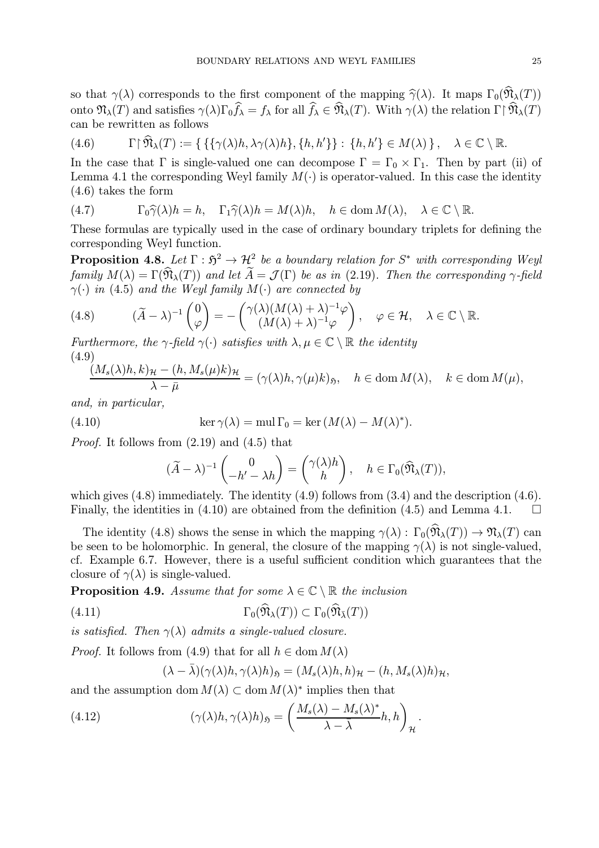so that  $\gamma(\lambda)$  corresponds to the first component of the mapping  $\hat{\gamma}(\lambda)$ . It maps  $\Gamma_0(\widehat{\mathfrak{N}}_{\lambda}(T))$ onto  $\mathfrak{N}_{\lambda}(T)$  and satisfies  $\gamma(\lambda)\Gamma_0 f_{\lambda} = f_{\lambda}$  for all  $f_{\lambda} \in \mathfrak{N}_{\lambda}(T)$ . With  $\gamma(\lambda)$  the relation  $\Gamma \upharpoonright \mathfrak{N}_{\lambda}(T)$ can be rewritten as follows

$$
(4.6) \qquad \Gamma \upharpoonright \widehat{\mathfrak{N}}_{\lambda}(T) := \{ \{ \{ \gamma(\lambda)h, \lambda \gamma(\lambda)h \}, \{h, h' \} \} : \{h, h' \} \in M(\lambda) \}, \quad \lambda \in \mathbb{C} \setminus \mathbb{R}.
$$

In the case that  $\Gamma$  is single-valued one can decompose  $\Gamma = \Gamma_0 \times \Gamma_1$ . Then by part (ii) of Lemma 4.1 the corresponding Weyl family  $M(\cdot)$  is operator-valued. In this case the identity (4.6) takes the form

(4.7) 
$$
\Gamma_0 \widehat{\gamma}(\lambda) h = h, \quad \Gamma_1 \widehat{\gamma}(\lambda) h = M(\lambda) h, \quad h \in \text{dom } M(\lambda), \quad \lambda \in \mathbb{C} \setminus \mathbb{R}.
$$

These formulas are typically used in the case of ordinary boundary triplets for defining the corresponding Weyl function.

**Proposition 4.8.** Let  $\Gamma : \mathfrak{H}^2 \to \mathcal{H}^2$  be a boundary relation for  $S^*$  with corresponding Weyl family  $M(\lambda) = \Gamma(\widehat{\mathfrak{N}}_{\lambda}(T))$  and let  $\widetilde{A} = \mathcal{J}(\Gamma)$  be as in (2.19). Then the corresponding  $\gamma$ -field  $\gamma(\cdot)$  in (4.5) and the Weyl family  $M(\cdot)$  are connected by

(4.8) 
$$
(\widetilde{A} - \lambda)^{-1} \begin{pmatrix} 0 \\ \varphi \end{pmatrix} = - \begin{pmatrix} \gamma(\lambda)(M(\lambda) + \lambda)^{-1} \varphi \\ (M(\lambda) + \lambda)^{-1} \varphi \end{pmatrix}, \quad \varphi \in \mathcal{H}, \quad \lambda \in \mathbb{C} \setminus \mathbb{R}.
$$

Furthermore, the  $\gamma$ -field  $\gamma(\cdot)$  satisfies with  $\lambda, \mu \in \mathbb{C} \setminus \mathbb{R}$  the identity (4.9)

$$
\frac{(M_s(\lambda)h, k)_{\mathcal{H}} - (h, M_s(\mu)k)_{\mathcal{H}}}{\lambda - \bar{\mu}} = (\gamma(\lambda)h, \gamma(\mu)k)_{\mathfrak{H}}, \quad h \in \text{dom } M(\lambda), \quad k \in \text{dom } M(\mu),
$$

and, in particular,

(4.10) 
$$
\ker \gamma(\lambda) = \text{mul } \Gamma_0 = \ker (M(\lambda) - M(\lambda)^*).
$$

Proof. It follows from (2.19) and (4.5) that

$$
(\widetilde{A} - \lambda)^{-1} \begin{pmatrix} 0 \\ -h' - \lambda h \end{pmatrix} = \begin{pmatrix} \gamma(\lambda)h \\ h \end{pmatrix}, \quad h \in \Gamma_0(\widehat{\mathfrak{N}}_{\lambda}(T)),
$$

which gives  $(4.8)$  immediately. The identity  $(4.9)$  follows from  $(3.4)$  and the description  $(4.6)$ . Finally, the identities in (4.10) are obtained from the definition (4.5) and Lemma 4.1.  $\Box$ 

The identity (4.8) shows the sense in which the mapping  $\gamma(\lambda) : \Gamma_0(\widehat{\mathfrak{N}}_{\lambda}(T)) \to \mathfrak{N}_{\lambda}(T)$  can be seen to be holomorphic. In general, the closure of the mapping  $\gamma(\lambda)$  is not single-valued, cf. Example 6.7. However, there is a useful sufficient condition which guarantees that the closure of  $\gamma(\lambda)$  is single-valued.

**Proposition 4.9.** Assume that for some  $\lambda \in \mathbb{C} \setminus \mathbb{R}$  the inclusion

(4.11) 
$$
\Gamma_0(\widehat{\mathfrak{N}}_{\lambda}(T)) \subset \Gamma_0(\widehat{\mathfrak{N}}_{\overline{\lambda}}(T))
$$

is satisfied. Then  $\gamma(\lambda)$  admits a single-valued closure.

*Proof.* It follows from (4.9) that for all  $h \in \text{dom } M(\lambda)$ 

$$
(\lambda - \bar{\lambda})(\gamma(\lambda)h, \gamma(\lambda)h)_{\mathfrak{H}} = (M_s(\lambda)h, h)_{\mathcal{H}} - (h, M_s(\lambda)h)_{\mathcal{H}},
$$

and the assumption dom  $M(\lambda) \subset \text{dom } M(\lambda)^*$  implies then that

(4.12) 
$$
(\gamma(\lambda)h, \gamma(\lambda)h)_{\mathfrak{H}} = \left(\frac{M_s(\lambda) - M_s(\lambda)^*}{\lambda - \bar{\lambda}}h, h\right)_{\mathcal{H}}.
$$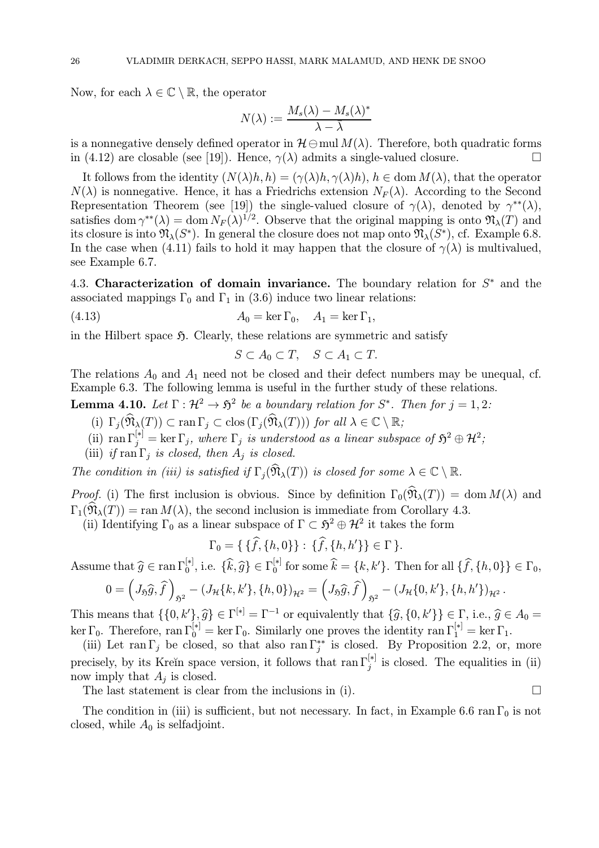Now, for each  $\lambda \in \mathbb{C} \setminus \mathbb{R}$ , the operator

$$
N(\lambda) := \frac{M_s(\lambda) - M_s(\lambda)^*}{\lambda - \overline{\lambda}}
$$

is a nonnegative densely defined operator in  $\mathcal{H}\ominus$  mul  $M(\lambda)$ . Therefore, both quadratic forms in (4.12) are closable (see [19]). Hence,  $\gamma(\lambda)$  admits a single-valued closure. in (4.12) are closable (see [19]). Hence,  $\gamma(\lambda)$  admits a single-valued closure.

It follows from the identity  $(N(\lambda)h, h) = (\gamma(\lambda)h, \gamma(\lambda)h), h \in \text{dom } M(\lambda)$ , that the operator  $N(\lambda)$  is nonnegative. Hence, it has a Friedrichs extension  $N_F(\lambda)$ . According to the Second Representation Theorem (see [19]) the single-valued closure of  $\gamma(\lambda)$ , denoted by  $\gamma^{**}(\lambda)$ , satisfies dom  $\gamma^{**}(\lambda) = \text{dom } N_F(\lambda)^{1/2}$ . Observe that the original mapping is onto  $\mathfrak{N}_{\lambda}(T)$  and its closure is into  $\mathfrak{N}_{\lambda}(S^*)$ . In general the closure does not map onto  $\mathfrak{N}_{\lambda}(S^*)$ , cf. Example 6.8. In the case when (4.11) fails to hold it may happen that the closure of  $\gamma(\lambda)$  is multivalued, see Example 6.7.

4.3. Characterization of domain invariance. The boundary relation for  $S^*$  and the associated mappings  $\Gamma_0$  and  $\Gamma_1$  in (3.6) induce two linear relations:

(4.13) 
$$
A_0 = \ker \Gamma_0, \quad A_1 = \ker \Gamma_1,
$$

in the Hilbert space  $\mathfrak{H}$ . Clearly, these relations are symmetric and satisfy

 $S \subset A_0 \subset T$ ,  $S \subset A_1 \subset T$ .

The relations  $A_0$  and  $A_1$  need not be closed and their defect numbers may be unequal, cf. Example 6.3. The following lemma is useful in the further study of these relations.

**Lemma 4.10.** Let  $\Gamma : \mathcal{H}^2 \to \mathfrak{H}^2$  be a boundary relation for  $S^*$ . Then for  $j = 1, 2$ :

- (i)  $\Gamma_j(\widehat{\mathfrak{N}}_{\lambda}(T)) \subset \text{ran }\Gamma_j \subset \text{clos }(\Gamma_j(\widehat{\mathfrak{N}}_{\lambda}(T)))$  for all  $\lambda \in \mathbb{C} \setminus \mathbb{R}$ ;
- (ii)  $\text{ran } \Gamma_j^{[*]} = \text{ker } \Gamma_j$ , where  $\Gamma_j$  is understood as a linear subspace of  $\mathfrak{H}^2 \oplus \mathcal{H}^2$ ;
- (iii) if  $\text{ran } \Gamma_i$  is closed, then  $A_i$  is closed.

The condition in (iii) is satisfied if  $\Gamma_i(\widehat{\mathfrak{N}}_{\lambda}(T))$  is closed for some  $\lambda \in \mathbb{C} \setminus \mathbb{R}$ .

*Proof.* (i) The first inclusion is obvious. Since by definition  $\Gamma_0(\widehat{\mathfrak{N}}_{\lambda}(T)) = \text{dom } M(\lambda)$  and  $\Gamma_1(\widehat{\mathfrak{N}}_{\lambda}(T)) = \text{ran } M(\lambda)$ , the second inclusion is immediate from Corollary 4.3.

(ii) Identifying  $\Gamma_0$  as a linear subspace of  $\Gamma \subset \mathfrak{H}^2 \oplus \mathcal{H}^2$  it takes the form

$$
\Gamma_0 = \{ \{f, \{h, 0\}\} : \{f, \{h, h'\}\} \in \Gamma \}.
$$

Assume that  $\widehat{g} \in \text{ran }\Gamma_0^{[*]},$  i.e.  $\{\widehat{k}, \widehat{g}\} \in \Gamma_0^{[*]}$  for some  $\widehat{k} = \{k, k'\}$ . Then for all  $\{\widehat{f}, \{h, 0\}\} \in \Gamma_0$ ,

$$
0 = \left(J_{\mathfrak{H}}\widehat{g}, \widehat{f}\right)_{\mathfrak{H}^2} - \left(J_{\mathcal{H}}\{k, k'\}, \{h, 0\}\right)_{\mathcal{H}^2} = \left(J_{\mathfrak{H}}\widehat{g}, \widehat{f}\right)_{\mathfrak{H}^2} - \left(J_{\mathcal{H}}\{0, k'\}, \{h, h'\}\right)_{\mathcal{H}^2}.
$$

This means that  $\{\{0, k'\}, \widehat{g}\} \in \Gamma^{[*]} = \Gamma^{-1}$  or equivalently that  $\{\widehat{g}, \{0, k'\}\} \in \Gamma$ , i.e.,  $\widehat{g} \in A_0 =$ ker  $\Gamma_0$ . Therefore, ran  $\Gamma_0^{[*]} = \ker \Gamma_0$ . Similarly one proves the identity ran  $\Gamma_1^{[*]} = \ker \Gamma_1$ .

(iii) Let ran Γ<sub>j</sub> be closed, so that also ran  $\Gamma_j^*$  is closed. By Proposition 2.2, or, more precisely, by its Kreĭn space version, it follows that ran  $\Gamma_j^{[*]}$  is closed. The equalities in (ii) now imply that  $A_i$  is closed.

The last statement is clear from the inclusions in (i).

The condition in (iii) is sufficient, but not necessary. In fact, in Example 6.6 ran  $\Gamma_0$  is not closed, while  $A_0$  is selfadjoint.

$$
\mathcal{L}_{\mathcal{L}}
$$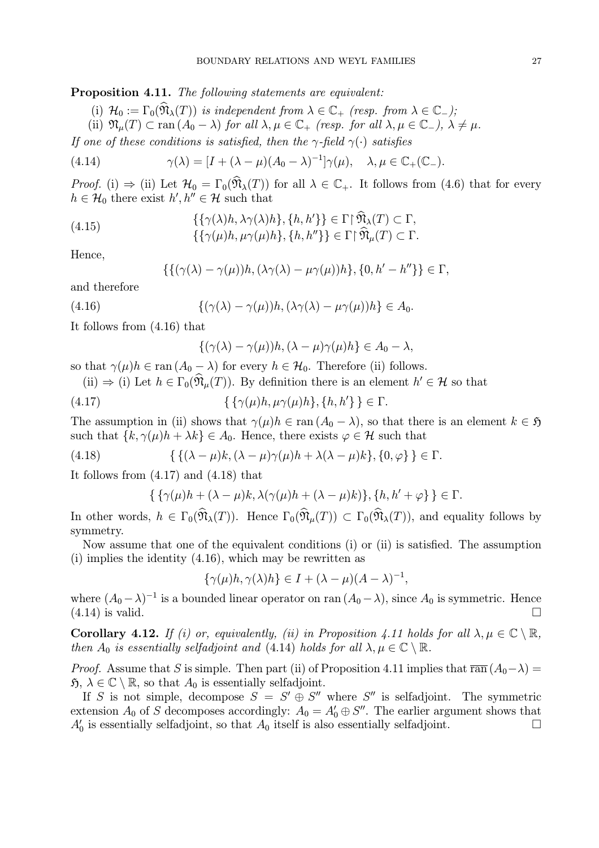Proposition 4.11. The following statements are equivalent:

(i)  $\mathcal{H}_0 := \Gamma_0(\widehat{\mathfrak{N}}_{\lambda}(T))$  is independent from  $\lambda \in \mathbb{C}_+$  (resp. from  $\lambda \in \mathbb{C}_-$ );

(ii)  $\mathfrak{N}_{\mu}(T) \subset \text{ran} (A_0 - \lambda)$  for all  $\lambda, \mu \in \mathbb{C}_+$  (resp. for all  $\lambda, \mu \in \mathbb{C}_-$ ),  $\lambda \neq \mu$ .

If one of these conditions is satisfied, then the  $\gamma$ -field  $\gamma(\cdot)$  satisfies

(4.14) 
$$
\gamma(\lambda) = [I + (\lambda - \mu)(A_0 - \lambda)^{-1}] \gamma(\mu), \quad \lambda, \mu \in \mathbb{C}_+(\mathbb{C}_-).
$$

Proof. (i)  $\Rightarrow$  (ii) Let  $\mathcal{H}_0 = \Gamma_0(\widehat{\mathfrak{N}}_{\lambda}(T))$  for all  $\lambda \in \mathbb{C}_+$ . It follows from (4.6) that for every  $h \in \mathcal{H}_0$  there exist  $h', h'' \in \mathcal{H}$  such that

(4.15) 
$$
\{\{\gamma(\lambda)h, \lambda\gamma(\lambda)h\}, \{h, h'\}\}\in \Gamma\upharpoonright \widetilde{\mathfrak{N}}_{\lambda}(T) \subset \Gamma, \{\{\gamma(\mu)h, \mu\gamma(\mu)h\}, \{h, h''\}\}\in \Gamma\upharpoonright \widehat{\mathfrak{N}}_{\mu}(T) \subset \Gamma.
$$

Hence,

$$
\{\{(\gamma(\lambda)-\gamma(\mu))h,(\lambda\gamma(\lambda)-\mu\gamma(\mu))h\},\{0,h'-h''\}\}\in\Gamma,
$$

and therefore

(4.16) 
$$
\{(\gamma(\lambda)-\gamma(\mu))h,(\lambda\gamma(\lambda)-\mu\gamma(\mu))h\}\in A_0.
$$

It follows from (4.16) that

$$
\{(\gamma(\lambda)-\gamma(\mu))h,(\lambda-\mu)\gamma(\mu)h\}\in A_0-\lambda,
$$

so that  $\gamma(\mu)h \in \text{ran} (A_0 - \lambda)$  for every  $h \in \mathcal{H}_0$ . Therefore (ii) follows.

(ii)  $\Rightarrow$  (i) Let  $h \in \Gamma_0(\hat{\mathfrak{N}}_\mu(T))$ . By definition there is an element  $h' \in \mathcal{H}$  so that

$$
\{\{\gamma(\mu)h, \mu\gamma(\mu)h\}, \{h, h'\}\}\in \Gamma.
$$

The assumption in (ii) shows that  $\gamma(\mu)h \in \text{ran } (A_0 - \lambda)$ , so that there is an element  $k \in \mathfrak{H}$ such that  $\{k, \gamma(\mu)h + \lambda k\} \in A_0$ . Hence, there exists  $\varphi \in \mathcal{H}$  such that

(4.18) 
$$
\{\{(\lambda-\mu)k,(\lambda-\mu)\gamma(\mu)h+\lambda(\lambda-\mu)k\},\{0,\varphi\}\}\in\Gamma.
$$

It follows from (4.17) and (4.18) that

$$
\{ \{ \gamma(\mu)h + (\lambda - \mu)k, \lambda(\gamma(\mu)h + (\lambda - \mu)k) \}, \{h, h' + \varphi \} \} \in \Gamma.
$$

In other words,  $h \in \Gamma_0(\widehat{\mathfrak{N}}_{\lambda}(T))$ . Hence  $\Gamma_0(\widehat{\mathfrak{N}}_{\mu}(T)) \subset \Gamma_0(\widehat{\mathfrak{N}}_{\lambda}(T))$ , and equality follows by symmetry.

Now assume that one of the equivalent conditions (i) or (ii) is satisfied. The assumption (i) implies the identity (4.16), which may be rewritten as

 $\{\gamma(\mu)h, \gamma(\lambda)h\} \in I + (\lambda - \mu)(A - \lambda)^{-1},$ 

where  $(A_0 - \lambda)^{-1}$  is a bounded linear operator on ran  $(A_0 - \lambda)$ , since  $A_0$  is symmetric. Hence (4.14) is valid.  $(4.14)$  is valid.

**Corollary 4.12.** If (i) or, equivalently, (ii) in Proposition 4.11 holds for all  $\lambda, \mu \in \mathbb{C} \setminus \mathbb{R}$ , then  $A_0$  is essentially selfadjoint and (4.14) holds for all  $\lambda, \mu \in \mathbb{C} \setminus \mathbb{R}$ .

*Proof.* Assume that S is simple. Then part (ii) of Proposition 4.11 implies that  $\overline{\text{ran}}(A_0-\lambda)$  =  $\mathfrak{H}, \lambda \in \mathbb{C} \setminus \mathbb{R}$ , so that  $A_0$  is essentially selfadjoint.

If S is not simple, decompose  $S = S' \oplus S''$  where S'' is selfadjoint. The symmetric extension  $A_0$  of S decomposes accordingly:  $A_0 = A'_0 \oplus S''$ . The earlier argument shows that  $A'_0$  is essentially selfadjoint, so that  $A_0$  itself is also essentially selfadjoint.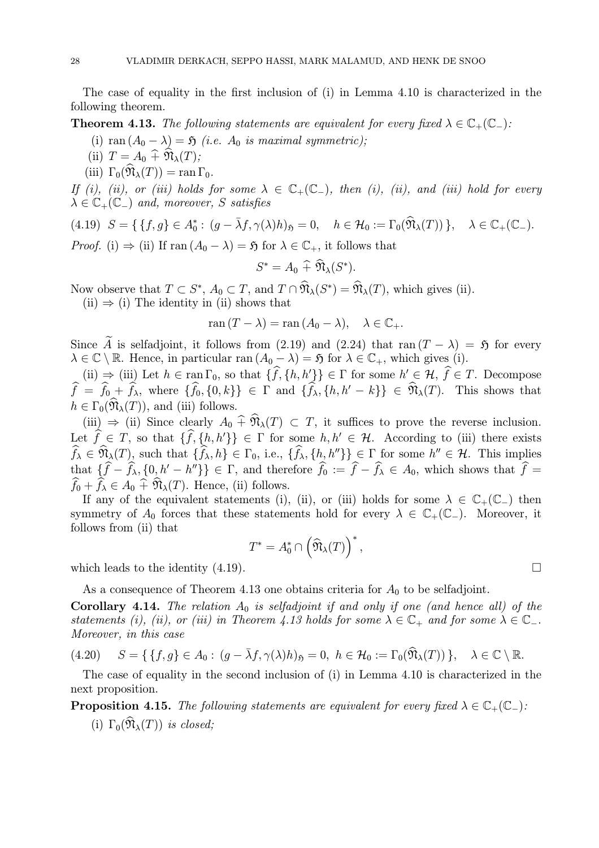The case of equality in the first inclusion of (i) in Lemma 4.10 is characterized in the following theorem.

**Theorem 4.13.** The following statements are equivalent for every fixed  $\lambda \in \mathbb{C}_+(\mathbb{C}_-)$ :

- (i) ran  $(A_0 \lambda) = \mathfrak{H}$  (i.e.  $A_0$  is maximal symmetric);
- (ii)  $T = A_0 + \widehat{\mathfrak{N}}_{\lambda}(T);$
- (iii)  $\Gamma_0(\widehat{\mathfrak{N}}_{\lambda}(T)) = \text{ran }\Gamma_0$ .

If (i), (ii), or (iii) holds for some  $\lambda \in \mathbb{C}_+(\mathbb{C}_-)$ , then (i), (ii), and (iii) hold for every  $\lambda \in \mathbb{C}_+(\mathbb{C}_-)$  and, moreover, S satisfies

$$
(4.19) \quad S = \{ \{f, g\} \in A_0^* : (g - \bar{\lambda}f, \gamma(\lambda)h)_{\mathfrak{H}} = 0, \quad h \in \mathcal{H}_0 := \Gamma_0(\widehat{\mathfrak{N}}_{\lambda}(T)) \}, \quad \lambda \in \mathbb{C}_+(\mathbb{C}_-).
$$

*Proof.* (i)  $\Rightarrow$  (ii) If ran  $(A_0 - \lambda) = \mathfrak{H}$  for  $\lambda \in \mathbb{C}_+$ , it follows that

$$
S^* = A_0 \widehat{+} \mathfrak{N}_{\lambda}(S^*).
$$

Now observe that  $T \subset S^*$ ,  $A_0 \subset T$ , and  $T \cap \mathfrak{N}_{\lambda}(S^*) = \mathfrak{N}_{\lambda}(T)$ , which gives (ii).

 $(ii) \Rightarrow (i)$  The identity in (ii) shows that

$$
\operatorname{ran}(T - \lambda) = \operatorname{ran}(A_0 - \lambda), \quad \lambda \in \mathbb{C}_+.
$$

Since  $\widetilde{A}$  is selfadjoint, it follows from (2.19) and (2.24) that ran  $(T - \lambda) = \widetilde{B}$  for every  $\lambda \in \mathbb{C} \setminus \mathbb{R}$ . Hence, in particular ran  $(A_0 - \lambda) = \mathfrak{H}$  for  $\lambda \in \mathbb{C}_+$ , which gives (i).

(ii)  $\Rightarrow$  (iii) Let  $h \in \text{ran } \Gamma_0$ , so that  $\{f, \{h, h'\}\}\in \Gamma$  for some  $h' \in \mathcal{H}, f \in T$ . Decompose  $f = f_{0} + f_{\lambda}$ , where  $\{f_{0}, \{0, k\}\}\in \Gamma$  and  $\{f_{\lambda}, \{h, h' - k\}\}\in \mathfrak{N}_{\lambda}(T)$ . This shows that  $h \in \Gamma_0(\mathfrak{N}_\lambda(T))$ , and (iii) follows.

(iii)  $\Rightarrow$  (ii) Since clearly  $A_0 \,\hat{+} \,\hat{\mathfrak{N}}_{\lambda}(T) \subset T$ , it suffices to prove the reverse inclusion. Let  $f \in T$ , so that  $\{f, \{h, h'\}\}\in \Gamma$  for some  $h, h' \in \mathcal{H}$ . According to (iii) there exists  $f_{\lambda} \in \mathfrak{N}_{\lambda}(T)$ , such that  $\{f_{\lambda}, h\} \in \Gamma_0$ , i.e.,  $\{f_{\lambda}, \{h_{\lambda}, h''\}\}\subsetneq \Gamma$  for some  $h'' \in \mathcal{H}$ . This implies that  $\{f - f_\lambda, \{0, h' - h''\}\}\in \Gamma$ , and therefore  $f_0 := f - f_\lambda \in A_0$ , which shows that  $f =$  $f_0 + f_\lambda \in A_0 + \mathfrak{N}_\lambda(T)$ . Hence, (ii) follows.

If any of the equivalent statements (i), (ii), or (iii) holds for some  $\lambda \in \mathbb{C}_+(\mathbb{C}_-)$  then symmetry of  $A_0$  forces that these statements hold for every  $\lambda \in \mathbb{C}_+(\mathbb{C}_-)$ . Moreover, it follows from (ii) that

$$
T^* = A_0^* \cap \left(\widehat{\mathfrak{N}}_{\lambda}(T)\right)^*,
$$

which leads to the identity  $(4.19)$ .

As a consequence of Theorem 4.13 one obtains criteria for  $A_0$  to be selfadjoint.

Corollary 4.14. The relation  $A_0$  is selfadjoint if and only if one (and hence all) of the statements (i), (ii), or (iii) in Theorem 4.13 holds for some  $\lambda \in \mathbb{C}_+$  and for some  $\lambda \in \mathbb{C}_-$ . Moreover, in this case

$$
(4.20) \quad S = \{ \{f, g\} \in A_0 : (g - \bar{\lambda}f, \gamma(\lambda)h)_{\mathfrak{H}} = 0, \ h \in \mathcal{H}_0 := \Gamma_0(\widehat{\mathfrak{N}}_{\lambda}(T)) \}, \quad \lambda \in \mathbb{C} \setminus \mathbb{R}.
$$

The case of equality in the second inclusion of (i) in Lemma 4.10 is characterized in the next proposition.

**Proposition 4.15.** The following statements are equivalent for every fixed  $\lambda \in \mathbb{C}_+(\mathbb{C}_-)$ :

(i)  $\Gamma_0(\widehat{\mathfrak{N}}_{\lambda}(T))$  is closed;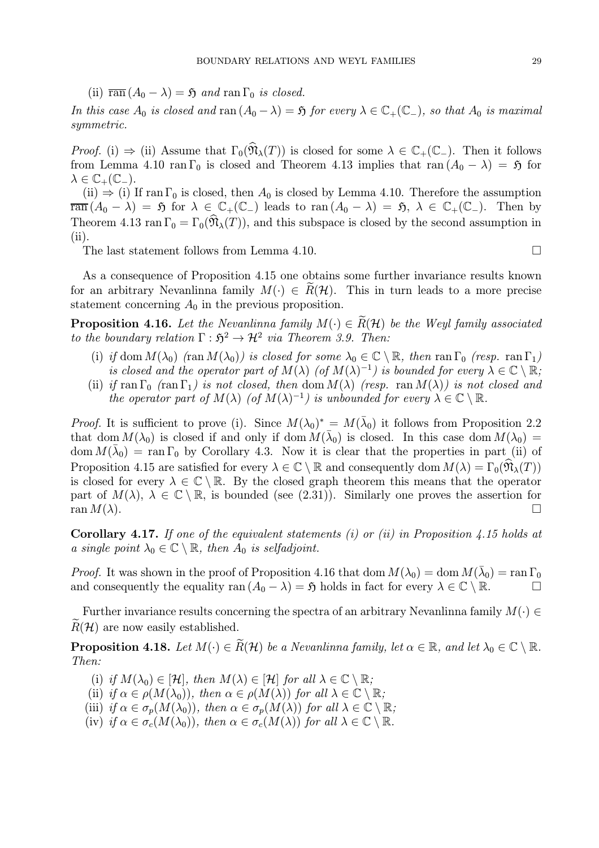(ii)  $\overline{\text{ran}} (A_0 - \lambda) = \mathfrak{H}$  and  $\text{ran } \Gamma_0$  is closed.

In this case  $A_0$  is closed and ran  $(A_0 - \lambda) = \mathfrak{H}$  for every  $\lambda \in \mathbb{C}_+(\mathbb{C}_-)$ , so that  $A_0$  is maximal symmetric.

Proof. (i)  $\Rightarrow$  (ii) Assume that  $\Gamma_0(\widehat{\mathfrak{N}}_{\lambda}(T))$  is closed for some  $\lambda \in \mathbb{C}_+(\mathbb{C}_-)$ . Then it follows from Lemma 4.10 ran Γ<sub>0</sub> is closed and Theorem 4.13 implies that ran  $(A_0 - \lambda) = \mathfrak{H}$  for  $\lambda \in \mathbb{C}_+(\mathbb{C}_-).$ 

(ii)  $\Rightarrow$  (i) If ran  $\Gamma_0$  is closed, then  $A_0$  is closed by Lemma 4.10. Therefore the assumption  $\overline{\text{ran}} (A_0 - \lambda) = \overline{\mathfrak{H}}$  for  $\lambda \in \mathbb{C}_+(\mathbb{C}_-)$  leads to  $\text{ran}(A_0 - \lambda) = \overline{\mathfrak{H}}, \lambda \in \mathbb{C}_+(\mathbb{C}_-)$ . Then by Theorem 4.13 ran  $\Gamma_0 = \Gamma_0(\hat{\mathfrak{N}}_{\lambda}(T))$ , and this subspace is closed by the second assumption in (ii).

The last statement follows from Lemma 4.10.

As a consequence of Proposition 4.15 one obtains some further invariance results known for an arbitrary Nevanlinna family  $M(\cdot) \in R(H)$ . This in turn leads to a more precise statement concerning  $A_0$  in the previous proposition.

**Proposition 4.16.** Let the Nevanlinna family  $M(\cdot) \in R(H)$  be the Weyl family associated to the boundary relation  $\Gamma : \mathfrak{H}^2 \to \mathcal{H}^2$  via Theorem 3.9. Then:

- (i) if dom  $M(\lambda_0)$  (ran  $M(\lambda_0)$ ) is closed for some  $\lambda_0 \in \mathbb{C} \setminus \mathbb{R}$ , then ran  $\Gamma_0$  (resp. ran  $\Gamma_1$ ) is closed and the operator part of  $M(\lambda)$  (of  $M(\lambda)^{-1}$ ) is bounded for every  $\lambda \in \mathbb{C} \setminus \mathbb{R}$ ;
- (ii) if ran  $\Gamma_0$  (ran  $\Gamma_1$ ) is not closed, then dom  $M(\lambda)$  (resp. ran  $M(\lambda)$ ) is not closed and the operator part of  $M(\lambda)$  (of  $M(\lambda)^{-1}$ ) is unbounded for every  $\lambda \in \mathbb{C} \setminus \mathbb{R}$ .

*Proof.* It is sufficient to prove (i). Since  $M(\lambda_0)^* = M(\overline{\lambda}_0)$  it follows from Proposition 2.2 that dom  $M(\lambda_0)$  is closed if and only if dom  $M(\bar{\lambda}_0)$  is closed. In this case dom  $M(\lambda_0)$  = dom  $M(\bar{\lambda}_0)$  = ran  $\Gamma_0$  by Corollary 4.3. Now it is clear that the properties in part (ii) of Proposition 4.15 are satisfied for every  $\lambda \in \mathbb{C} \setminus \mathbb{R}$  and consequently dom  $M(\lambda) = \Gamma_0(\mathfrak{N}_\lambda(T))$ is closed for every  $\lambda \in \mathbb{C} \setminus \mathbb{R}$ . By the closed graph theorem this means that the operator part of  $M(\lambda)$ ,  $\lambda \in \mathbb{C} \setminus \mathbb{R}$ , is bounded (see (2.31)). Similarly one proves the assertion for ran  $M(\lambda)$ .  $ran M(\lambda).$ 

Corollary 4.17. If one of the equivalent statements (i) or (ii) in Proposition 4.15 holds at a single point  $\lambda_0 \in \mathbb{C} \setminus \mathbb{R}$ , then  $A_0$  is selfadjoint.

*Proof.* It was shown in the proof of Proposition 4.16 that dom  $M(\lambda_0) = \text{dom } M(\bar{\lambda}_0) = \text{ran } \Gamma_0$ and consequently the equality ran  $(A_0 - \lambda) = \mathfrak{H}$  holds in fact for every  $\lambda \in \mathbb{C} \setminus \mathbb{R}$ .

Further invariance results concerning the spectra of an arbitrary Nevanlinna family  $M(\cdot) \in$  $R(\mathcal{H})$  are now easily established.

**Proposition 4.18.** Let  $M(\cdot) \in \widetilde{R}(\mathcal{H})$  be a Nevanlinna family, let  $\alpha \in \mathbb{R}$ , and let  $\lambda_0 \in \mathbb{C} \setminus \mathbb{R}$ . Then:

- (i) if  $M(\lambda_0) \in [\mathcal{H}]$ , then  $M(\lambda) \in [\mathcal{H}]$  for all  $\lambda \in \mathbb{C} \setminus \mathbb{R}$ ;
- (ii) if  $\alpha \in \rho(M(\lambda_0))$ , then  $\alpha \in \rho(M(\lambda))$  for all  $\lambda \in \mathbb{C} \setminus \mathbb{R}$ ;
- (iii) if  $\alpha \in \sigma_p(M(\lambda_0))$ , then  $\alpha \in \sigma_p(M(\lambda))$  for all  $\lambda \in \mathbb{C} \setminus \mathbb{R}$ ;
- (iv) if  $\alpha \in \sigma_c(M(\lambda_0))$ , then  $\alpha \in \sigma_c(M(\lambda))$  for all  $\lambda \in \mathbb{C} \setminus \mathbb{R}$ .

$$
\qquad \qquad \Box
$$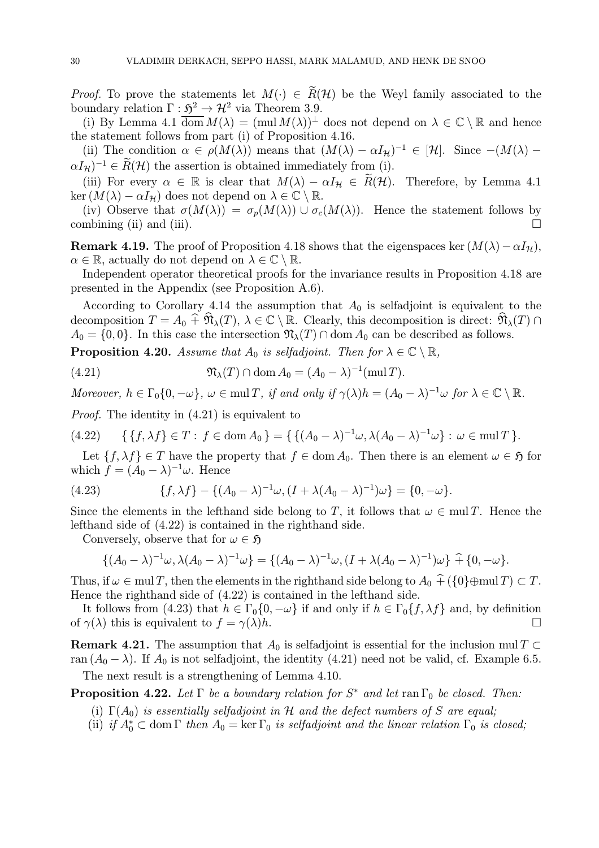*Proof.* To prove the statements let  $M(\cdot) \in \widetilde{R}(\mathcal{H})$  be the Weyl family associated to the boundary relation  $\Gamma : \mathfrak{H}^2 \to \mathcal{H}^2$  via Theorem 3.9.

(i) By Lemma 4.1  $\overline{\text{dom}} M(\lambda) = (\text{mul } M(\lambda))^{\perp}$  does not depend on  $\lambda \in \mathbb{C} \setminus \mathbb{R}$  and hence the statement follows from part (i) of Proposition 4.16.

(ii) The condition  $\alpha \in \rho(M(\lambda))$  means that  $(M(\lambda) - \alpha I_{\mathcal{H}})^{-1} \in [\mathcal{H}]$ . Since  $-(M(\lambda) \alpha I_H$ )<sup>-1</sup> ∈  $\widetilde{R}(\mathcal{H})$  the assertion is obtained immediately from (i).

(iii) For every  $\alpha \in \mathbb{R}$  is clear that  $M(\lambda) - \alpha I_H \in \tilde{R}(\mathcal{H})$ . Therefore, by Lemma 4.1 ker  $(M(\lambda) - \alpha I_{\mathcal{H}})$  does not depend on  $\lambda \in \mathbb{C} \setminus \mathbb{R}$ .

(iv) Observe that  $\sigma(M(\lambda)) = \sigma_p(M(\lambda)) \cup \sigma_c(M(\lambda))$ . Hence the statement follows by mbining (ii) and (iii). combining (ii) and (iii).

**Remark 4.19.** The proof of Proposition 4.18 shows that the eigenspaces ker  $(M(\lambda) - \alpha I_{\mathcal{H}})$ ,  $\alpha \in \mathbb{R}$ , actually do not depend on  $\lambda \in \mathbb{C} \setminus \mathbb{R}$ .

Independent operator theoretical proofs for the invariance results in Proposition 4.18 are presented in the Appendix (see Proposition A.6).

According to Corollary 4.14 the assumption that  $A_0$  is selfadjoint is equivalent to the decomposition  $T = A_0 \widehat{+} \widehat{\mathfrak{N}}_{\lambda}(T), \lambda \in \mathbb{C} \setminus \mathbb{R}$ . Clearly, this decomposition is direct:  $\widehat{\mathfrak{N}}_{\lambda}(T) \cap$  $A_0 = \{0, 0\}$ . In this case the intersection  $\mathfrak{N}_{\lambda}(T) \cap \text{dom } A_0$  can be described as follows.

**Proposition 4.20.** Assume that  $A_0$  is selfadjoint. Then for  $\lambda \in \mathbb{C} \setminus \mathbb{R}$ ,

(4.21) 
$$
\mathfrak{N}_{\lambda}(T) \cap \text{dom}\, A_0 = (A_0 - \lambda)^{-1}(\text{mul}\, T).
$$

Moreover,  $h \in \Gamma_0\{0, -\omega\}$ ,  $\omega \in \text{mul } T$ , if and only if  $\gamma(\lambda)h = (A_0 - \lambda)^{-1}\omega$  for  $\lambda \in \mathbb{C} \setminus \mathbb{R}$ .

Proof. The identity in (4.21) is equivalent to

$$
(4.22) \qquad \{ \{f, \lambda f\} \in T : f \in \text{dom}\, A_0 \} = \{ \{ (A_0 - \lambda)^{-1} \omega, \lambda (A_0 - \lambda)^{-1} \omega \} : \omega \in \text{mul}\, T \}.
$$

Let  $\{f, \lambda f\} \in T$  have the property that  $f \in \text{dom } A_0$ . Then there is an element  $\omega \in \mathfrak{H}$  for which  $f = (A_0 - \lambda)^{-1} \omega$ . Hence

(4.23) 
$$
\{f, \lambda f\} - \{ (A_0 - \lambda)^{-1} \omega, (I + \lambda (A_0 - \lambda)^{-1}) \omega \} = \{0, -\omega \}.
$$

Since the elements in the lefthand side belong to T, it follows that  $\omega \in \text{mul } T$ . Hence the lefthand side of (4.22) is contained in the righthand side.

Conversely, observe that for  $\omega \in \mathfrak{H}$ 

$$
\{(A_0 - \lambda)^{-1} \omega, \lambda (A_0 - \lambda)^{-1} \omega\} = \{(A_0 - \lambda)^{-1} \omega, (I + \lambda (A_0 - \lambda)^{-1}) \omega\} \hat{+} \{0, -\omega\}.
$$

Thus, if  $\omega \in \text{mul } T$ , then the elements in the righthand side belong to  $A_0 \hat{+} (\{0\} \oplus \text{mul } T) \subset T$ . Hence the righthand side of (4.22) is contained in the lefthand side.

It follows from (4.23) that  $h \in \Gamma_0\{0, -\omega\}$  if and only if  $h \in \Gamma_0\{f, \lambda f\}$  and, by definition  $\gamma(\lambda)$  this is equivalent to  $f = \gamma(\lambda)h$ . of  $\gamma(\lambda)$  this is equivalent to  $f = \gamma(\lambda)h$ .

**Remark 4.21.** The assumption that  $A_0$  is selfadjoint is essential for the inclusion mul T ⊂ ran  $(A_0 - \lambda)$ . If  $A_0$  is not selfadjoint, the identity (4.21) need not be valid, cf. Example 6.5.

The next result is a strengthening of Lemma 4.10.

**Proposition 4.22.** Let  $\Gamma$  be a boundary relation for  $S^*$  and let ran  $\Gamma_0$  be closed. Then:

- (i)  $\Gamma(A_0)$  is essentially selfadjoint in H and the defect numbers of S are equal;
- (ii) if  $A_0^* \subset \text{dom } \Gamma$  then  $A_0 = \ker \Gamma_0$  is selfadjoint and the linear relation  $\Gamma_0$  is closed;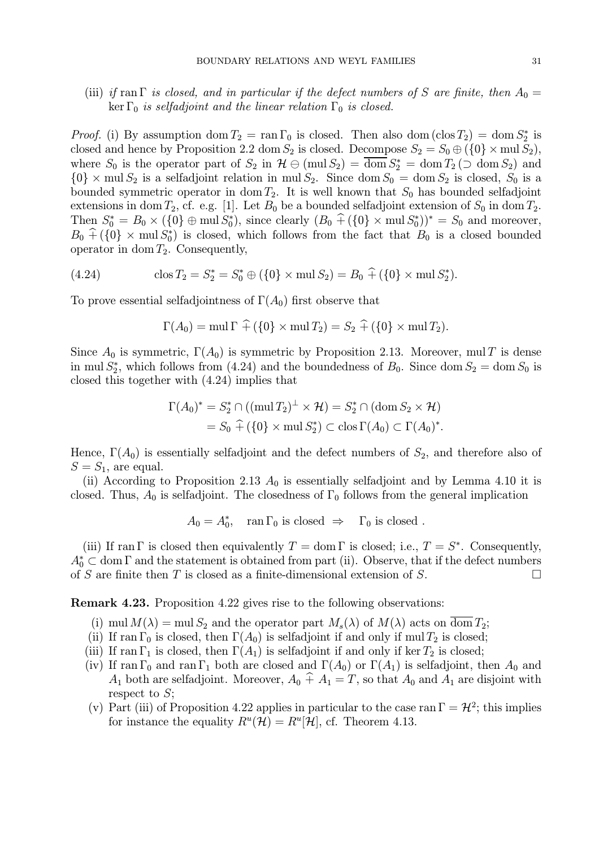(iii) if ran Γ is closed, and in particular if the defect numbers of S are finite, then  $A_0 =$ ker  $\Gamma_0$  is selfadjoint and the linear relation  $\Gamma_0$  is closed.

*Proof.* (i) By assumption  $\text{dom } T_2 = \text{ran } \Gamma_0$  is closed. Then also  $\text{dom } (\text{clos } T_2) = \text{dom } S_2^*$  is closed and hence by Proposition 2.2 dom  $S_2$  is closed. Decompose  $S_2 = S_0 \oplus (\{0\} \times \text{mul } S_2)$ , where  $S_0$  is the operator part of  $S_2$  in  $\mathcal{H} \ominus (\text{mul } S_2) = \text{dom } S_2^* = \text{dom } T_2 \left( \supset \text{dom } S_2 \right)$  and  ${0} \times$  mul  $S_2$  is a selfadjoint relation in mul  $S_2$ . Since dom  $S_0 =$  dom  $S_2$  is closed,  $S_0$  is a bounded symmetric operator in dom  $T_2$ . It is well known that  $S_0$  has bounded selfadjoint extensions in dom  $T_2$ , cf. e.g. [1]. Let  $B_0$  be a bounded selfadjoint extension of  $S_0$  in dom  $T_2$ . Then  $S_0^* = B_0 \times (\{0\} \oplus \text{mul } S_0^*)$ , since clearly  $(B_0 + (\{0\} \times \text{mul } S_0^*))^* = S_0$  and moreover,  $B_0 + (\{0\} \times \text{mul } S_0^*)$  is closed, which follows from the fact that  $B_0$  is a closed bounded operator in dom  $T_2$ . Consequently,

(4.24) 
$$
\cos T_2 = S_2^* = S_0^* \oplus (\{0\} \times \text{mul } S_2) = B_0 \widehat{+} (\{0\} \times \text{mul } S_2^*).
$$

To prove essential selfadjointness of  $\Gamma(A_0)$  first observe that

$$
\Gamma(A_0) = \text{mul } \Gamma \widehat{+} (\{0\} \times \text{mul } T_2) = S_2 \widehat{+} (\{0\} \times \text{mul } T_2).
$$

Since  $A_0$  is symmetric,  $\Gamma(A_0)$  is symmetric by Proposition 2.13. Moreover, mul T is dense in mul  $S_2^*$ , which follows from (4.24) and the boundedness of  $B_0$ . Since dom  $S_2 = \text{dom } S_0$  is closed this together with (4.24) implies that

$$
\Gamma(A_0)^* = S_2^* \cap ((\text{mul } T_2)^{\perp} \times \mathcal{H}) = S_2^* \cap (\text{dom } S_2 \times \mathcal{H})
$$
  
=  $S_0 \widehat{+} (\{0\} \times \text{mul } S_2^*) \subset \text{clos } \Gamma(A_0) \subset \Gamma(A_0)^*.$ 

Hence,  $\Gamma(A_0)$  is essentially selfadjoint and the defect numbers of  $S_2$ , and therefore also of  $S = S_1$ , are equal.

(ii) According to Proposition 2.13  $A_0$  is essentially selfadjoint and by Lemma 4.10 it is closed. Thus,  $A_0$  is selfadjoint. The closedness of  $\Gamma_0$  follows from the general implication

 $A_0 = A_0^*$ , ran  $\Gamma_0$  is closed  $\Rightarrow$   $\Gamma_0$  is closed.

(iii) If ran Γ is closed then equivalently  $T = \text{dom } \Gamma$  is closed; i.e.,  $T = S^*$ . Consequently,  $A_0^* \subset \text{dom }\Gamma$  and the statement is obtained from part (ii). Observe, that if the defect numbers of S are finite then T is closed as a finite-dimensional extension of S.  $\Box$ 

Remark 4.23. Proposition 4.22 gives rise to the following observations:

- (i) mul  $M(\lambda) = \text{mul } S_2$  and the operator part  $M_s(\lambda)$  of  $M(\lambda)$  acts on  $\overline{\text{dom }} T_2$ ;
- (ii) If ran  $\Gamma_0$  is closed, then  $\Gamma(A_0)$  is selfadjoint if and only if mul  $T_2$  is closed;
- (iii) If ran  $\Gamma_1$  is closed, then  $\Gamma(A_1)$  is selfadjoint if and only if ker  $T_2$  is closed;
- (iv) If ran  $\Gamma_0$  and ran  $\Gamma_1$  both are closed and  $\Gamma(A_0)$  or  $\Gamma(A_1)$  is selfadjoint, then  $A_0$  and  $A_1$  both are selfadjoint. Moreover,  $A_0 \hat{+} A_1 = T$ , so that  $A_0$  and  $A_1$  are disjoint with respect to S;
- (v) Part (iii) of Proposition 4.22 applies in particular to the case ran  $\Gamma = \mathcal{H}^2$ ; this implies for instance the equality  $R^u(\mathcal{H}) = R^u[\mathcal{H}]$ , cf. Theorem 4.13.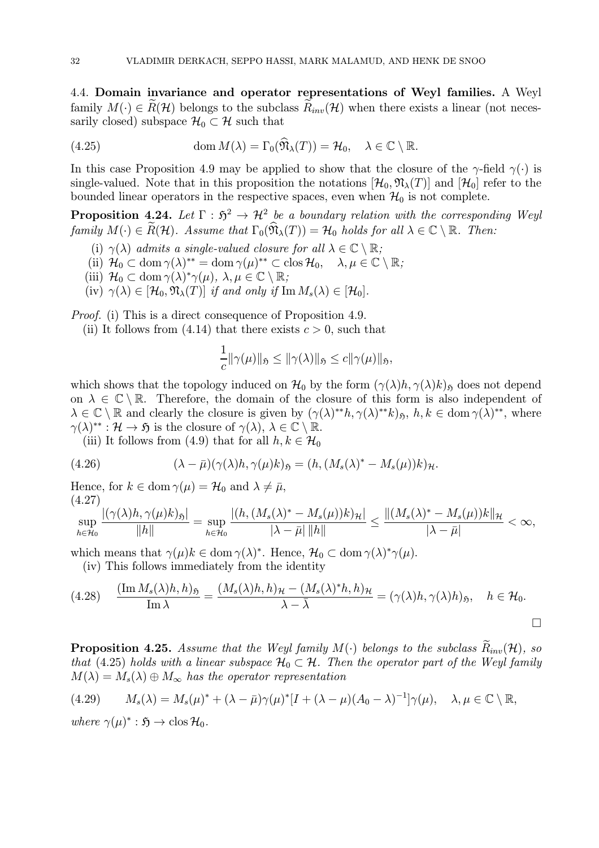4.4. Domain invariance and operator representations of Weyl families. A Weyl family  $M(\cdot) \in R(H)$  belongs to the subclass  $R_{inv}(\mathcal{H})$  when there exists a linear (not necessarily closed) subspace  $\mathcal{H}_0 \subset \mathcal{H}$  such that

(4.25) 
$$
\operatorname{dom} M(\lambda) = \Gamma_0(\widehat{\mathfrak{N}}_{\lambda}(T)) = \mathcal{H}_0, \quad \lambda \in \mathbb{C} \setminus \mathbb{R}.
$$

In this case Proposition 4.9 may be applied to show that the closure of the  $\gamma$ -field  $\gamma(\cdot)$  is single-valued. Note that in this proposition the notations  $[\mathcal{H}_0, \mathfrak{N}_\lambda(T)]$  and  $[\mathcal{H}_0]$  refer to the bounded linear operators in the respective spaces, even when  $\mathcal{H}_0$  is not complete.

**Proposition 4.24.** Let  $\Gamma : \mathfrak{H}^2 \to \mathcal{H}^2$  be a boundary relation with the corresponding Weyl family  $M(\cdot) \in \widetilde{R}(\mathcal{H})$ . Assume that  $\Gamma_0(\widehat{\mathfrak{N}}_{\lambda}(T)) = \mathcal{H}_0$  holds for all  $\lambda \in \mathbb{C} \setminus \mathbb{R}$ . Then:

- (i)  $\gamma(\lambda)$  admits a single-valued closure for all  $\lambda \in \mathbb{C} \setminus \mathbb{R}$ ;
- (ii)  $\mathcal{H}_0 \subset \text{dom } \gamma(\lambda)^{**} = \text{dom } \gamma(\mu)^{**} \subset \text{clos } \mathcal{H}_0, \quad \lambda, \mu \in \mathbb{C} \setminus \mathbb{R};$
- (iii)  $\mathcal{H}_0 \subset \text{dom } \gamma(\lambda)^* \gamma(\mu), \ \lambda, \mu \in \mathbb{C} \setminus \mathbb{R};$
- (iv)  $\gamma(\lambda) \in [\mathcal{H}_0, \mathfrak{N}_{\lambda}(T)]$  if and only if  $\text{Im } M_s(\lambda) \in [\mathcal{H}_0]$ .

Proof. (i) This is a direct consequence of Proposition 4.9.

(ii) It follows from (4.14) that there exists  $c > 0$ , such that

$$
\frac{1}{c} \|\gamma(\mu)\|_{\mathfrak{H}} \le \|\gamma(\lambda)\|_{\mathfrak{H}} \le c \|\gamma(\mu)\|_{\mathfrak{H}},
$$

which shows that the topology induced on  $\mathcal{H}_0$  by the form  $(\gamma(\lambda)h, \gamma(\lambda)k)_{\mathfrak{H}}$  does not depend on  $\lambda \in \mathbb{C} \setminus \mathbb{R}$ . Therefore, the domain of the closure of this form is also independent of  $\lambda \in \mathbb{C} \setminus \mathbb{R}$  and clearly the closure is given by  $(\gamma(\lambda)^{**}h, \gamma(\lambda)^{**}k)_{\mathfrak{H}}, h, k \in \text{dom } \gamma(\lambda)^{**}$ , where  $\gamma(\lambda)^{**} : \mathcal{H} \to \mathfrak{H}$  is the closure of  $\gamma(\lambda), \lambda \in \mathbb{C} \setminus \mathbb{R}$ .

(iii) It follows from (4.9) that for all  $h, k \in \mathcal{H}_0$ 

(4.26) 
$$
(\lambda - \bar{\mu})(\gamma(\lambda)h, \gamma(\mu)k)_{\mathfrak{H}} = (h, (M_s(\lambda)^* - M_s(\mu))k)_{\mathcal{H}}.
$$

Hence, for  $k \in \text{dom } \gamma(\mu) = \mathcal{H}_0$  and  $\lambda \neq \bar{\mu}$ , (4.27)

$$
\sup_{h\in\mathcal{H}_0}\frac{|(\gamma(\lambda)h,\gamma(\mu)k)_{\mathfrak{H}}|}{\|h\|}=\sup_{h\in\mathcal{H}_0}\frac{|(h,(M_s(\lambda)^*-M_s(\mu))k)_{\mathcal{H}}|}{|\lambda-\bar{\mu}|}\frac{1}{\|h\|}\leq\frac{\|(M_s(\lambda)^*-M_s(\mu))k\|_{\mathcal{H}}}{|\lambda-\bar{\mu}|}<\infty,
$$

which means that  $\gamma(\mu)k \in \text{dom } \gamma(\lambda)^*$ . Hence,  $\mathcal{H}_0 \subset \text{dom } \gamma(\lambda)^* \gamma(\mu)$ .

(iv) This follows immediately from the identity

$$
(4.28)\quad \frac{(\operatorname{Im} M_s(\lambda)h, h)_{\mathfrak{H}}}{\operatorname{Im} \lambda} = \frac{(M_s(\lambda)h, h)_{\mathcal{H}} - (M_s(\lambda)^*h, h)_{\mathcal{H}}}{\lambda - \bar{\lambda}} = (\gamma(\lambda)h, \gamma(\lambda)h)_{\mathfrak{H}}, \quad h \in \mathcal{H}_0.
$$

**Proposition 4.25.** Assume that the Weyl family  $M(\cdot)$  belongs to the subclass  $R_{inv}(\mathcal{H})$ , so that (4.25) holds with a linear subspace  $\mathcal{H}_0 \subset \mathcal{H}$ . Then the operator part of the Weyl family  $M(\lambda) = M_s(\lambda) \oplus M_\infty$  has the operator representation

$$
(4.29) \qquad M_s(\lambda) = M_s(\mu)^* + (\lambda - \bar{\mu})\gamma(\mu)^*[I + (\lambda - \mu)(A_0 - \lambda)^{-1}]\gamma(\mu), \quad \lambda, \mu \in \mathbb{C} \setminus \mathbb{R},
$$

where  $\gamma(\mu)^* : \mathfrak{H} \to \text{clos } H_0$ .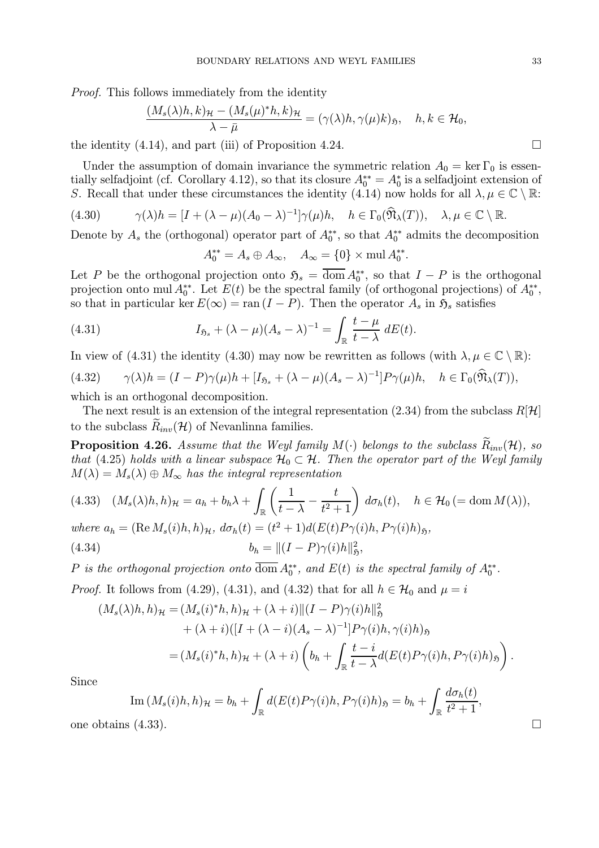Proof. This follows immediately from the identity

$$
\frac{(M_s(\lambda)h, k)_{\mathcal{H}} - (M_s(\mu)^*h, k)_{\mathcal{H}}}{\lambda - \bar{\mu}} = (\gamma(\lambda)h, \gamma(\mu)k)_{\mathfrak{H}}, \quad h, k \in \mathcal{H}_0,
$$

the identity  $(4.14)$ , and part (iii) of Proposition 4.24.

Under the assumption of domain invariance the symmetric relation  $A_0 = \ker \Gamma_0$  is essentially selfadjoint (cf. Corollary 4.12), so that its closure  $A_0^{**} = A_0^*$  is a selfadjoint extension of S. Recall that under these circumstances the identity (4.14) now holds for all  $\lambda, \mu \in \mathbb{C} \setminus \mathbb{R}$ :

(4.30) 
$$
\gamma(\lambda)h = [I + (\lambda - \mu)(A_0 - \lambda)^{-1}]\gamma(\mu)h, \quad h \in \Gamma_0(\widehat{\mathfrak{N}}_{\lambda}(T)), \quad \lambda, \mu \in \mathbb{C} \setminus \mathbb{R}.
$$

Denote by  $A_s$  the (orthogonal) operator part of  $A_0^{**}$ , so that  $A_0^{**}$  admits the decomposition

$$
A_0^{**} = A_s \oplus A_{\infty}, \quad A_{\infty} = \{0\} \times \text{mul } A_0^{**}.
$$

Let P be the orthogonal projection onto  $\mathfrak{H}_s = \text{dom } A_0^{**}$ , so that  $I - P$  is the orthogonal projection onto mul  $A_0^{**}$ . Let  $E(t)$  be the spectral family (of orthogonal projections) of  $A_0^{**}$ , so that in particular ker  $E(\infty) = \text{ran } (I - P)$ . Then the operator  $A_s$  in  $\mathfrak{H}_s$  satisfies

(4.31) 
$$
I_{\mathfrak{H}_s} + (\lambda - \mu)(A_s - \lambda)^{-1} = \int_{\mathbb{R}} \frac{t - \mu}{t - \lambda} dE(t).
$$

In view of (4.31) the identity (4.30) may now be rewritten as follows (with  $\lambda, \mu \in \mathbb{C} \setminus \mathbb{R}$ ):

$$
(4.32) \qquad \gamma(\lambda)h = (I - P)\gamma(\mu)h + [I_{\mathfrak{H}_s} + (\lambda - \mu)(A_s - \lambda)^{-1}]P\gamma(\mu)h, \quad h \in \Gamma_0(\widehat{\mathfrak{N}}_{\lambda}(T)),
$$

which is an orthogonal decomposition.

The next result is an extension of the integral representation (2.34) from the subclass  $R[\mathcal{H}]$ to the subclass  $\tilde{R}_{inv}(\mathcal{H})$  of Nevanlinna families.

**Proposition 4.26.** Assume that the Weyl family  $M(\cdot)$  belongs to the subclass  $\widetilde{R}_{inv}(\mathcal{H})$ , so that (4.25) holds with a linear subspace  $\mathcal{H}_0 \subset \mathcal{H}$ . Then the operator part of the Weyl family  $M(\lambda) = M_s(\lambda) \oplus M_\infty$  has the integral representation

$$
(4.33) \quad (M_s(\lambda)h, h)_{\mathcal{H}} = a_h + b_h \lambda + \int_{\mathbb{R}} \left( \frac{1}{t - \lambda} - \frac{t}{t^2 + 1} \right) d\sigma_h(t), \quad h \in \mathcal{H}_0 \, (= \text{dom } M(\lambda)),
$$

where 
$$
a_h = (\text{Re }M_s(i)h, h)_{\mathcal{H}}
$$
,  $d\sigma_h(t) = (t^2 + 1)d(E(t)P_{\gamma}(i)h, P_{\gamma}(i)h)_{\mathfrak{H}}$ ,

(4.34)  $b_h = ||(I - P)\gamma(i)h||_5^2,$ 

P is the orthogonal projection onto dom  $A_0^{**}$ , and  $E(t)$  is the spectral family of  $A_0^{**}$ .

*Proof.* It follows from (4.29), (4.31), and (4.32) that for all  $h \in \mathcal{H}_0$  and  $\mu = i$ 

$$
(M_s(\lambda)h, h)_{\mathcal{H}} = (M_s(i)^*h, h)_{\mathcal{H}} + (\lambda + i) \|(I - P)\gamma(i)h\|_{\mathfrak{H}}^2 + (\lambda + i)([I + (\lambda - i)(A_s - \lambda)^{-1}]P\gamma(i)h, \gamma(i)h)_{\mathfrak{H}} = (M_s(i)^*h, h)_{\mathcal{H}} + (\lambda + i)\left(b_h + \int_{\mathbb{R}} \frac{t - i}{t - \lambda} d(E(t)P\gamma(i)h, P\gamma(i)h)_{\mathfrak{H}}\right).
$$

Since

Im 
$$
(M_s(i)h, h)_{\mathcal{H}} = b_h + \int_{\mathbb{R}} d(E(t)P_{\gamma}(i)h, P_{\gamma}(i)h)_{\mathfrak{H}} = b_h + \int_{\mathbb{R}} \frac{d\sigma_h(t)}{t^2 + 1}
$$
,  
one obtains (4.33).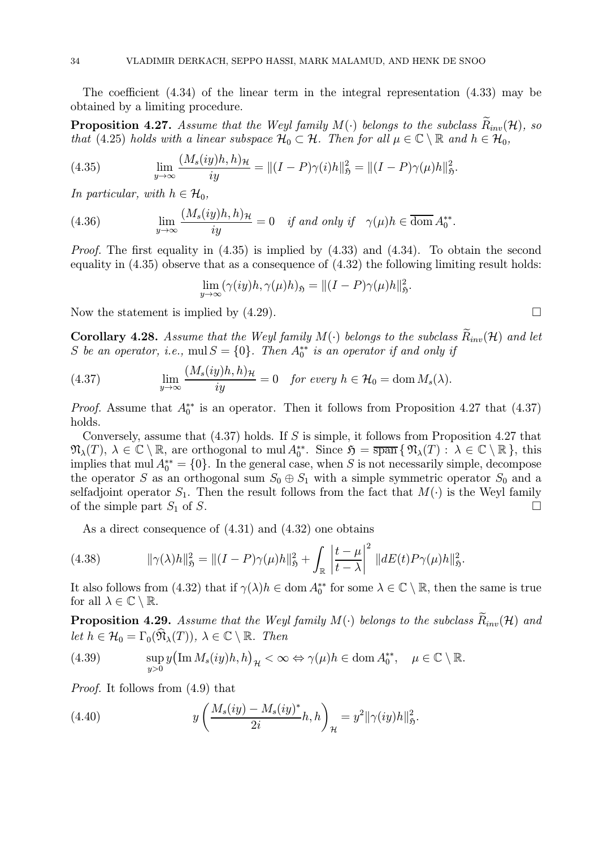The coefficient (4.34) of the linear term in the integral representation (4.33) may be obtained by a limiting procedure.

**Proposition 4.27.** Assume that the Weyl family  $M(\cdot)$  belongs to the subclass  $R_{inv}(\mathcal{H})$ , so that (4.25) holds with a linear subspace  $\mathcal{H}_0 \subset \mathcal{H}$ . Then for all  $\mu \in \mathbb{C} \setminus \mathbb{R}$  and  $h \in \mathcal{H}_0$ ,

(4.35) 
$$
\lim_{y \to \infty} \frac{(M_s(iy)h, h)_{\mathcal{H}}}{iy} = ||(I - P)\gamma(i)h||_{\mathfrak{H}}^2 = ||(I - P)\gamma(\mu)h||_{\mathfrak{H}}^2.
$$

In particular, with  $h \in \mathcal{H}_0$ ,

(4.36) 
$$
\lim_{y \to \infty} \frac{(M_s(iy)h, h)_{\mathcal{H}}}{iy} = 0 \quad \text{if and only if} \quad \gamma(\mu)h \in \overline{\text{dom}} A_0^{**}.
$$

*Proof.* The first equality in  $(4.35)$  is implied by  $(4.33)$  and  $(4.34)$ . To obtain the second equality in  $(4.35)$  observe that as a consequence of  $(4.32)$  the following limiting result holds:

$$
\lim_{y \to \infty} (\gamma(iy)h, \gamma(\mu)h)_{\mathfrak{H}} = ||(I - P)\gamma(\mu)h||_{\mathfrak{H}}^2.
$$

Now the statement is implied by  $(4.29)$ .

**Corollary 4.28.** Assume that the Weyl family  $M(\cdot)$  belongs to the subclass  $R_{inv}(\mathcal{H})$  and let S be an operator, i.e.,  $mul S = \{0\}$ . Then  $A_0^{**}$  is an operator if and only if

(4.37) 
$$
\lim_{y \to \infty} \frac{(M_s(iy)h, h)_{\mathcal{H}}}{iy} = 0 \text{ for every } h \in \mathcal{H}_0 = \text{dom } M_s(\lambda).
$$

*Proof.* Assume that  $A_0^{**}$  is an operator. Then it follows from Proposition 4.27 that (4.37) holds.

Conversely, assume that (4.37) holds. If S is simple, it follows from Proposition 4.27 that  $\mathfrak{N}_{\lambda}(T), \lambda \in \mathbb{C} \setminus \mathbb{R}$ , are orthogonal to mul  $A_0^{**}$ . Since  $\mathfrak{H} = \overline{\text{span}} \{ \mathfrak{N}_{\lambda}(T) : \lambda \in \mathbb{C} \setminus \mathbb{R} \}$ , this implies that mul  $A_0^{**} = \{0\}$ . In the general case, when S is not necessarily simple, decompose the operator S as an orthogonal sum  $S_0 \oplus S_1$  with a simple symmetric operator  $S_0$  and a selfadjoint operator  $S_1$ . Then the result follows from the fact that  $M(\cdot)$  is the Weyl family of the simple part  $S_1$  of S. of the simple part  $S_1$  of S.

As a direct consequence of (4.31) and (4.32) one obtains

(4.38) 
$$
\|\gamma(\lambda)h\|_{\mathfrak{H}}^2 = \|(I-P)\gamma(\mu)h\|_{\mathfrak{H}}^2 + \int_{\mathbb{R}} \left|\frac{t-\mu}{t-\lambda}\right|^2 \|dE(t)P\gamma(\mu)h\|_{\mathfrak{H}}^2.
$$

It also follows from (4.32) that if  $\gamma(\lambda)h \in \text{dom } A_0^{**}$  for some  $\lambda \in \mathbb{C} \setminus \mathbb{R}$ , then the same is true for all  $\lambda \in \mathbb{C} \setminus \mathbb{R}$ .

**Proposition 4.29.** Assume that the Weyl family  $M(\cdot)$  belongs to the subclass  $\hat{R}_{inv}(\mathcal{H})$  and let  $h \in \mathcal{H}_0 = \Gamma_0(\widehat{\mathfrak{N}}_{\lambda}(T)), \ \lambda \in \mathbb{C} \setminus \mathbb{R}$ . Then

(4.39) 
$$
\sup_{y>0} y(\text{Im } M_s(iy)h, h)_{\mathcal{H}} < \infty \Leftrightarrow \gamma(\mu)h \in \text{dom } A_0^{**}, \quad \mu \in \mathbb{C} \setminus \mathbb{R}.
$$

Proof. It follows from (4.9) that

(4.40) 
$$
y\left(\frac{M_s(iy) - M_s(iy)^*}{2i}h, h\right)_{\mathcal{H}} = y^2 \|\gamma(iy)h\|_{\mathfrak{H}}^2.
$$

$$
\overline{}
$$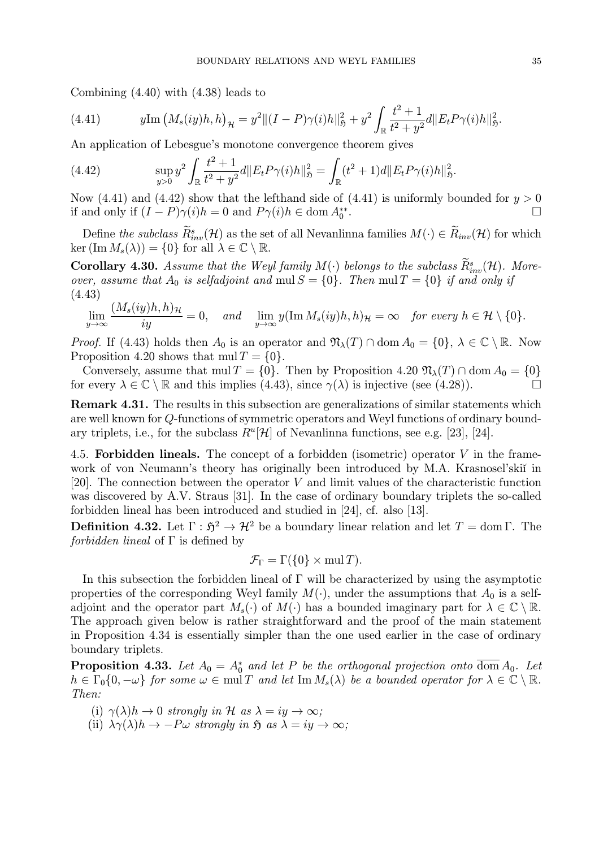Combining (4.40) with (4.38) leads to

(4.41) 
$$
y \text{Im} (M_s(iy)h, h)_{\mathcal{H}} = y^2 ||(I - P)\gamma(i)h||_{\mathfrak{H}}^2 + y^2 \int_{\mathbb{R}} \frac{t^2 + 1}{t^2 + y^2} d||E_t P \gamma(i)h||_{\mathfrak{H}}^2.
$$

An application of Lebesgue's monotone convergence theorem gives

(4.42) 
$$
\sup_{y>0} y^2 \int_{\mathbb{R}} \frac{t^2+1}{t^2+y^2} d\|E_t P \gamma(i)h\|_{\mathfrak{H}}^2 = \int_{\mathbb{R}} (t^2+1) d\|E_t P \gamma(i)h\|_{\mathfrak{H}}^2.
$$

Now (4.41) and (4.42) show that the lefthand side of (4.41) is uniformly bounded for  $y > 0$ if and only if  $(I - P)\gamma(i)h = 0$  and  $P\gamma(i)h \in \text{dom } A_0^{**}$ .  $\overline{0}$  .

Define the subclass  $\tilde{R}_{inv}^s(\mathcal{H})$  as the set of all Nevanlinna families  $M(\cdot) \in \tilde{R}_{inv}(\mathcal{H})$  for which ker  $(\text{Im }M_s(\lambda)) = \{0\}$  for all  $\lambda \in \mathbb{C} \setminus \mathbb{R}$ .

**Corollary 4.30.** Assume that the Weyl family  $M(\cdot)$  belongs to the subclass  $R_{inv}^s(\mathcal{H})$ . Moreover, assume that  $A_0$  is selfadjoint and mul  $S = \{0\}$ . Then mul  $T = \{0\}$  if and only if (4.43)

$$
\lim_{y \to \infty} \frac{(M_s(iy)h, h)_{\mathcal{H}}}{iy} = 0, \quad \text{and} \quad \lim_{y \to \infty} y(\operatorname{Im} M_s(iy)h, h)_{\mathcal{H}} = \infty \quad \text{for every } h \in \mathcal{H} \setminus \{0\}.
$$

*Proof.* If (4.43) holds then  $A_0$  is an operator and  $\mathfrak{N}_{\lambda}(T) \cap \text{dom } A_0 = \{0\}, \lambda \in \mathbb{C} \setminus \mathbb{R}$ . Now Proposition 4.20 shows that  $mul T = \{0\}.$ 

Conversely, assume that mul  $T = \{0\}$ . Then by Proposition 4.20  $\mathfrak{N}_{\lambda}(T) \cap \text{dom } A_0 = \{0\}$ <br>r every  $\lambda \in \mathbb{C} \setminus \mathbb{R}$  and this implies  $(A \Lambda 3)$  since  $\alpha(\lambda)$  is injective (see  $(A \Lambda 3)$ ) for every  $\lambda \in \mathbb{C} \setminus \mathbb{R}$  and this implies (4.43), since  $\gamma(\lambda)$  is injective (see (4.28)).

Remark 4.31. The results in this subsection are generalizations of similar statements which are well known for Q-functions of symmetric operators and Weyl functions of ordinary boundary triplets, i.e., for the subclass  $R^u[\mathcal{H}]$  of Nevanlinna functions, see e.g. [23], [24].

4.5. Forbidden lineals. The concept of a forbidden (isometric) operator V in the framework of von Neumann's theory has originally been introduced by M.A. Krasnosel'skiï in [20]. The connection between the operator V and limit values of the characteristic function was discovered by A.V. Straus [31]. In the case of ordinary boundary triplets the so-called forbidden lineal has been introduced and studied in [24], cf. also [13].

**Definition 4.32.** Let  $\Gamma : \mathfrak{H}^2 \to \mathcal{H}^2$  be a boundary linear relation and let  $T = \text{dom }\Gamma$ . The forbidden lineal of  $\Gamma$  is defined by

$$
\mathcal{F}_{\Gamma} = \Gamma(\{0\} \times \text{mul } T).
$$

In this subsection the forbidden lineal of Γ will be characterized by using the asymptotic properties of the corresponding Weyl family  $M(\cdot)$ , under the assumptions that  $A_0$  is a selfadjoint and the operator part  $M_s(\cdot)$  of  $M(\cdot)$  has a bounded imaginary part for  $\lambda \in \mathbb{C} \setminus \mathbb{R}$ . The approach given below is rather straightforward and the proof of the main statement in Proposition 4.34 is essentially simpler than the one used earlier in the case of ordinary boundary triplets.

**Proposition 4.33.** Let  $A_0 = A_0^*$  and let P be the orthogonal projection onto dom  $A_0$ . Let  $h \in \Gamma_0\{0, -\omega\}$  for some  $\omega \in \text{mul } T$  and let  $\text{Im } M_s(\lambda)$  be a bounded operator for  $\lambda \in \mathbb{C} \setminus \mathbb{R}$ . Then:

(i)  $\gamma(\lambda)h \to 0$  strongly in H as  $\lambda = iy \to \infty$ ;

(ii)  $\lambda \gamma(\lambda) h \to -P\omega$  strongly in  $\mathfrak{H}$  as  $\lambda = iy \to \infty$ ;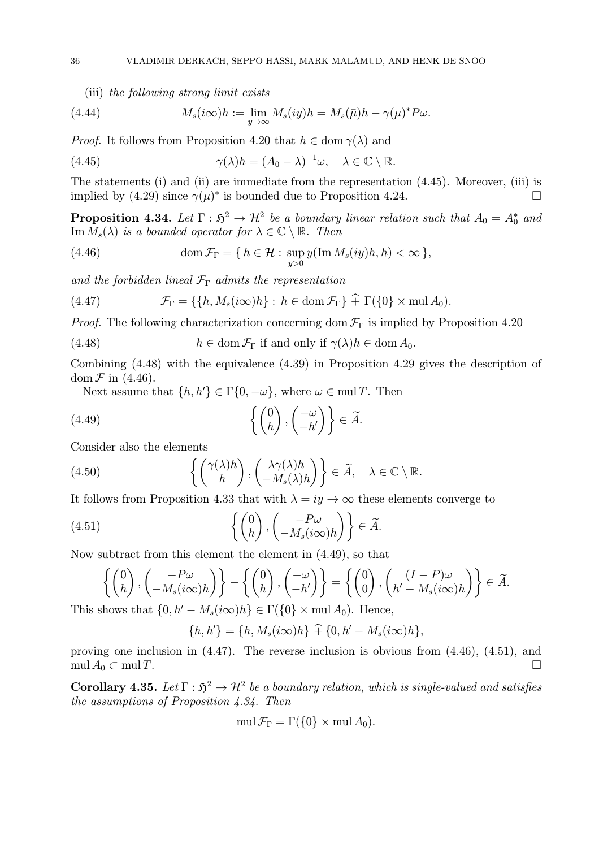(iii) the following strong limit exists

(4.44) 
$$
M_s(i\infty)h := \lim_{y\to\infty} M_s(iy)h = M_s(\bar{\mu})h - \gamma(\mu)^* P\omega.
$$

*Proof.* It follows from Proposition 4.20 that  $h \in \text{dom } \gamma(\lambda)$  and

(4.45) 
$$
\gamma(\lambda)h = (A_0 - \lambda)^{-1}\omega, \quad \lambda \in \mathbb{C} \setminus \mathbb{R}.
$$

The statements (i) and (ii) are immediate from the representation (4.45). Moreover, (iii) is implied by (4.29) since  $\gamma(\mu)^*$  is bounded due to Proposition 4.24.

**Proposition 4.34.** Let  $\Gamma : \mathfrak{H}^2 \to \mathcal{H}^2$  be a boundary linear relation such that  $A_0 = A_0^*$  and  $\text{Im }M_s(\lambda)$  is a bounded operator for  $\lambda \in \mathbb{C} \setminus \mathbb{R}$ . Then

(4.46) 
$$
\operatorname{dom} \mathcal{F}_{\Gamma} = \{ h \in \mathcal{H} : \sup_{y>0} y(\operatorname{Im} M_s(iy)h, h) < \infty \},
$$

and the forbidden lineal  $\mathcal{F}_{\Gamma}$  admits the representation

(4.47) 
$$
\mathcal{F}_{\Gamma} = \{ \{ h, M_s(i\infty)h \} : h \in \text{dom}\,\mathcal{F}_{\Gamma} \} \widehat{+} \Gamma(\{0\} \times \text{mul}\,A_0).
$$

*Proof.* The following characterization concerning dom  $\mathcal{F}_{\Gamma}$  is implied by Proposition 4.20

(4.48) 
$$
h \in \text{dom}\,\mathcal{F}_{\Gamma} \text{ if and only if } \gamma(\lambda)h \in \text{dom}\,A_0.
$$

Combining (4.48) with the equivalence (4.39) in Proposition 4.29 gives the description of dom  $\mathcal F$  in (4.46).

Next assume that  $\{h, h'\} \in \Gamma\{0, -\omega\}$ , where  $\omega \in \text{mul } T$ . Then

(4.49) 
$$
\left\{ \begin{pmatrix} 0 \\ h \end{pmatrix}, \begin{pmatrix} -\omega \\ -h' \end{pmatrix} \right\} \in \widetilde{A}.
$$

Consider also the elements

(4.50) 
$$
\left\{ \begin{pmatrix} \gamma(\lambda)h \\ h \end{pmatrix}, \begin{pmatrix} \lambda \gamma(\lambda)h \\ -M_s(\lambda)h \end{pmatrix} \right\} \in \widetilde{A}, \quad \lambda \in \mathbb{C} \setminus \mathbb{R}.
$$

It follows from Proposition 4.33 that with  $\lambda = iy \rightarrow \infty$  these elements converge to

(4.51) 
$$
\left\{ \begin{pmatrix} 0 \\ h \end{pmatrix}, \begin{pmatrix} -P\omega \\ -M_s(i\infty)h \end{pmatrix} \right\} \in \widetilde{A}.
$$

Now subtract from this element the element in (4.49), so that

$$
\left\{ \begin{pmatrix} 0 \\ h \end{pmatrix}, \begin{pmatrix} -P\omega \\ -M_s(i\infty)h \end{pmatrix} \right\} - \left\{ \begin{pmatrix} 0 \\ h \end{pmatrix}, \begin{pmatrix} -\omega \\ -h' \end{pmatrix} \right\} = \left\{ \begin{pmatrix} 0 \\ 0 \end{pmatrix}, \begin{pmatrix} (I-P)\omega \\ h'-M_s(i\infty)h \end{pmatrix} \right\} \in \widetilde{A}.
$$

This shows that  $\{0, h' - M_s(i\infty)h\} \in \Gamma(\{0\} \times \text{mul } A_0)$ . Hence,

$$
\{h, h'\} = \{h, M_s(i\infty)h\} + \{0, h' - M_s(i\infty)h\},\
$$

proving one inclusion in (4.47). The reverse inclusion is obvious from (4.46), (4.51), and  $\operatorname{mul} A_0 \subset \operatorname{mul} T.$ 

Corollary 4.35. Let  $\Gamma : \mathfrak{H}^2 \to \mathcal{H}^2$  be a boundary relation, which is single-valued and satisfies the assumptions of Proposition  $4.34$ . Then

$$
\operatorname{mul}\mathcal{F}_{\Gamma}=\Gamma(\{0\}\times\operatorname{mul} A_0).
$$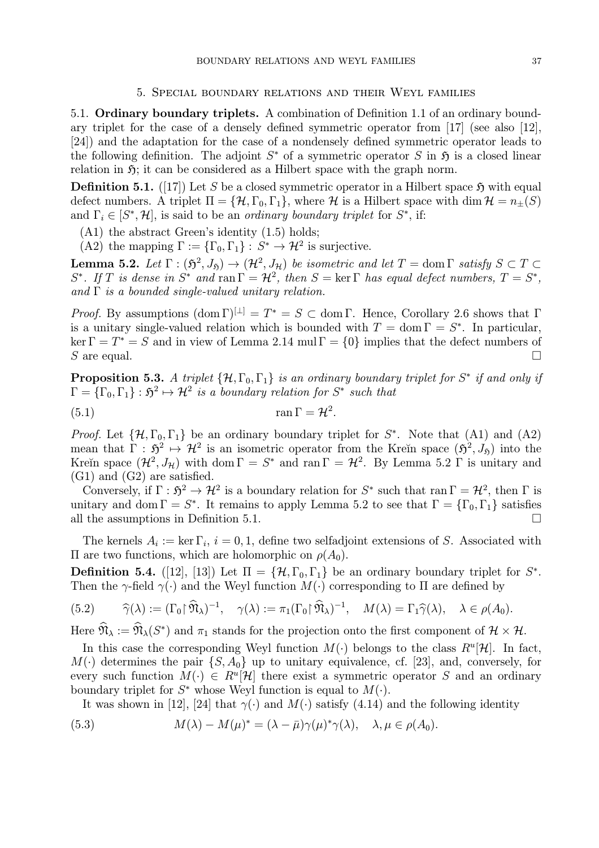#### 5. Special boundary relations and their Weyl families

5.1. Ordinary boundary triplets. A combination of Definition 1.1 of an ordinary boundary triplet for the case of a densely defined symmetric operator from [17] (see also [12], [24]) and the adaptation for the case of a nondensely defined symmetric operator leads to the following definition. The adjoint  $S^*$  of a symmetric operator S in  $\mathfrak H$  is a closed linear relation in  $\mathfrak{H}$ ; it can be considered as a Hilbert space with the graph norm.

**Definition 5.1.** ([17]) Let S be a closed symmetric operator in a Hilbert space  $\mathfrak{H}$  with equal defect numbers. A triplet  $\Pi = {\mathcal{H}, \Gamma_0, \Gamma_1}$ , where H is a Hilbert space with dim  $\mathcal{H} = n_{\pm}(S)$ and  $\Gamma_i \in [S^*, \mathcal{H}]$ , is said to be an *ordinary boundary triplet* for  $S^*$ , if:

- (A1) the abstract Green's identity (1.5) holds;
- (A2) the mapping  $\Gamma := {\{\Gamma_0, \Gamma_1\}} : S^* \to \mathcal{H}^2$  is surjective.

**Lemma 5.2.** Let  $\Gamma : (\mathfrak{H}^2, J_{\mathfrak{H}}) \to (\mathcal{H}^2, J_{\mathcal{H}})$  be isometric and let  $T = \text{dom }\Gamma$  satisfy  $S \subset T \subset \mathcal{H}$ S<sup>\*</sup>. If T is dense in S<sup>\*</sup> and ran  $\Gamma = H^2$ , then  $S = \text{ker } \Gamma$  has equal defect numbers,  $T = S^*$ , and  $\Gamma$  is a bounded single-valued unitary relation.

*Proof.* By assumptions  $(\text{dom }\Gamma)^{[\perp]} = T^* = S \subset \text{dom }\Gamma$ . Hence, Corollary 2.6 shows that  $\Gamma$ is a unitary single-valued relation which is bounded with  $T = \text{dom }\Gamma = S^*$ . In particular, ker  $\Gamma = T^* = S$  and in view of Lemma 2.14 mul  $\Gamma = \{0\}$  implies that the defect numbers of  $S$  are equal. S are equal.  $\Box$ 

**Proposition 5.3.** A triplet  $\{\mathcal{H}, \Gamma_0, \Gamma_1\}$  is an ordinary boundary triplet for  $S^*$  if and only if  $\Gamma = {\{\Gamma_0,\Gamma_1\}} : \mathfrak{H}^2 \mapsto \mathcal{H}^2$  is a boundary relation for  $S^*$  such that

$$
\tan \Gamma = \mathcal{H}^2.
$$

*Proof.* Let  $\{\mathcal{H}, \Gamma_0, \Gamma_1\}$  be an ordinary boundary triplet for  $S^*$ . Note that (A1) and (A2) mean that  $\Gamma : \mathfrak{H}^2 \mapsto \mathcal{H}^2$  is an isometric operator from the Kreĭn space  $(\mathfrak{H}^2, J_{\mathfrak{H}})$  into the Kreĭn space  $(\mathcal{H}^2, J_\mathcal{H})$  with dom  $\Gamma = S^*$  and ran  $\Gamma = \mathcal{H}^2$ . By Lemma 5.2  $\Gamma$  is unitary and (G1) and (G2) are satisfied.

Conversely, if  $\Gamma : \mathfrak{H}^2 \to \mathcal{H}^2$  is a boundary relation for  $S^*$  such that ran  $\Gamma = \mathcal{H}^2$ , then  $\Gamma$  is unitary and dom  $\Gamma = S^*$ . It remains to apply Lemma 5.2 to see that  $\Gamma = {\Gamma_0, \Gamma_1}$  satisfies all the assumptions in Definition 5.1. all the assumptions in Definition 5.1.

The kernels  $A_i := \ker \Gamma_i$ ,  $i = 0, 1$ , define two selfadjoint extensions of S. Associated with Π are two functions, which are holomorphic on  $ρ(A<sub>0</sub>)$ .

**Definition 5.4.** ([12], [13]) Let  $\Pi = {\mathcal{H}, \Gamma_0, \Gamma_1}$  be an ordinary boundary triplet for  $S^*$ . Then the  $\gamma$ -field  $\gamma(\cdot)$  and the Weyl function  $M(\cdot)$  corresponding to  $\Pi$  are defined by

(5.2) 
$$
\widehat{\gamma}(\lambda) := (\Gamma_0 \upharpoonright \widehat{\mathfrak{N}}_{\lambda})^{-1}, \quad \gamma(\lambda) := \pi_1(\Gamma_0 \upharpoonright \widehat{\mathfrak{N}}_{\lambda})^{-1}, \quad M(\lambda) = \Gamma_1 \widehat{\gamma}(\lambda), \quad \lambda \in \rho(A_0).
$$

Here  $\mathfrak{N}_{\lambda} := \mathfrak{N}_{\lambda}(S^*)$  and  $\pi_1$  stands for the projection onto the first component of  $\mathcal{H} \times \mathcal{H}$ .

In this case the corresponding Weyl function  $M(\cdot)$  belongs to the class  $R^u[\mathcal{H}]$ . In fact,  $M(\cdot)$  determines the pair  $\{S, A_0\}$  up to unitary equivalence, cf. [23], and, conversely, for every such function  $M(\cdot) \in R^u[\mathcal{H}]$  there exist a symmetric operator S and an ordinary boundary triplet for  $S^*$  whose Weyl function is equal to  $M(\cdot)$ .

It was shown in [12], [24] that  $\gamma(\cdot)$  and  $M(\cdot)$  satisfy (4.14) and the following identity

(5.3) 
$$
M(\lambda) - M(\mu)^* = (\lambda - \bar{\mu})\gamma(\mu)^*\gamma(\lambda), \quad \lambda, \mu \in \rho(A_0).
$$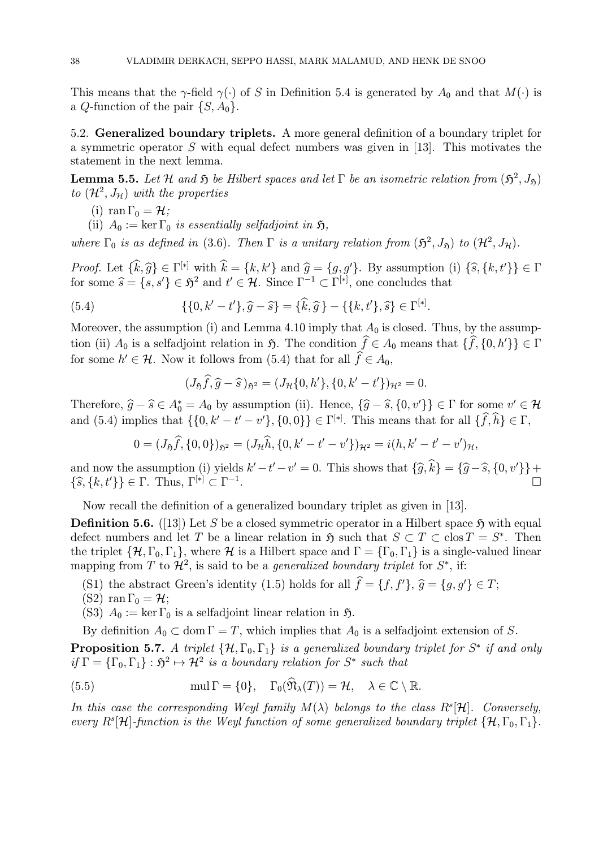This means that the  $\gamma$ -field  $\gamma(\cdot)$  of S in Definition 5.4 is generated by  $A_0$  and that  $M(\cdot)$  is a Q-function of the pair  $\{S, A_0\}$ .

5.2. Generalized boundary triplets. A more general definition of a boundary triplet for a symmetric operator S with equal defect numbers was given in [13]. This motivates the statement in the next lemma.

**Lemma 5.5.** Let H and  $\mathfrak{H}$  be Hilbert spaces and let  $\Gamma$  be an isometric relation from  $(\mathfrak{H}^2, J_{\mathfrak{H}})$ to  $(\mathcal{H}^2, J_{\mathcal{H}})$  with the properties

- (i) ran  $\Gamma_0 = \mathcal{H}$ ;
- (ii)  $A_0 := \ker \Gamma_0$  is essentially selfadjoint in  $\mathfrak{H}$ ,

where  $\Gamma_0$  is as defined in (3.6). Then  $\Gamma$  is a unitary relation from  $(\mathfrak{H}^2, J_{\mathfrak{H}})$  to  $(\mathcal{H}^2, J_{\mathcal{H}})$ .

Proof. Let  $\{\hat{k}, \hat{g}\} \in \Gamma^{[*]}$  with  $\hat{k} = \{k, k'\}$  and  $\hat{g} = \{g, g'\}$ . By assumption (i)  $\{\hat{s}, \{k, t'\}\}\in \Gamma$ for some  $\widehat{s} = \{s, s'\} \in \mathfrak{H}^2$  and  $t' \in \mathcal{H}$ . Since  $\Gamma^{-1} \subset \Gamma^{[*]}$ , one concludes that

(5.4) 
$$
\{\{0, k' - t'\}, \hat{g} - \hat{s}\} = \{\hat{k}, \hat{g}\} - \{\{k, t'\}, \hat{s}\} \in \Gamma^{[*]}.
$$

Moreover, the assumption (i) and Lemma 4.10 imply that  $A_0$  is closed. Thus, by the assumption (ii)  $A_0$  is a selfadjoint relation in  $\mathfrak{H}$ . The condition  $f \in A_0$  means that  $\{f, \{0, h'\}\} \in \Gamma$ for some  $h' \in \mathcal{H}$ . Now it follows from (5.4) that for all  $f \in A_0$ ,

$$
(J_{\mathfrak{H}}\hat{f}, \hat{g} - \hat{s})_{\mathfrak{H}^2} = (J_{\mathcal{H}}\{0, h'\}, \{0, k' - t'\})_{\mathcal{H}^2} = 0.
$$

Therefore,  $\hat{g} - \hat{s} \in A_0^* = A_0$  by assumption (ii). Hence,  $\{\hat{g} - \hat{s}, \{0, v'\}\}\in \Gamma$  for some  $v' \in \mathcal{H}$ and (5.4) implies that  $\{\{0, k' - t' - v'\}, \{0, 0\}\}\in \Gamma^{[*]}$ . This means that for all  $\{\hat{f}, \hat{h}\}\in \Gamma$ ,

$$
0 = (J_{\mathfrak{H}}\widehat{f}, \{0,0\})_{\mathfrak{H}^2} = (J_{\mathcal{H}}\widehat{h}, \{0, k'-t'-v'\})_{\mathcal{H}^2} = i(h, k'-t'-v')_{\mathcal{H}},
$$

and now the assumption (i) yields  $k'-t'-v'=0$ . This shows that  $\{\widehat{g}, k\} = \{\widehat{g} - \widehat{s}, \{0, v'\}\} +$  $\{\widehat{s}, \{k, t'\}\}\in \Gamma$ . Thus,  $\Gamma^{[*]}\subset \Gamma^{-1}$ .

Now recall the definition of a generalized boundary triplet as given in [13].

**Definition 5.6.** ([13]) Let S be a closed symmetric operator in a Hilbert space  $\mathfrak{H}$  with equal defect numbers and let T be a linear relation in  $\mathfrak{H}$  such that  $S \subset T \subset \text{clos } T = S^*$ . Then the triplet  $\{\mathcal{H}, \Gamma_0, \Gamma_1\}$ , where  $\mathcal{H}$  is a Hilbert space and  $\Gamma = \{\Gamma_0, \Gamma_1\}$  is a single-valued linear mapping from T to  $\mathcal{H}^2$ , is said to be a *generalized boundary triplet* for  $S^*$ , if:

- (S1) the abstract Green's identity (1.5) holds for all  $f = \{f, f'\}, \hat{g} = \{g, g'\} \in T;$ <br>(S2) use  $\Gamma$
- (S2) ran  $\Gamma_0 = \mathcal{H}$ ;
- (S3)  $A_0 := \ker \Gamma_0$  is a selfadjoint linear relation in  $\mathfrak{H}$ .

By definition  $A_0 \subset \text{dom } \Gamma = T$ , which implies that  $A_0$  is a selfadjoint extension of S.

**Proposition 5.7.** A triplet  $\{\mathcal{H}, \Gamma_0, \Gamma_1\}$  is a generalized boundary triplet for  $S^*$  if and only if  $\Gamma = {\{\Gamma_0,\Gamma_1\}} : \mathfrak{H}^2 \mapsto \mathcal{H}^2$  is a boundary relation for  $S^*$  such that

(5.5) 
$$
\text{mul } \Gamma = \{0\}, \quad \Gamma_0(\hat{\mathfrak{N}}_{\lambda}(T)) = \mathcal{H}, \quad \lambda \in \mathbb{C} \setminus \mathbb{R}.
$$

In this case the corresponding Weyl family  $M(\lambda)$  belongs to the class  $R^s[\mathcal{H}]$ . Conversely, every  $R^{s}[\mathcal{H}]$ -function is the Weyl function of some generalized boundary triplet  $\{\mathcal{H},\Gamma_0,\Gamma_1\}$ .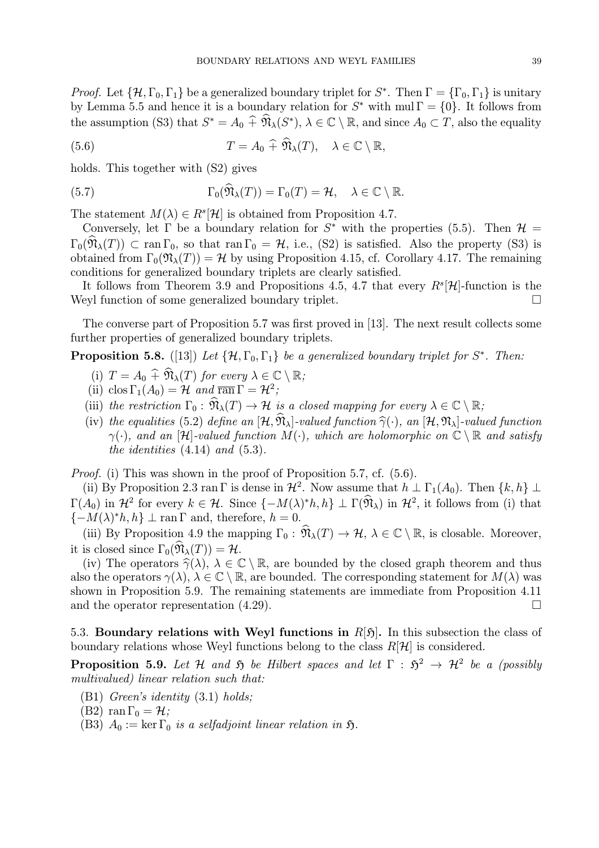*Proof.* Let  $\{\mathcal{H}, \Gamma_0, \Gamma_1\}$  be a generalized boundary triplet for  $S^*$ . Then  $\Gamma = \{\Gamma_0, \Gamma_1\}$  is unitary by Lemma 5.5 and hence it is a boundary relation for  $S^*$  with mul  $\Gamma = \{0\}$ . It follows from the assumption (S3) that  $S^* = A_0 \widehat{+} \widehat{N}_\lambda(S^*), \lambda \in \mathbb{C} \setminus \mathbb{R}$ , and since  $A_0 \subset T$ , also the equality

(5.6) 
$$
T = A_0 \widehat{+} \widehat{\mathfrak{N}}_{\lambda}(T), \quad \lambda \in \mathbb{C} \setminus \mathbb{R},
$$

holds. This together with (S2) gives

(5.7) 
$$
\Gamma_0(\widehat{\mathfrak{N}}_{\lambda}(T)) = \Gamma_0(T) = \mathcal{H}, \quad \lambda \in \mathbb{C} \setminus \mathbb{R}.
$$

The statement  $M(\lambda) \in R^s[\mathcal{H}]$  is obtained from Proposition 4.7.

Conversely, let  $\Gamma$  be a boundary relation for  $S^*$  with the properties (5.5). Then  $\mathcal{H} =$  $\Gamma_0(\hat{\mathfrak{N}}_{\lambda}(T)) \subset \text{ran }\Gamma_0$ , so that  $\text{ran }\Gamma_0 = \mathcal{H}$ , i.e., (S2) is satisfied. Also the property (S3) is obtained from  $\Gamma_0(\mathfrak{N}_\lambda(T)) = \mathcal{H}$  by using Proposition 4.15, cf. Corollary 4.17. The remaining conditions for generalized boundary triplets are clearly satisfied.

It follows from Theorem 3.9 and Propositions 4.5, 4.7 that every  $R^s[\mathcal{H}]$ -function is the featler function of some generalized boundary triplet Weyl function of some generalized boundary triplet.

The converse part of Proposition 5.7 was first proved in [13]. The next result collects some further properties of generalized boundary triplets.

**Proposition 5.8.** ([13]) Let  $\{\mathcal{H}, \Gamma_0, \Gamma_1\}$  be a generalized boundary triplet for S<sup>\*</sup>. Then:

- (i)  $T = A_0 \widehat{+} \widehat{\mathfrak{N}}_{\lambda}(T)$  for every  $\lambda \in \mathbb{C} \setminus \mathbb{R}$ ;
- (ii) clos  $\Gamma_1(A_0) = \mathcal{H}$  and  $\overline{ran} \Gamma = \mathcal{H}^2$ ;
- (iii) the restriction  $\Gamma_0 : \widehat{\mathfrak{N}}_{\lambda}(T) \to \mathcal{H}$  is a closed mapping for every  $\lambda \in \mathbb{C} \setminus \mathbb{R}$ ;
- (iv) the equalities (5.2) define an  $[\mathcal{H}, \hat{\mathfrak{N}}_{\lambda}]$ -valued function  $\hat{\gamma}(\cdot)$ , an  $[\mathcal{H}, \mathfrak{N}_{\lambda}]$ -valued function  $\gamma(\cdot)$ , and an [H]-valued function  $M(\cdot)$ , which are holomorphic on  $\mathbb{C} \setminus \mathbb{R}$  and satisfy the identities  $(4.14)$  and  $(5.3)$ .

Proof. (i) This was shown in the proof of Proposition 5.7, cf. (5.6).

(ii) By Proposition 2.3 ran Γ is dense in  $\mathcal{H}^2$ . Now assume that  $h \perp \Gamma_1(A_0)$ . Then  $\{k, h\} \perp$  $\Gamma(A_0)$  in  $\mathcal{H}^2$  for every  $k \in \mathcal{H}$ . Since  $\{-M(\lambda)^*h, h\} \perp \Gamma(\widehat{\mathfrak{N}}_{\lambda})$  in  $\mathcal{H}^2$ , it follows from (i) that  ${-M(\lambda)^*h, h} \perp \text{ran } \Gamma$  and, therefore,  $h = 0$ .

(iii) By Proposition 4.9 the mapping  $\Gamma_0: \widehat{\mathfrak{N}}_{\lambda}(T) \to \mathcal{H}, \lambda \in \mathbb{C} \setminus \mathbb{R}$ , is closable. Moreover, it is closed since  $\Gamma_0(\widehat{\mathfrak{N}}_{\lambda}(T)) = \mathcal{H}$ .

(iv) The operators  $\hat{\gamma}(\lambda)$ ,  $\lambda \in \mathbb{C} \setminus \mathbb{R}$ , are bounded by the closed graph theorem and thus also the operators  $\gamma(\lambda)$ ,  $\lambda \in \mathbb{C} \setminus \mathbb{R}$ , are bounded. The corresponding statement for  $M(\lambda)$  was shown in Proposition 5.9. The remaining statements are immediate from Proposition 4.11 and the operator representation  $(4.29)$ .

5.3. Boundary relations with Weyl functions in  $R[5]$ . In this subsection the class of boundary relations whose Weyl functions belong to the class  $R[\mathcal{H}]$  is considered.

**Proposition 5.9.** Let H and  $\tilde{p}$  be Hilbert spaces and let  $\Gamma : \tilde{p}^2 \to H^2$  be a (possibly multivalued) linear relation such that:

- (B1) Green's identity (3.1) holds;
- (B2) ran  $\Gamma_0 = \mathcal{H}$ ;
- (B3)  $A_0 := \ker \Gamma_0$  is a selfadjoint linear relation in  $\mathfrak{H}$ .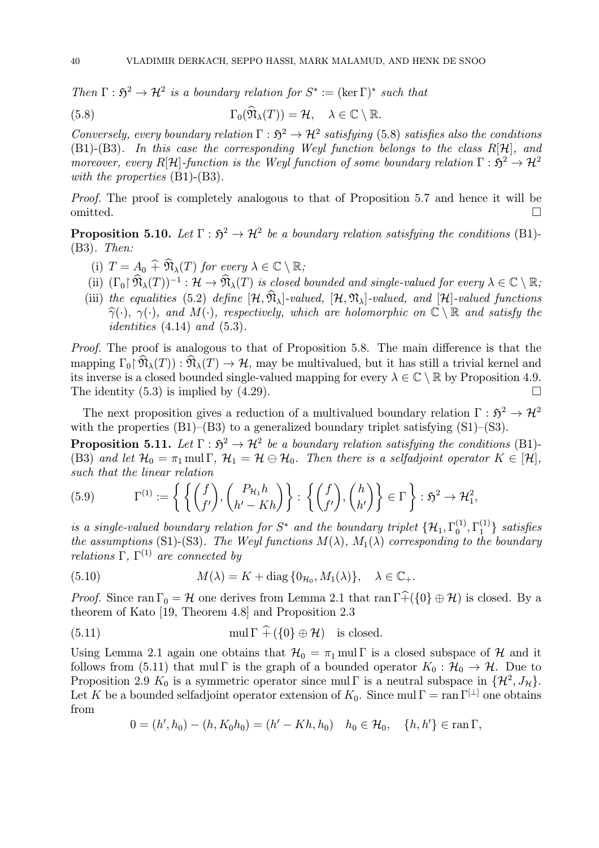Then  $\Gamma : \mathfrak{H}^2 \to \mathcal{H}^2$  is a boundary relation for  $S^* := (\ker \Gamma)^*$  such that

(5.8) 
$$
\Gamma_0(\mathfrak{N}_{\lambda}(T)) = \mathcal{H}, \quad \lambda \in \mathbb{C} \setminus \mathbb{R}.
$$

Conversely, every boundary relation  $\Gamma : \mathfrak{H}^2 \to \mathcal{H}^2$  satisfying (5.8) satisfies also the conditions (B1)-(B3). In this case the corresponding Weyl function belongs to the class  $R[\mathcal{H}]$ , and moreover, every R[H]-function is the Weyl function of some boundary relation  $\Gamma : \mathfrak{H}^2 \to \mathcal{H}^2$ with the properties  $(B1)$ - $(B3)$ .

Proof. The proof is completely analogous to that of Proposition 5.7 and hence it will be omitted.  $\Box$ 

**Proposition 5.10.** Let  $\Gamma : \mathfrak{H}^2 \to \mathcal{H}^2$  be a boundary relation satisfying the conditions (B1)-(B3). Then:

- (i)  $T = A_0 \widehat{+} \widehat{\mathfrak{N}}_{\lambda}(T)$  for every  $\lambda \in \mathbb{C} \setminus \mathbb{R}$ ;
- (ii)  $(\Gamma_0 \upharpoonright \widehat{\mathfrak{N}}_{\lambda}(T))^{-1} : \mathcal{H} \to \widehat{\mathfrak{N}}_{\lambda}(T)$  is closed bounded and single-valued for every  $\lambda \in \mathbb{C} \setminus \mathbb{R}$ ;
- (iii) the equalities (5.2) define  $[\mathcal{H}, \hat{\mathfrak{N}}_{\lambda}]$ -valued,  $[\mathcal{H}, \mathfrak{N}_{\lambda}]$ -valued, and  $[\mathcal{H}]$ -valued functions  $\hat{\gamma}(\cdot), \gamma(\cdot)$ , and  $M(\cdot)$ , respectively, which are holomorphic on  $\mathbb{C} \setminus \mathbb{R}$  and satisfy the *identities*  $(4.14)$  *and*  $(5.3)$ .

Proof. The proof is analogous to that of Proposition 5.8. The main difference is that the mapping  $\Gamma_0 \upharpoonright \widehat{\mathfrak{N}}_{\lambda}(T)$ :  $\widehat{\mathfrak{N}}_{\lambda}(T) \to \mathcal{H}$ , may be multivalued, but it has still a trivial kernel and its inverse is a closed bounded single-valued mapping for every  $\lambda \in \mathbb{C} \setminus \mathbb{R}$  by Proposition 4.9.<br>The identity (5.3) is implied by (4.29). The identity  $(5.3)$  is implied by  $(4.29)$ .

The next proposition gives a reduction of a multivalued boundary relation  $\Gamma : \mathfrak{H}^2 \to \mathcal{H}^2$ with the properties  $(B1)$ – $(B3)$  to a generalized boundary triplet satisfying  $(S1)$ – $(S3)$ .

**Proposition 5.11.** Let  $\Gamma : \mathfrak{H}^2 \to \mathcal{H}^2$  be a boundary relation satisfying the conditions (B1)-(B3) and let  $\mathcal{H}_0 = \pi_1 \text{ mul } \Gamma$ ,  $\mathcal{H}_1 = \mathcal{H} \ominus \mathcal{H}_0$ . Then there is a selfadjoint operator  $K \in [\mathcal{H}]$ , such that the linear relation

(5.9) 
$$
\Gamma^{(1)} := \left\{ \left\{ \begin{pmatrix} f \\ f' \end{pmatrix}, \begin{pmatrix} P_{\mathcal{H}_1} h \\ h' - Kh \end{pmatrix} \right\} : \left\{ \begin{pmatrix} f \\ f' \end{pmatrix}, \begin{pmatrix} h \\ h' \end{pmatrix} \right\} \in \Gamma \right\} : \mathfrak{H}^2 \to \mathcal{H}_1^2,
$$

is a single-valued boundary relation for  $S^*$  and the boundary triplet  $\{\mathcal{H}_1, \Gamma_0^{(1)}, \Gamma_1^{(1)}\}$  satisfies the assumptions (S1)-(S3). The Weyl functions  $M(\lambda)$ ,  $M_1(\lambda)$  corresponding to the boundary relations  $\Gamma$ ,  $\Gamma^{(1)}$  are connected by

(5.10) 
$$
M(\lambda) = K + \text{diag}\{0_{\mathcal{H}_0}, M_1(\lambda)\}, \quad \lambda \in \mathbb{C}_+.
$$

*Proof.* Since ran  $\Gamma_0 = H$  one derives from Lemma 2.1 that ran  $\Gamma \widehat{+} (\{0\} \oplus H)$  is closed. By a theorem of Kato [19, Theorem 4.8] and Proposition 2.3

(5.11) 
$$
\text{mul } \Gamma \uparrow (\{0\} \oplus \mathcal{H})
$$
 is closed.

Using Lemma 2.1 again one obtains that  $\mathcal{H}_0 = \pi_1$  mul Γ is a closed subspace of H and it follows from (5.11) that mul Γ is the graph of a bounded operator  $K_0 : \mathcal{H}_0 \to \mathcal{H}$ . Due to Proposition 2.9  $K_0$  is a symmetric operator since mul Γ is a neutral subspace in  $\{\mathcal{H}^2, J_{\mathcal{H}}\}.$ Let K be a bounded selfadjoint operator extension of  $K_0$ . Since mul  $\Gamma = \text{ran } \Gamma^{[\perp]}$  one obtains from

$$
0 = (h', h_0) - (h, K_0 h_0) = (h' - Kh, h_0) \quad h_0 \in \mathcal{H}_0, \quad \{h, h'\} \in \operatorname{ran} \Gamma,
$$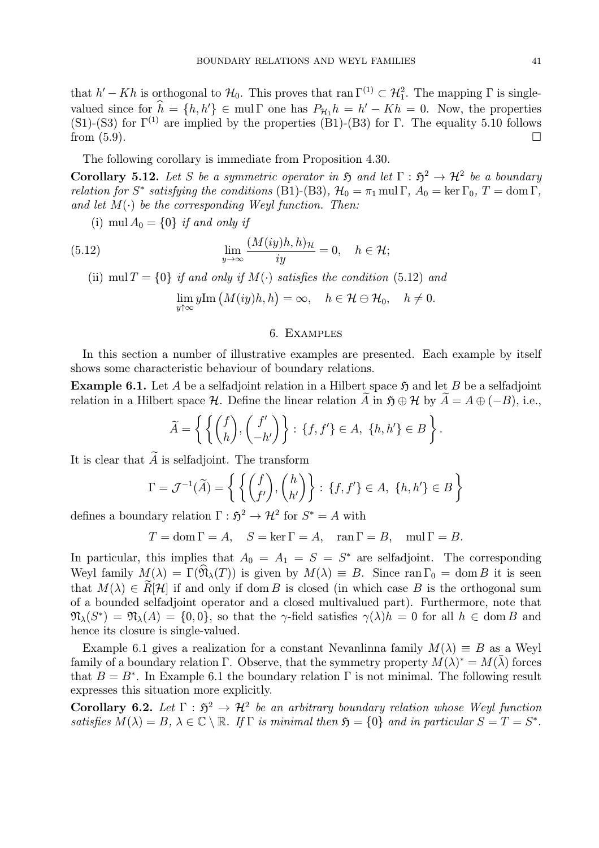that  $h'-Kh$  is orthogonal to  $\mathcal{H}_0$ . This proves that ran  $\Gamma^{(1)} \subset \mathcal{H}_1^2$ . The mapping  $\Gamma$  is singlevalued since for  $h = \{h, h'\} \in \text{mul } \Gamma$  one has  $P_{\mathcal{H}_1} h = h' - Kh = 0$ . Now, the properties (S1)-(S3) for  $\Gamma^{(1)}$  are implied by the properties (B1)-(B3) for Γ. The equality 5.10 follows from  $(5.9)$ .

The following corollary is immediate from Proposition 4.30.

Corollary 5.12. Let S be a symmetric operator in  $\mathfrak{H}$  and let  $\Gamma : \mathfrak{H}^2 \to \mathcal{H}^2$  be a boundary relation for S<sup>\*</sup> satisfying the conditions (B1)-(B3),  $\mathcal{H}_0 = \pi_1 \text{ mul } \Gamma$ ,  $A_0 = \text{ker } \Gamma_0$ ,  $T = \text{dom } \Gamma$ , and let  $M(\cdot)$  be the corresponding Weyl function. Then:

(i) mul  $A_0 = \{0\}$  if and only if

(5.12) 
$$
\lim_{y \to \infty} \frac{(M(iy)h, h)_{\mathcal{H}}}{iy} = 0, \quad h \in \mathcal{H};
$$

(ii) mul  $T = \{0\}$  if and only if  $M(\cdot)$  satisfies the condition (5.12) and

$$
\lim_{y \uparrow \infty} y \text{Im} \left( M(iy)h, h \right) = \infty, \quad h \in \mathcal{H} \ominus \mathcal{H}_0, \quad h \neq 0.
$$

#### 6. Examples

In this section a number of illustrative examples are presented. Each example by itself shows some characteristic behaviour of boundary relations.

**Example 6.1.** Let A be a selfadjoint relation in a Hilbert space  $\mathfrak{H}$  and let B be a selfadjoint relation in a Hilbert space H. Define the linear relation A in  $\mathfrak{H} \oplus \mathcal{H}$  by  $A = A \oplus (-B)$ , i.e.,

$$
\widetilde{A} = \left\{ \left\{ \begin{pmatrix} f \\ h \end{pmatrix}, \begin{pmatrix} f' \\ -h' \end{pmatrix} \right\} : \{f, f'\} \in A, \{h, h'\} \in B \right\}.
$$

It is clear that  $\widetilde{A}$  is selfadjoint. The transform

$$
\Gamma = \mathcal{J}^{-1}(\widetilde{A}) = \left\{ \left\{ \begin{pmatrix} f \\ f' \end{pmatrix}, \begin{pmatrix} h \\ h' \end{pmatrix} \right\} : \{f, f'\} \in A, \{h, h'\} \in B \right\}
$$

defines a boundary relation  $\Gamma : \mathfrak{H}^2 \to \mathcal{H}^2$  for  $S^* = A$  with

 $T = \text{dom }\Gamma = A, \quad S = \ker \Gamma = A, \quad \text{ran }\Gamma = B, \quad \text{mul }\Gamma = B.$ 

In particular, this implies that  $A_0 = A_1 = S = S^*$  are selfadjoint. The corresponding Weyl family  $M(\lambda) = \Gamma(\hat{\mathfrak{N}}_{\lambda}(T))$  is given by  $M(\lambda) \equiv B$ . Since ran  $\Gamma_0 = \text{dom } B$  it is seen that  $M(\lambda) \in R[H]$  if and only if dom B is closed (in which case B is the orthogonal sum of a bounded selfadjoint operator and a closed multivalued part). Furthermore, note that  $\mathfrak{N}_{\lambda}(S^*) = \mathfrak{N}_{\lambda}(A) = \{0,0\}$ , so that the  $\gamma$ -field satisfies  $\gamma(\lambda)h = 0$  for all  $h \in \text{dom } B$  and hence its closure is single-valued.

Example 6.1 gives a realization for a constant Nevanlinna family  $M(\lambda) \equiv B$  as a Weyl family of a boundary relation Γ. Observe, that the symmetry property  $M(\lambda)^* = M(\lambda)$  forces that  $B = B^*$ . In Example 6.1 the boundary relation  $\Gamma$  is not minimal. The following result expresses this situation more explicitly.

Corollary 6.2. Let  $\Gamma : \mathfrak{H}^2 \to \mathcal{H}^2$  be an arbitrary boundary relation whose Weyl function satisfies  $M(\lambda) = B, \ \lambda \in \mathbb{C} \setminus \mathbb{R}$ . If  $\Gamma$  is minimal then  $\mathfrak{H} = \{0\}$  and in particular  $S = T = S^*$ .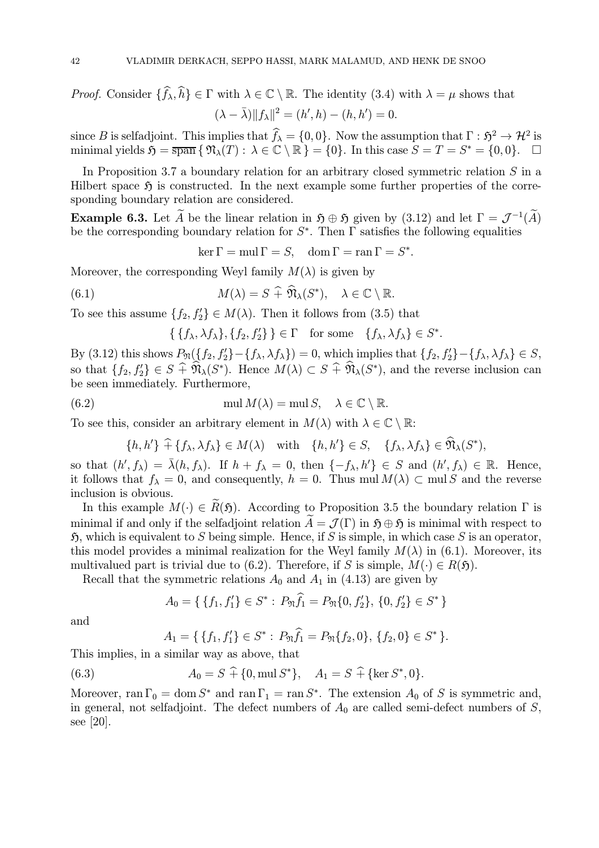*Proof.* Consider  $\{f_{\lambda}, h\} \in \Gamma$  with  $\lambda \in \mathbb{C} \setminus \mathbb{R}$ . The identity (3.4) with  $\lambda = \mu$  shows that  $(\lambda - \bar{\lambda}) \|f_{\lambda}\|^2 = (h', h) - (h, h') = 0.$ 

since B is selfadjoint. This implies that  $f_{\lambda} = \{0, 0\}$ . Now the assumption that  $\Gamma : \mathfrak{H}^2 \to \mathcal{H}^2$  is minimal yields  $\mathfrak{H} = \overline{\text{span}} \{ \mathfrak{N}_{\lambda}(T) : \lambda \in \mathbb{C} \setminus \mathbb{R} \} = \{0\}.$  In this case  $S = T = S^* = \{0, 0\}.$ 

In Proposition 3.7 a boundary relation for an arbitrary closed symmetric relation  $S$  in a Hilbert space  $\mathfrak{H}$  is constructed. In the next example some further properties of the corresponding boundary relation are considered.

**Example 6.3.** Let  $\widetilde{A}$  be the linear relation in  $\mathfrak{H} \oplus \mathfrak{H}$  given by (3.12) and let  $\Gamma = \mathcal{J}^{-1}(\widetilde{A})$ be the corresponding boundary relation for  $S^*$ . Then  $\Gamma$  satisfies the following equalities

 $\ker \Gamma = \text{mul } \Gamma = S, \quad \text{dom } \Gamma = \text{ran } \Gamma = S^*.$ 

Moreover, the corresponding Weyl family  $M(\lambda)$  is given by

(6.1) 
$$
M(\lambda) = S + \widehat{\mathfrak{N}}_{\lambda}(S^*), \quad \lambda \in \mathbb{C} \setminus \mathbb{R}.
$$

To see this assume  $\{f_2, f'_2\} \in M(\lambda)$ . Then it follows from (3.5) that

 $\{\{f_{\lambda}, \lambda f_{\lambda}\}, \{f_{2}, f'_{2}\}\}\in \Gamma$  for some  $\{f_{\lambda}, \lambda f_{\lambda}\}\in S^*$ .

By (3.12) this shows  $P_{\mathfrak{N}}(\lbrace f_2, f'_2 \rbrace - \lbrace f_\lambda, \lambda f_\lambda \rbrace) = 0$ , which implies that  $\lbrace f_2, f'_2 \rbrace - \lbrace f_\lambda, \lambda f_\lambda \rbrace \in S$ , so that  $\{f_2, f'_2\} \in S \oplus \mathfrak{N}_{\lambda}(S^*)$ . Hence  $M(\lambda) \subset S \oplus \mathfrak{N}_{\lambda}(S^*)$ , and the reverse inclusion can be seen immediately. Furthermore,

(6.2) 
$$
\text{mul } M(\lambda) = \text{mul } S, \quad \lambda \in \mathbb{C} \setminus \mathbb{R}.
$$

To see this, consider an arbitrary element in  $M(\lambda)$  with  $\lambda \in \mathbb{C} \setminus \mathbb{R}$ :

$$
\{h, h'\} \widehat{+} \{f_{\lambda}, \lambda f_{\lambda}\} \in M(\lambda) \quad \text{with} \quad \{h, h'\} \in S, \quad \{f_{\lambda}, \lambda f_{\lambda}\} \in \widehat{\mathfrak{N}}_{\lambda}(S^*),
$$

so that  $(h', f_\lambda) = \overline{\lambda}(h, f_\lambda)$ . If  $h + f_\lambda = 0$ , then  $\{-f_\lambda, h'\} \in S$  and  $(h', f_\lambda) \in \mathbb{R}$ . Hence, it follows that  $f_{\lambda} = 0$ , and consequently,  $h = 0$ . Thus mul  $M(\lambda) \subset \text{mul } S$  and the reverse inclusion is obvious.

In this example  $M(\cdot) \in \widetilde{R}(\mathfrak{H})$ . According to Proposition 3.5 the boundary relation  $\Gamma$  is minimal if and only if the selfadjoint relation  $\tilde{A} = \mathcal{J}(\Gamma)$  in  $\mathfrak{H} \oplus \mathfrak{H}$  is minimal with respect to  $\mathfrak{H}$ , which is equivalent to S being simple. Hence, if S is simple, in which case S is an operator, this model provides a minimal realization for the Weyl family  $M(\lambda)$  in (6.1). Moreover, its multivalued part is trivial due to (6.2). Therefore, if S is simple,  $M(\cdot) \in R(\mathfrak{H})$ .

Recall that the symmetric relations  $A_0$  and  $A_1$  in (4.13) are given by

$$
A_0 = \{ \{f_1, f_1'\} \in S^* : P_{\mathfrak{N}}\hat{f}_1 = P_{\mathfrak{N}}\{0, f_2'\}, \{0, f_2'\} \in S^* \}
$$

and

$$
A_1 = \{ \{f_1, f_1'\} \in S^* : P_{\mathfrak{N}}\widehat{f_1} = P_{\mathfrak{N}}\{f_2, 0\}, \{f_2, 0\} \in S^* \}.
$$

This implies, in a similar way as above, that

(6.3) 
$$
A_0 = S \hat{+} \{0, \text{mul } S^*\}, \quad A_1 = S \hat{+} \{\text{ker } S^*, 0\}.
$$

Moreover, ran  $\Gamma_0 = \text{dom } S^*$  and ran  $\Gamma_1 = \text{ran } S^*$ . The extension  $A_0$  of S is symmetric and, in general, not selfadjoint. The defect numbers of  $A_0$  are called semi-defect numbers of S, see [20].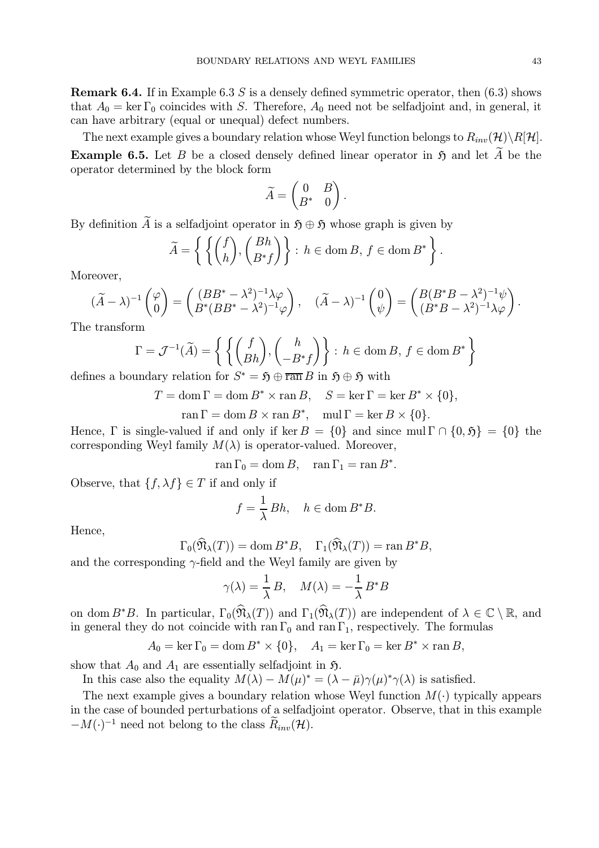**Remark 6.4.** If in Example 6.3 S is a densely defined symmetric operator, then  $(6.3)$  shows that  $A_0 = \ker \Gamma_0$  coincides with S. Therefore,  $A_0$  need not be selfadjoint and, in general, it can have arbitrary (equal or unequal) defect numbers.

The next example gives a boundary relation whose Weyl function belongs to  $R_{inv}(\mathcal{H})\backslash R[\mathcal{H}]$ . **Example 6.5.** Let B be a closed densely defined linear operator in  $\mathfrak{H}$  and let  $\widetilde{A}$  be the operator determined by the block form

$$
\widetilde{A} = \begin{pmatrix} 0 & B \\ B^* & 0 \end{pmatrix}.
$$

By definition  $\widetilde{A}$  is a selfadjoint operator in  $\mathfrak{H} \oplus \mathfrak{H}$  whose graph is given by

$$
\widetilde{A} = \left\{ \left\{ \binom{f}{h}, \binom{Bh}{B^*f} \right\} : h \in \text{dom}\,B, \, f \in \text{dom}\,B^* \right\}.
$$

Moreover,

$$
(\widetilde{A} - \lambda)^{-1} \begin{pmatrix} \varphi \\ 0 \end{pmatrix} = \begin{pmatrix} (BB^* - \lambda^2)^{-1} \lambda \varphi \\ B^*(BB^* - \lambda^2)^{-1} \varphi \end{pmatrix}, \quad (\widetilde{A} - \lambda)^{-1} \begin{pmatrix} 0 \\ \psi \end{pmatrix} = \begin{pmatrix} B(B^*B - \lambda^2)^{-1} \psi \\ (B^*B - \lambda^2)^{-1} \lambda \varphi \end{pmatrix}.
$$

The transform

$$
\Gamma = \mathcal{J}^{-1}(\widetilde{A}) = \left\{ \left\{ \begin{pmatrix} f \\ (Bh), \begin{pmatrix} h \\ -B^*f \end{pmatrix} \right\} : h \in \text{dom}\,B, f \in \text{dom}\,B^* \right\}
$$

defines a boundary relation for  $S^* = \mathfrak{H} \oplus \overline{\operatorname{ran}} B$  in  $\mathfrak{H} \oplus \mathfrak{H}$  with

 $T = \text{dom } \Gamma = \text{dom } B^* \times \text{ran } B, \quad S = \text{ker } \Gamma = \text{ker } B^* \times \{0\},\$  $\text{ran } \Gamma = \text{dom } B \times \text{ran } B^*, \quad \text{mul } \Gamma = \text{ker } B \times \{0\}.$ 

Hence, Γ is single-valued if and only if ker  $B = \{0\}$  and since mul  $\Gamma \cap \{0, 5\} = \{0\}$  the corresponding Weyl family  $M(\lambda)$  is operator-valued. Moreover,

 $\operatorname{ran} \Gamma_0 = \operatorname{dom} B, \quad \operatorname{ran} \Gamma_1 = \operatorname{ran} B^*.$ 

Observe, that  $\{f, \lambda f\} \in T$  if and only if

$$
f = \frac{1}{\lambda} Bh, \quad h \in \text{dom}\, B^*B.
$$

Hence,

$$
\Gamma_0(\widehat{\mathfrak{N}}_{\lambda}(T)) = \text{dom } B^*B, \quad \Gamma_1(\widehat{\mathfrak{N}}_{\lambda}(T)) = \text{ran } B^*B,
$$

and the corresponding  $\gamma$ -field and the Weyl family are given by

$$
\gamma(\lambda) = \frac{1}{\lambda} B, \quad M(\lambda) = -\frac{1}{\lambda} B^* B
$$

on dom B<sup>∗</sup>B. In particular,  $\Gamma_0(\widehat{\mathfrak{N}}_{\lambda}(T))$  and  $\Gamma_1(\widehat{\mathfrak{N}}_{\lambda}(T))$  are independent of  $\lambda \in \mathbb{C} \setminus \mathbb{R}$ , and in general they do not coincide with ran  $\Gamma_0$  and ran  $\Gamma_1$ , respectively. The formulas

 $A_0 = \ker \Gamma_0 = \dim B^* \times \{0\}, \quad A_1 = \ker \Gamma_0 = \ker B^* \times \operatorname{ran} B,$ 

show that  $A_0$  and  $A_1$  are essentially selfadjoint in  $\mathfrak{H}$ .

In this case also the equality  $M(\lambda) - M(\mu)^* = (\lambda - \bar{\mu})\gamma(\mu)^*\gamma(\lambda)$  is satisfied.

The next example gives a boundary relation whose Weyl function  $M(\cdot)$  typically appears in the case of bounded perturbations of a selfadjoint operator. Observe, that in this example  $-M(\cdot)^{-1}$  need not belong to the class  $\widetilde{R}_{inv}(\mathcal{H})$ .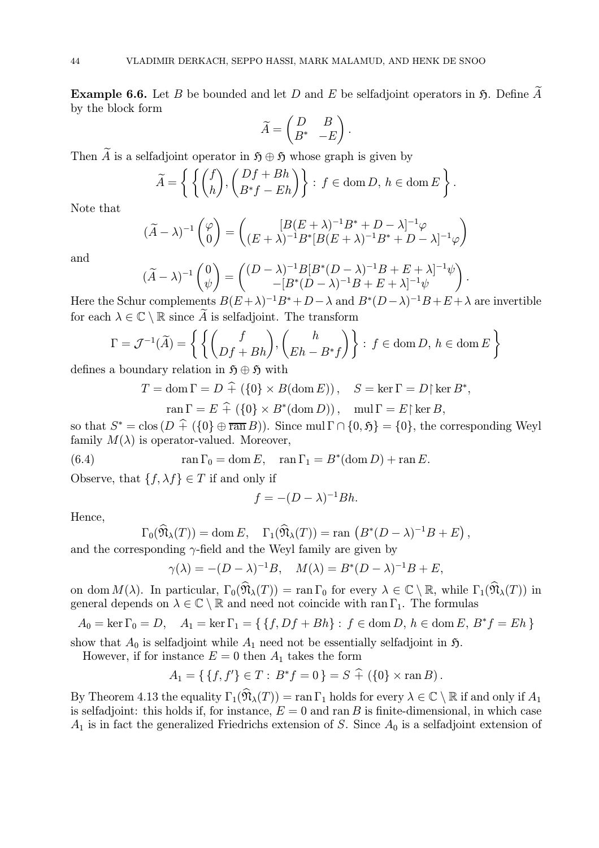**Example 6.6.** Let B be bounded and let D and E be selfadjoint operators in  $\mathfrak{H}$ . Define A by the block form

$$
\widetilde{A} = \begin{pmatrix} D & B \\ B^* & -E \end{pmatrix}.
$$

Then A is a selfadjoint operator in  $\mathfrak{H} \oplus \mathfrak{H}$  whose graph is given by

$$
\widetilde{A} = \left\{ \left\{ \binom{f}{h}, \binom{Df + Bh}{B^*f - Eh} \right\} : f \in \text{dom}\,D, \, h \in \text{dom}\,E \right\}.
$$

Note that

$$
(\widetilde{A} - \lambda)^{-1} \begin{pmatrix} \varphi \\ 0 \end{pmatrix} = \begin{pmatrix} [B(E + \lambda)^{-1}B^* + D - \lambda]^{-1} \varphi \\ (E + \lambda)^{-1}B^*[B(E + \lambda)^{-1}B^* + D - \lambda]^{-1} \varphi \end{pmatrix}
$$

and

$$
(\widetilde{A} - \lambda)^{-1} \begin{pmatrix} 0 \\ \psi \end{pmatrix} = \begin{pmatrix} (D - \lambda)^{-1} B[B^*(D - \lambda)^{-1}B + E + \lambda]^{-1} \psi \\ -[B^*(D - \lambda)^{-1}B + E + \lambda]^{-1} \psi \end{pmatrix}.
$$

Here the Schur complements  $B(E + \lambda)^{-1}B^* + D - \lambda$  and  $B^*(D - \lambda)^{-1}B + E + \lambda$  are invertible for each  $\lambda \in \mathbb{C} \setminus \mathbb{R}$  since  $\widetilde{A}$  is selfadjoint. The transform

$$
\Gamma = \mathcal{J}^{-1}(\widetilde{A}) = \left\{ \left\{ \begin{pmatrix} f \\ Df + Bh \end{pmatrix}, \begin{pmatrix} h \\ Eh - B^*f \end{pmatrix} \right\} : f \in \text{dom } D, h \in \text{dom } E \right\}
$$

defines a boundary relation in  $\mathfrak{H} \oplus \mathfrak{H}$  with

$$
T = \text{dom}\,\Gamma = D + (\{0\} \times B(\text{dom}\,E)), \quad S = \ker\Gamma = D \upharpoonright \ker B^*,
$$

$$
\operatorname{ran} \Gamma = E \widehat{+} (\{0\} \times B^*(\operatorname{dom} D)), \quad \operatorname{mul} \Gamma = E {\upharpoonright} \ker B,
$$

so that  $S^* = \text{clos} (D + (\{0\} \oplus \overline{\text{ran}} B))$ . Since mul  $\Gamma \cap \{0, \mathfrak{H}\} = \{0\}$ , the corresponding Weyl family  $M(\lambda)$  is operator-valued. Moreover,

(6.4) 
$$
\operatorname{ran} \Gamma_0 = \operatorname{dom} E, \quad \operatorname{ran} \Gamma_1 = B^*(\operatorname{dom} D) + \operatorname{ran} E.
$$

Observe, that  $\{f, \lambda f\} \in T$  if and only if

$$
f = -(D - \lambda)^{-1}Bh.
$$

Hence,

$$
\Gamma_0(\widehat{\mathfrak{N}}_{\lambda}(T)) = \text{dom } E, \quad \Gamma_1(\widehat{\mathfrak{N}}_{\lambda}(T)) = \text{ran } (B^*(D - \lambda)^{-1}B + E),
$$

and the corresponding  $\gamma$ -field and the Weyl family are given by

$$
\gamma(\lambda) = -(D - \lambda)^{-1}B, \quad M(\lambda) = B^*(D - \lambda)^{-1}B + E,
$$

on dom  $M(\lambda)$ . In particular,  $\Gamma_0(\widehat{\mathfrak{N}}_{\lambda}(T)) = \text{ran }\Gamma_0$  for every  $\lambda \in \mathbb{C} \setminus \mathbb{R}$ , while  $\Gamma_1(\widehat{\mathfrak{N}}_{\lambda}(T))$  in general depends on  $\lambda \in \mathbb{C} \setminus \mathbb{R}$  and need not coincide with ran  $\Gamma_1$ . The formulas

 $A_0 = \ker \Gamma_0 = D$ ,  $A_1 = \ker \Gamma_1 = \{ \{f, Df + Bh\} : f \in \text{dom } D, h \in \text{dom } E, B^*f = Eh \}$ 

show that  $A_0$  is selfadjoint while  $A_1$  need not be essentially selfadjoint in  $\mathfrak{H}$ .

However, if for instance  $E = 0$  then  $A_1$  takes the form

$$
A_1 = \{ \{f, f'\} \in T : B^* f = 0 \} = S \hat{+} \left( \{0\} \times \operatorname{ran} B \right).
$$

By Theorem 4.13 the equality  $\Gamma_1(\widehat{\mathfrak{N}}_{\lambda}(T)) = \text{ran }\Gamma_1$  holds for every  $\lambda \in \mathbb{C} \setminus \mathbb{R}$  if and only if  $A_1$ is selfadjoint: this holds if, for instance,  $E = 0$  and ran B is finite-dimensional, in which case  $A_1$  is in fact the generalized Friedrichs extension of S. Since  $A_0$  is a selfadjoint extension of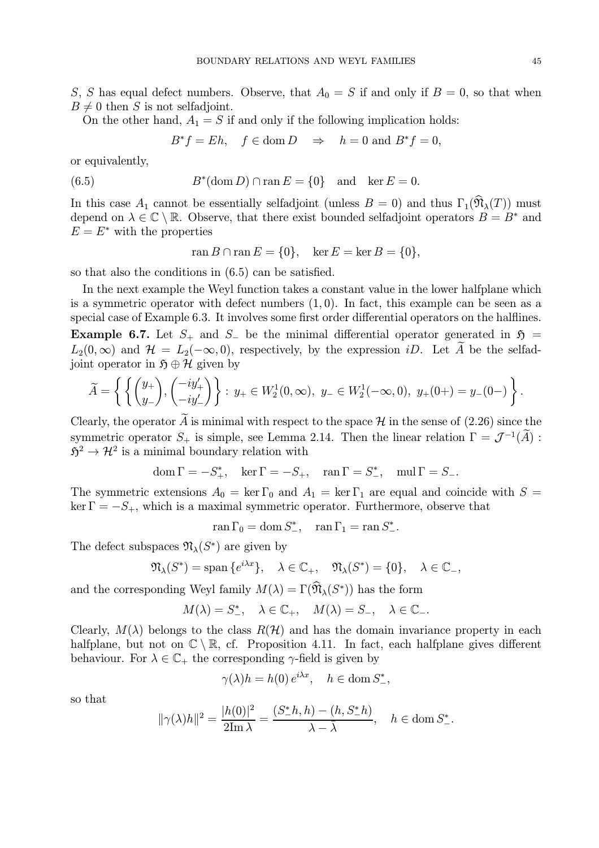S, S has equal defect numbers. Observe, that  $A_0 = S$  if and only if  $B = 0$ , so that when  $B \neq 0$  then S is not selfadjoint.

On the other hand,  $A_1 = S$  if and only if the following implication holds:

 $B^*f = Eh$ ,  $f \in \text{dom } D \Rightarrow h = 0 \text{ and } B^*f = 0$ ,

or equivalently,

(6.5) 
$$
B^*(\text{dom } D) \cap \text{ran } E = \{0\} \text{ and } \ker E = 0.
$$

In this case  $A_1$  cannot be essentially selfadjoint (unless  $B = 0$ ) and thus  $\Gamma_1(\widehat{\mathfrak{N}}_{\lambda}(T))$  must depend on  $\lambda \in \mathbb{C} \setminus \mathbb{R}$ . Observe, that there exist bounded selfadjoint operators  $B = B^*$  and  $E = E^*$  with the properties

$$
\operatorname{ran} B \cap \operatorname{ran} E = \{0\}, \quad \ker E = \ker B = \{0\},\
$$

so that also the conditions in (6.5) can be satisfied.

In the next example the Weyl function takes a constant value in the lower halfplane which is a symmetric operator with defect numbers  $(1, 0)$ . In fact, this example can be seen as a special case of Example 6.3. It involves some first order differential operators on the halflines. Example 6.7. Let  $S_+$  and  $S_-$  be the minimal differential operator generated in  $\mathfrak{H} =$  $L_2(0,\infty)$  and  $\mathcal{H} = L_2(-\infty,0)$ , respectively, by the expression iD. Let  $\widetilde{A}$  be the selfadjoint operator in  $\mathfrak{H} \oplus \mathcal{H}$  given by

$$
\widetilde{A} = \left\{ \left\{ \begin{pmatrix} y_+ \\ y_- \end{pmatrix}, \begin{pmatrix} -iy'_+ \\ -iy'_- \end{pmatrix} \right\} : y_+ \in W_2^1(0, \infty), \ y_- \in W_2^1(-\infty, 0), \ y_+(0+) = y_-(0-) \right\}.
$$

Clearly, the operator A is minimal with respect to the space  $\mathcal H$  in the sense of (2.26) since the symmetric operator  $S_+$  is simple, see Lemma 2.14. Then the linear relation  $\Gamma = \mathcal{J}^{-1}(\widetilde{A})$ :  $5^2 \rightarrow \mathcal{H}^2$  is a minimal boundary relation with

$$
\operatorname{dom}\Gamma=-S_+^*,\quad\ker\Gamma=-S_+,\quad\operatorname{ran}\Gamma=S_-^*,\quad\operatorname{mul}\Gamma=S_-.
$$

The symmetric extensions  $A_0 = \ker \Gamma_0$  and  $A_1 = \ker \Gamma_1$  are equal and coincide with  $S =$  $\ker \Gamma = -S_+$ , which is a maximal symmetric operator. Furthermore, observe that

 $\text{ran }\Gamma_0 = \text{dom } S^*_{-}, \quad \text{ran }\Gamma_1 = \text{ran } S^*_{-}.$ 

The defect subspaces  $\mathfrak{N}_{\lambda}(S^*)$  are given by

$$
\mathfrak{N}_{\lambda}(S^*) = \text{span}\{e^{i\lambda x}\}, \quad \lambda \in \mathbb{C}_+, \quad \mathfrak{N}_{\lambda}(S^*) = \{0\}, \quad \lambda \in \mathbb{C}_-,
$$

and the corresponding Weyl family  $M(\lambda) = \Gamma(\widehat{\mathfrak{N}}_{\lambda}(S^*))$  has the form

$$
M(\lambda) = S^*_{-}, \quad \lambda \in \mathbb{C}_{+}, \quad M(\lambda) = S_{-}, \quad \lambda \in \mathbb{C}_{-}.
$$

Clearly,  $M(\lambda)$  belongs to the class  $R(\mathcal{H})$  and has the domain invariance property in each halfplane, but not on  $\mathbb{C} \setminus \mathbb{R}$ , cf. Proposition 4.11. In fact, each halfplane gives different behaviour. For  $\lambda \in \mathbb{C}_+$  the corresponding  $\gamma$ -field is given by

$$
\gamma(\lambda)h = h(0) e^{i\lambda x}, \quad h \in \text{dom } S^*_{-},
$$

so that

$$
\|\gamma(\lambda)h\|^2 = \frac{|h(0)|^2}{2\text{Im }\lambda} = \frac{(S_-^*h, h) - (h, S_-^*h)}{\lambda - \bar{\lambda}}, \quad h \in \text{dom } S_-^*.
$$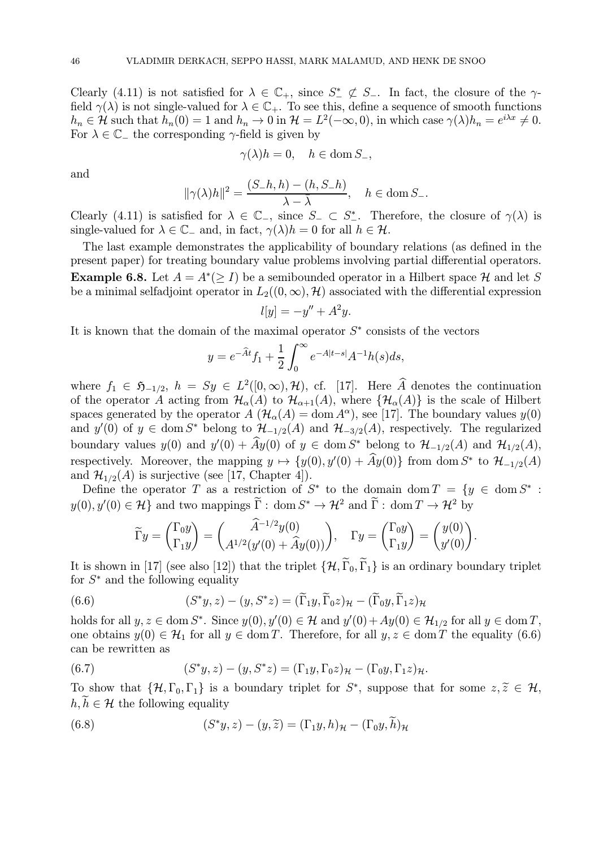Clearly (4.11) is not satisfied for  $\lambda \in \mathbb{C}_+$ , since  $S^* \not\subset S_-$ . In fact, the closure of the  $\gamma$ field  $\gamma(\lambda)$  is not single-valued for  $\lambda \in \mathbb{C}_+$ . To see this, define a sequence of smooth functions  $h_n \in \mathcal{H}$  such that  $h_n(0) = 1$  and  $h_n \to 0$  in  $\mathcal{H} = L^2(-\infty, 0)$ , in which case  $\gamma(\lambda)h_n = e^{i\lambda x} \neq 0$ . For  $\lambda \in \mathbb{C}$  the corresponding  $\gamma$ -field is given by

$$
\gamma(\lambda)h = 0, \quad h \in \text{dom } S_-,
$$

and

$$
\|\gamma(\lambda)h\|^2 = \frac{(S_h,h) - (h, S_h)}{\lambda - \overline{\lambda}}, \quad h \in \text{dom}\, S_h.
$$

Clearly (4.11) is satisfied for  $\lambda \in \mathbb{C}$ , since  $S_{-} \subset S_{-}^{*}$ . Therefore, the closure of  $\gamma(\lambda)$  is single-valued for  $\lambda \in \mathbb{C}_-$  and, in fact,  $\gamma(\lambda)h = 0$  for all  $h \in \mathcal{H}$ .

The last example demonstrates the applicability of boundary relations (as defined in the present paper) for treating boundary value problems involving partial differential operators. **Example 6.8.** Let  $A = A^*(\geq I)$  be a semibounded operator in a Hilbert space H and let S be a minimal selfadjoint operator in  $L_2((0,\infty),\mathcal{H})$  associated with the differential expression

$$
l[y] = -y'' + A^2y.
$$

It is known that the domain of the maximal operator  $S<sup>*</sup>$  consists of the vectors

$$
y = e^{-\widehat{A}t} f_1 + \frac{1}{2} \int_0^\infty e^{-A|t-s|} A^{-1} h(s) ds,
$$

where  $f_1 \in \mathfrak{H}_{-1/2}$ ,  $h = Sy \in L^2([0,\infty),\mathcal{H})$ , cf. [17]. Here  $\widehat{A}$  denotes the continuation of the operator A acting from  $\mathcal{H}_{\alpha}(A)$  to  $\mathcal{H}_{\alpha+1}(A)$ , where  $\{\mathcal{H}_{\alpha}(A)\}$  is the scale of Hilbert spaces generated by the operator  $A(\mathcal{H}_{\alpha}(A) = \text{dom } A^{\alpha})$ , see [17]. The boundary values  $y(0)$ and  $y'(0)$  of  $y \in \text{dom } S^*$  belong to  $\mathcal{H}_{-1/2}(A)$  and  $\mathcal{H}_{-3/2}(A)$ , respectively. The regularized boundary values  $y(0)$  and  $y'(0) + Ay(0)$  of  $y \in \text{dom } S^*$  belong to  $\mathcal{H}_{-1/2}(A)$  and  $\mathcal{H}_{1/2}(A)$ , respectively. Moreover, the mapping  $y \mapsto \{y(0), y'(0) + Ay(0)\}\$  from dom  $S^*$  to  $\mathcal{H}_{-1/2}(A)$ and  $\mathcal{H}_{1/2}(A)$  is surjective (see [17, Chapter 4]).

Define the operator T as a restriction of  $S^*$  to the domain dom  $T = \{y \in \text{dom } S^* :$  $y(0), y'(0) \in \mathcal{H}$  and two mappings  $\Gamma: \text{ dom } S^* \to \mathcal{H}^2$  and  $\Gamma: \text{ dom } T \to \mathcal{H}^2$  by

$$
\widetilde{\Gamma}y = \begin{pmatrix} \Gamma_0 y \\ \Gamma_1 y \end{pmatrix} = \begin{pmatrix} \widehat{A}^{-1/2} y(0) \\ A^{1/2} (y'(0) + \widehat{A}y(0)) \end{pmatrix}, \quad \Gamma y = \begin{pmatrix} \Gamma_0 y \\ \Gamma_1 y \end{pmatrix} = \begin{pmatrix} y(0) \\ y'(0) \end{pmatrix}.
$$

It is shown in [17] (see also [12]) that the triplet  $\{\mathcal{H}, \Gamma_0, \Gamma_1\}$  is an ordinary boundary triplet for  $S^*$  and the following equality

(6.6) 
$$
(S^*y, z) - (y, S^*z) = (\widetilde{\Gamma}_1 y, \widetilde{\Gamma}_0 z)_{\mathcal{H}} - (\widetilde{\Gamma}_0 y, \widetilde{\Gamma}_1 z)_{\mathcal{H}}
$$

holds for all  $y, z \in \text{dom } S^*$ . Since  $y(0), y'(0) \in \mathcal{H}$  and  $y'(0) + Ay(0) \in \mathcal{H}_{1/2}$  for all  $y \in \text{dom } T$ , one obtains  $y(0) \in \mathcal{H}_1$  for all  $y \in \text{dom } T$ . Therefore, for all  $y, z \in \text{dom } T$  the equality (6.6) can be rewritten as

(6.7) 
$$
(S^*y, z) - (y, S^*z) = (\Gamma_1 y, \Gamma_0 z)_{\mathcal{H}} - (\Gamma_0 y, \Gamma_1 z)_{\mathcal{H}}.
$$

To show that  $\{\mathcal{H}, \Gamma_0, \Gamma_1\}$  is a boundary triplet for  $S^*$ , suppose that for some  $z, \tilde{z} \in \mathcal{H}$ ,  $h, h \in \mathcal{H}$  the following equality

(6.8) 
$$
(S^*y, z) - (y, \widetilde{z}) = (\Gamma_1 y, h)_{\mathcal{H}} - (\Gamma_0 y, \widetilde{h})_{\mathcal{H}}
$$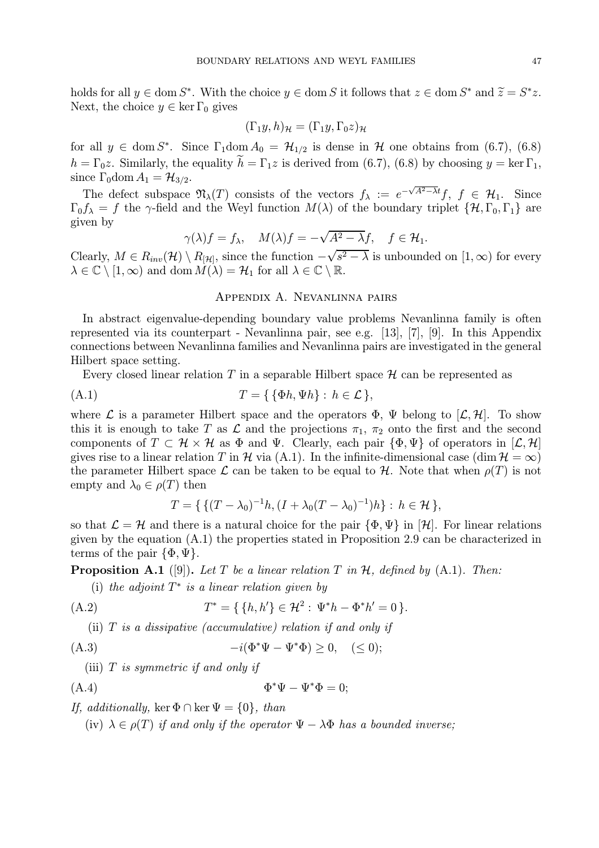holds for all  $y \in \text{dom } S^*$ . With the choice  $y \in \text{dom } S$  it follows that  $z \in \text{dom } S^*$  and  $\widetilde{z} = S^*z$ . Next, the choice  $y \in \ker \Gamma_0$  gives

$$
(\Gamma_1 y, h)_{\mathcal{H}} = (\Gamma_1 y, \Gamma_0 z)_{\mathcal{H}}
$$

for all  $y \in \text{dom } S^*$ . Since  $\Gamma_1 \text{dom } A_0 = \mathcal{H}_{1/2}$  is dense in  $\mathcal{H}$  one obtains from (6.7), (6.8)  $h = \Gamma_0 z$ . Similarly, the equality  $h = \Gamma_1 z$  is derived from (6.7), (6.8) by choosing  $y = \ker \Gamma_1$ , since  $\Gamma_0$ dom  $A_1 = \mathcal{H}_{3/2}$ .

The defect subspace  $\mathfrak{N}_{\lambda}(T)$  consists of the vectors  $f_{\lambda} := e^{-\sqrt{A^2 - \lambda t}} f, f \in \mathcal{H}_1$ . Since  $\Gamma_0 f_\lambda = f$  the  $\gamma$ -field and the Weyl function  $M(\lambda)$  of the boundary triplet  $\{H, \Gamma_0, \Gamma_1\}$  are given by

$$
\gamma(\lambda)f = f_{\lambda}, \quad M(\lambda)f = -\sqrt{A^2 - \lambda}f, \quad f \in \mathcal{H}_1.
$$

Clearly,  $M \in R_{inv}(\mathcal{H}) \setminus R_{\mathcal{H}}$ , since the function  $-\sqrt{s^2 - \lambda}$  is unbounded on  $[1, \infty)$  for every  $\lambda \in \mathbb{C} \setminus [1, \infty)$  and dom  $M(\lambda) = \mathcal{H}_1$  for all  $\lambda \in \mathbb{C} \setminus \mathbb{R}$ .

### Appendix A. Nevanlinna pairs

In abstract eigenvalue-depending boundary value problems Nevanlinna family is often represented via its counterpart - Nevanlinna pair, see e.g. [13], [7], [9]. In this Appendix connections between Nevanlinna families and Nevanlinna pairs are investigated in the general Hilbert space setting.

Every closed linear relation T in a separable Hilbert space  $\mathcal H$  can be represented as

$$
(A.1) \t\t T = \{ \{\Phi h, \Psi h\} : h \in \mathcal{L} \},
$$

where L is a parameter Hilbert space and the operators  $\Phi$ ,  $\Psi$  belong to  $[\mathcal{L}, \mathcal{H}]$ . To show this it is enough to take T as  $\mathcal L$  and the projections  $\pi_1$ ,  $\pi_2$  onto the first and the second components of  $T \subset \mathcal{H} \times \mathcal{H}$  as  $\Phi$  and  $\Psi$ . Clearly, each pair  $\{\Phi, \Psi\}$  of operators in  $[\mathcal{L}, \mathcal{H}]$ gives rise to a linear relation T in H via (A.1). In the infinite-dimensional case  $(\dim \mathcal{H} = \infty)$ the parameter Hilbert space  $\mathcal L$  can be taken to be equal to  $\mathcal H$ . Note that when  $\rho(T)$  is not empty and  $\lambda_0 \in \rho(T)$  then

$$
T = \{ \{ (T - \lambda_0)^{-1}h, (I + \lambda_0(T - \lambda_0)^{-1})h \} : h \in \mathcal{H} \},
$$

so that  $\mathcal{L} = \mathcal{H}$  and there is a natural choice for the pair  $\{\Phi, \Psi\}$  in  $[\mathcal{H}]$ . For linear relations given by the equation (A.1) the properties stated in Proposition 2.9 can be characterized in terms of the pair  $\{\Phi, \Psi\}.$ 

**Proposition A.1** ([9]). Let T be a linear relation T in H, defined by  $(A.1)$ . Then:

(i) the adjoint  $T^*$  is a linear relation given by

(A.2) 
$$
T^* = \{ \{h, h'\} \in \mathcal{H}^2 : \Psi^* h - \Phi^* h' = 0 \}.
$$

(ii)  $T$  is a dissipative (accumulative) relation if and only if

(A.3) 
$$
-i(\Phi^*\Psi - \Psi^*\Phi) \ge 0, \quad (\le 0);
$$

(iii)  $T$  is symmetric if and only if

$$
\Phi^* \Psi - \Psi^* \Phi = 0;
$$

If, additionally, ker  $\Phi \cap \ker \Psi = \{0\}$ , than

(iv)  $\lambda \in \rho(T)$  if and only if the operator  $\Psi - \lambda \Phi$  has a bounded inverse;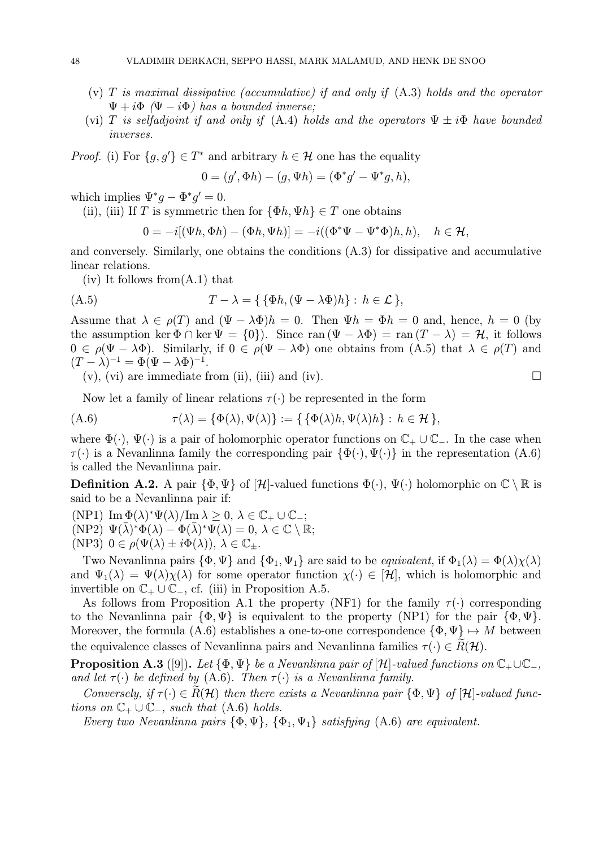- (v)  $T$  is maximal dissipative (accumulative) if and only if  $(A.3)$  holds and the operator  $\Psi + i\Phi$  ( $\Psi - i\Phi$ ) has a bounded inverse;
- (vi) T is selfadjoint if and only if (A.4) holds and the operators  $\Psi \pm i\Phi$  have bounded inverses.

*Proof.* (i) For  $\{g, g'\} \in T^*$  and arbitrary  $h \in \mathcal{H}$  one has the equality

$$
0 = (g', \Phi h) - (g, \Psi h) = (\Phi^* g' - \Psi^* g, h),
$$

which implies  $\Psi^* q - \Phi^* q' = 0$ .

(ii), (iii) If T is symmetric then for  $\{\Phi h, \Psi h\} \in T$  one obtains

$$
0 = -i[(\Psi h, \Phi h) - (\Phi h, \Psi h)] = -i((\Phi^* \Psi - \Psi^* \Phi)h, h), \quad h \in \mathcal{H},
$$

and conversely. Similarly, one obtains the conditions (A.3) for dissipative and accumulative linear relations.

 $(iv)$  It follows from  $(A.1)$  that

$$
(A.5) \t\t T - \lambda = \{ \{ \Phi h, (\Psi - \lambda \Phi) h \} : h \in \mathcal{L} \},
$$

Assume that  $\lambda \in \rho(T)$  and  $(\Psi - \lambda \Phi)h = 0$ . Then  $\Psi h = \Phi h = 0$  and, hence,  $h = 0$  (by the assumption ker  $\Phi \cap \ker \Psi = \{0\}$ . Since ran  $(\Psi - \lambda \Phi) = \operatorname{ran}(T - \lambda) = \mathcal{H}$ , it follows  $0 \in \rho(\Psi - \lambda \Phi)$ . Similarly, if  $0 \in \rho(\Psi - \lambda \Phi)$  one obtains from  $(A.5)$  that  $\lambda \in \rho(T)$  and  $(T - \lambda)^{-1} = \Phi(\Psi - \lambda \Phi)^{-1}.$ 

 $(v)$ ,  $(vi)$  are immediate from (ii), (iii) and (iv).

Now let a family of linear relations  $\tau(\cdot)$  be represented in the form

(A.6) 
$$
\tau(\lambda) = \{\Phi(\lambda), \Psi(\lambda)\} := \{\{\Phi(\lambda)h, \Psi(\lambda)h\} : h \in \mathcal{H}\},
$$

where  $\Phi(\cdot)$ ,  $\Psi(\cdot)$  is a pair of holomorphic operator functions on  $\mathbb{C}_+ \cup \mathbb{C}_-$ . In the case when  $\tau(\cdot)$  is a Nevanlinna family the corresponding pair  $\{\Phi(\cdot), \Psi(\cdot)\}\$ in the representation  $(A.6)$ is called the Nevanlinna pair.

**Definition A.2.** A pair  $\{\Phi, \Psi\}$  of  $[\mathcal{H}]$ -valued functions  $\Phi(\cdot), \Psi(\cdot)$  holomorphic on  $\mathbb{C} \setminus \mathbb{R}$  is said to be a Nevanlinna pair if:

(NP1)  $\text{Im }\Phi(\lambda)^* \Psi(\lambda) / \text{Im }\lambda \geq 0, \ \lambda \in \mathbb{C}_+ \cup \mathbb{C}_-,$ (NP2)  $\Psi(\lambda)^*\Phi(\lambda) - \Phi(\lambda)^*\Psi(\lambda) = 0, \lambda \in \mathbb{C} \setminus \mathbb{R};$ 

(NP3)  $0 \in \rho(\Psi(\lambda) \pm i\Phi(\lambda)), \lambda \in \mathbb{C}_{\pm}.$ 

Two Nevanlinna pairs  $\{\Phi, \Psi\}$  and  $\{\Phi_1, \Psi_1\}$  are said to be *equivalent*, if  $\Phi_1(\lambda) = \Phi(\lambda)\chi(\lambda)$ and  $\Psi_1(\lambda) = \Psi(\lambda)\chi(\lambda)$  for some operator function  $\chi(\cdot) \in [\mathcal{H}]$ , which is holomorphic and invertible on  $\mathbb{C}_+ \cup \mathbb{C}_-,$  cf. (iii) in Proposition A.5.

As follows from Proposition A.1 the property (NF1) for the family  $\tau(\cdot)$  corresponding to the Nevanlinna pair  $\{\Phi, \Psi\}$  is equivalent to the property (NP1) for the pair  $\{\Phi, \Psi\}$ . Moreover, the formula (A.6) establishes a one-to-one correspondence  $\{\Phi, \Psi\} \mapsto M$  between the equivalence classes of Nevanlinna pairs and Nevanlinna families  $\tau(\cdot) \in R(\mathcal{H})$ .

**Proposition A.3** ([9]). Let  $\{\Phi, \Psi\}$  be a Nevanlinna pair of  $[\mathcal{H}]$ -valued functions on  $\mathbb{C}_+ \cup \mathbb{C}_-,$ and let  $\tau(\cdot)$  be defined by (A.6). Then  $\tau(\cdot)$  is a Nevanlinna family.

Conversely, if  $\tau(\cdot) \in R(H)$  then there exists a Nevanlinna pair  $\{\Phi, \Psi\}$  of  $[H]$ -valued functions on  $\mathbb{C}_+ \cup \mathbb{C}_-,$  such that (A.6) holds.

Every two Nevanlinna pairs  $\{\Phi, \Psi\}, \{\Phi_1, \Psi_1\}$  satisfying  $(A.6)$  are equivalent.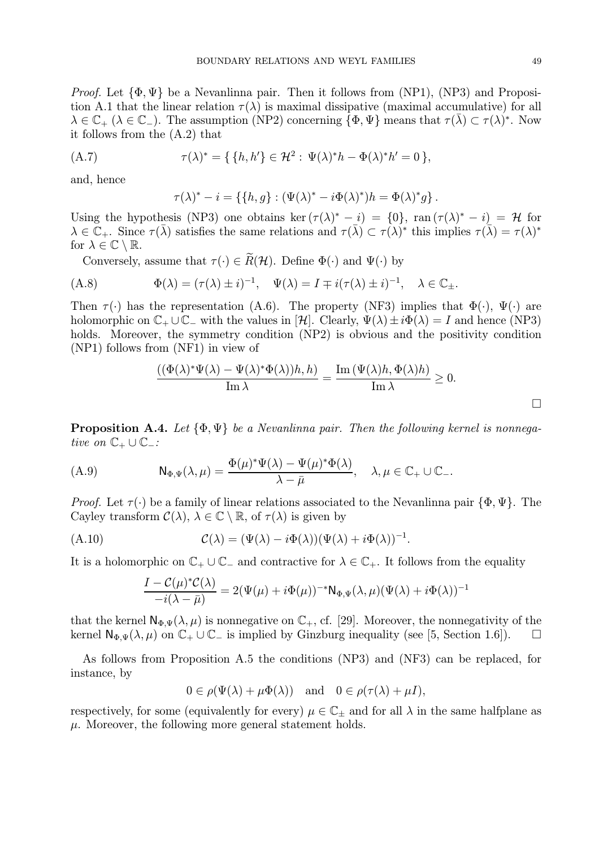*Proof.* Let  $\{\Phi, \Psi\}$  be a Nevanlinna pair. Then it follows from (NP1), (NP3) and Proposition A.1 that the linear relation  $\tau(\lambda)$  is maximal dissipative (maximal accumulative) for all  $\lambda \in \mathbb{C}_+$  ( $\lambda \in \mathbb{C}_-$ ). The assumption (NP2) concerning  $\{\Phi, \Psi\}$  means that  $\tau(\overline{\lambda}) \subset \tau(\lambda)^*$ . Now it follows from the (A.2) that

(A.7) 
$$
\tau(\lambda)^* = \{ \{ h, h' \} \in \mathcal{H}^2 : \Psi(\lambda)^* h - \Phi(\lambda)^* h' = 0 \},
$$

and, hence

$$
\tau(\lambda)^* - i = \{ \{h, g\} : (\Psi(\lambda)^* - i\Phi(\lambda)^*)h = \Phi(\lambda)^*g \}.
$$

Using the hypothesis (NP3) one obtains ker  $(\tau(\lambda)^* - i) = \{0\}$ , ran  $(\tau(\lambda)^* - i) = \mathcal{H}$  for  $\lambda \in \mathbb{C}_+$ . Since  $\tau(\overline{\lambda})$  satisfies the same relations and  $\tau(\overline{\lambda}) \subset \tau(\lambda)^*$  this implies  $\tau(\overline{\lambda}) = \tau(\lambda)^*$ for  $\lambda \in \mathbb{C} \setminus \mathbb{R}$ .

Conversely, assume that  $\tau(\cdot) \in \widetilde{R}(\mathcal{H})$ . Define  $\Phi(\cdot)$  and  $\Psi(\cdot)$  by

(A.8) 
$$
\Phi(\lambda) = (\tau(\lambda) \pm i)^{-1}, \quad \Psi(\lambda) = I \mp i(\tau(\lambda) \pm i)^{-1}, \quad \lambda \in \mathbb{C}_{\pm}.
$$

Then  $\tau(\cdot)$  has the representation (A.6). The property (NF3) implies that  $\Phi(\cdot)$ ,  $\Psi(\cdot)$  are holomorphic on  $\mathbb{C}_+ \cup \mathbb{C}_-$  with the values in  $[\mathcal{H}]$ . Clearly,  $\Psi(\lambda) \pm i\Phi(\lambda) = I$  and hence (NP3) holds. Moreover, the symmetry condition (NP2) is obvious and the positivity condition (NP1) follows from (NF1) in view of

$$
\frac{((\Phi(\lambda)^*\Psi(\lambda)-\Psi(\lambda)^*\Phi(\lambda))h,h)}{\operatorname{Im}\lambda}=\frac{\operatorname{Im}\left(\Psi(\lambda)h,\Phi(\lambda)h\right)}{\operatorname{Im}\lambda}\geq 0.
$$

**Proposition A.4.** Let  $\{\Phi, \Psi\}$  be a Nevanlinna pair. Then the following kernel is nonnegative on  $\mathbb{C}_+ \cup \mathbb{C}_-$ :

(A.9) 
$$
N_{\Phi,\Psi}(\lambda,\mu) = \frac{\Phi(\mu)^*\Psi(\lambda) - \Psi(\mu)^*\Phi(\lambda)}{\lambda - \bar{\mu}}, \quad \lambda,\mu \in \mathbb{C}_+ \cup \mathbb{C}_-.
$$

*Proof.* Let  $\tau(\cdot)$  be a family of linear relations associated to the Nevanlinna pair  $\{\Phi, \Psi\}$ . The Cayley transform  $\mathcal{C}(\lambda)$ ,  $\lambda \in \mathbb{C} \setminus \mathbb{R}$ , of  $\tau(\lambda)$  is given by

(A.10) 
$$
\mathcal{C}(\lambda) = (\Psi(\lambda) - i\Phi(\lambda))(\Psi(\lambda) + i\Phi(\lambda))^{-1}.
$$

It is a holomorphic on  $\mathbb{C}_+ \cup \mathbb{C}_-$  and contractive for  $\lambda \in \mathbb{C}_+$ . It follows from the equality

$$
\frac{I - C(\mu)^* C(\lambda)}{-i(\lambda - \bar{\mu})} = 2(\Psi(\mu) + i\Phi(\mu))^{-*} \mathsf{N}_{\Phi,\Psi}(\lambda,\mu) (\Psi(\lambda) + i\Phi(\lambda))^{-1}
$$

that the kernel  $\mathsf{N}_{\Phi,\Psi}(\lambda,\mu)$  is nonnegative on  $\mathbb{C}_+$ , cf. [29]. Moreover, the nonnegativity of the kernel  $\mathsf{N}_{\Phi,\Psi}(\lambda,\mu)$  on  $\mathbb{C}_+\cup\mathbb{C}_-$  is implied by Ginzburg inequality (see [5, Section 1.6]).  $\Box$ 

As follows from Proposition A.5 the conditions (NP3) and (NF3) can be replaced, for instance, by

$$
0 \in \rho(\Psi(\lambda) + \mu \Phi(\lambda)) \quad \text{and} \quad 0 \in \rho(\tau(\lambda) + \mu I),
$$

respectively, for some (equivalently for every)  $\mu \in \mathbb{C}_+$  and for all  $\lambda$  in the same halfplane as  $\mu$ . Moreover, the following more general statement holds.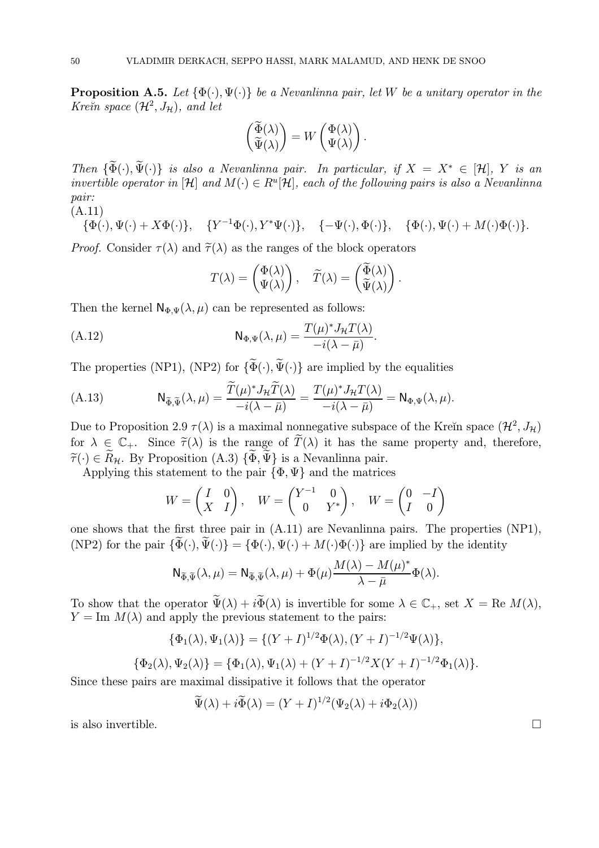**Proposition A.5.** Let  $\{\Phi(\cdot), \Psi(\cdot)\}\$  be a Nevanlinna pair, let W be a unitary operator in the Kre $\check{\mathit{n}}$  space  $(\mathcal{H}^2, J_\mathcal{H})$ , and let

$$
\begin{pmatrix} \widetilde{\Phi}(\lambda) \\ \widetilde{\Psi}(\lambda) \end{pmatrix} = W \begin{pmatrix} \Phi(\lambda) \\ \Psi(\lambda) \end{pmatrix}.
$$

Then  $\{\widetilde{\Phi}(\cdot), \widetilde{\Psi}(\cdot)\}\$ is also a Nevanlinna pair. In particular, if  $X = X^* \in [\mathcal{H}], Y$  is an invertible operator in  $[\mathcal{H}]$  and  $M(\cdot) \in R^u[\mathcal{H}]$ , each of the following pairs is also a Nevanlinna pair: (A.11)

 $\{\Phi(\cdot),\Psi(\cdot)+X\Phi(\cdot)\},\quad \{Y^{-1}\Phi(\cdot),Y^*\Psi(\cdot)\},\quad \{-\Psi(\cdot),\Phi(\cdot)\},\quad \{\Phi(\cdot),\Psi(\cdot)+M(\cdot)\Phi(\cdot)\}.$ 

*Proof.* Consider  $\tau(\lambda)$  and  $\tilde{\tau}(\lambda)$  as the ranges of the block operators

$$
T(\lambda) = \begin{pmatrix} \Phi(\lambda) \\ \Psi(\lambda) \end{pmatrix}, \quad \widetilde{T}(\lambda) = \begin{pmatrix} \widetilde{\Phi}(\lambda) \\ \widetilde{\Psi}(\lambda) \end{pmatrix}.
$$

Then the kernel  $\mathsf{N}_{\Phi,\Psi}(\lambda,\mu)$  can be represented as follows:

(A.12) 
$$
\mathsf{N}_{\Phi,\Psi}(\lambda,\mu) = \frac{T(\mu)^* J_{\mathcal{H}} T(\lambda)}{-i(\lambda - \bar{\mu})}.
$$

The properties (NP1), (NP2) for  $\{\widetilde{\Phi}(\cdot), \widetilde{\Psi}(\cdot)\}$  are implied by the equalities

(A.13) 
$$
N_{\widetilde{\Phi},\widetilde{\Psi}}(\lambda,\mu) = \frac{\widetilde{T}(\mu)^* J_{\mathcal{H}} \widetilde{T}(\lambda)}{-i(\lambda - \bar{\mu})} = \frac{T(\mu)^* J_{\mathcal{H}} T(\lambda)}{-i(\lambda - \bar{\mu})} = N_{\Phi,\Psi}(\lambda,\mu).
$$

Due to Proposition 2.9  $\tau(\lambda)$  is a maximal nonnegative subspace of the Kreĭn space  $(\mathcal{H}^2, J_\mathcal{H})$ for  $\lambda \in \mathbb{C}_+$ . Since  $\widetilde{\tau}(\lambda)$  is the range of  $\widetilde{T}(\lambda)$  it has the same property and, therefore,  $\tilde{\tau}(\cdot) \in \tilde{R}_{\mathcal{H}}$ . By Proposition (A.3)  $\{\tilde{\Phi}, \tilde{\Psi}\}\$ is a Nevanlinna pair.

Applying this statement to the pair  $\{\Phi, \Psi\}$  and the matrices

$$
W = \begin{pmatrix} I & 0 \\ X & I \end{pmatrix}, \quad W = \begin{pmatrix} Y^{-1} & 0 \\ 0 & Y^* \end{pmatrix}, \quad W = \begin{pmatrix} 0 & -I \\ I & 0 \end{pmatrix}
$$

one shows that the first three pair in (A.11) are Nevanlinna pairs. The properties (NP1), (NP2) for the pair  $\{\widetilde{\Phi}(\cdot), \widetilde{\Psi}(\cdot)\} = \{\Phi(\cdot), \Psi(\cdot) + M(\cdot)\Phi(\cdot)\}\$ are implied by the identity

$$
\mathsf{N}_{\widetilde{\Phi},\widetilde{\Psi}}(\lambda,\mu) = \mathsf{N}_{\widetilde{\Phi},\widetilde{\Psi}}(\lambda,\mu) + \Phi(\mu) \frac{M(\lambda) - M(\mu)^*}{\lambda - \bar{\mu}} \Phi(\lambda).
$$

To show that the operator  $\widetilde{\Psi}(\lambda) + i \widetilde{\Phi}(\lambda)$  is invertible for some  $\lambda \in \mathbb{C}_+$ , set  $X = \text{Re } M(\lambda)$ ,  $Y = \text{Im } M(\lambda)$  and apply the previous statement to the pairs:

$$
\{\Phi_1(\lambda), \Psi_1(\lambda)\} = \{(Y+I)^{1/2}\Phi(\lambda), (Y+I)^{-1/2}\Psi(\lambda)\},
$$
  

$$
\{\Phi_2(\lambda), \Psi_2(\lambda)\} = \{\Phi_1(\lambda), \Psi_1(\lambda) + (Y+I)^{-1/2}X(Y+I)^{-1/2}\Phi_1(\lambda)\}.
$$

Since these pairs are maximal dissipative it follows that the operator

$$
\widetilde{\Psi}(\lambda) + i \widetilde{\Phi}(\lambda) = (Y + I)^{1/2} (\Psi_2(\lambda) + i \Phi_2(\lambda))
$$

is also invertible.  $\Box$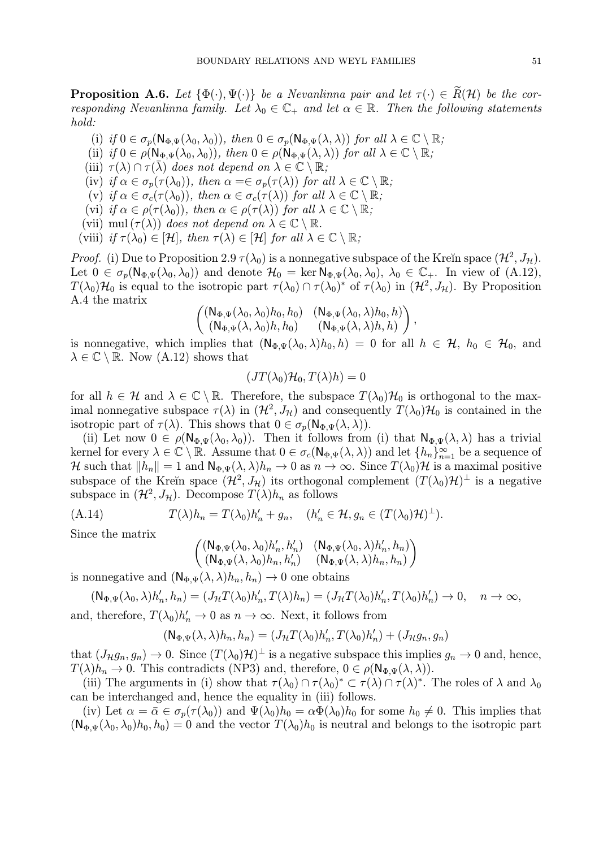**Proposition A.6.** Let  $\{\Phi(\cdot), \Psi(\cdot)\}\$  be a Nevanlinna pair and let  $\tau(\cdot) \in \tilde{R}(\mathcal{H})$  be the corresponding Nevanlinna family. Let  $\lambda_0 \in \mathbb{C}_+$  and let  $\alpha \in \mathbb{R}$ . Then the following statements hold:

- (i) if  $0 \in \sigma_p(\mathsf{N}_{\Phi,\Psi}(\lambda_0,\lambda_0)),$  then  $0 \in \sigma_p(\mathsf{N}_{\Phi,\Psi}(\lambda,\lambda))$  for all  $\lambda \in \mathbb{C} \setminus \mathbb{R}$ ;
- (ii) if  $0 \in \rho(\mathsf{N}_{\Phi,\Psi}(\lambda_0,\lambda_0)),$  then  $0 \in \rho(\mathsf{N}_{\Phi,\Psi}(\lambda,\lambda))$  for all  $\lambda \in \mathbb{C} \setminus \mathbb{R}$ ;
- (iii)  $\tau(\lambda) \cap \tau(\lambda)$  does not depend on  $\lambda \in \mathbb{C} \setminus \mathbb{R}$ ;
- (iv) if  $\alpha \in \sigma_p(\tau(\lambda_0))$ , then  $\alpha = \in \sigma_p(\tau(\lambda))$  for all  $\lambda \in \mathbb{C} \setminus \mathbb{R}$ ;
- (v) if  $\alpha \in \sigma_c(\tau(\lambda_0))$ , then  $\alpha \in \sigma_c(\tau(\lambda))$  for all  $\lambda \in \mathbb{C} \setminus \mathbb{R}$ ;
- (vi) if  $\alpha \in \rho(\tau(\lambda_0))$ , then  $\alpha \in \rho(\tau(\lambda))$  for all  $\lambda \in \mathbb{C} \setminus \mathbb{R}$ ;
- (vii) mul  $(\tau(\lambda))$  does not depend on  $\lambda \in \mathbb{C} \setminus \mathbb{R}$ .
- (viii) if  $\tau(\lambda_0) \in [\mathcal{H}]$ , then  $\tau(\lambda) \in [\mathcal{H}]$  for all  $\lambda \in \mathbb{C} \setminus \mathbb{R}$ ;

*Proof.* (i) Due to Proposition 2.9  $\tau(\lambda_0)$  is a nonnegative subspace of the Kreĭn space  $(\mathcal{H}^2, J_{\mathcal{H}})$ . Let  $0 \in \sigma_p(\mathsf{N}_{\Phi,\Psi}(\lambda_0,\lambda_0))$  and denote  $\mathcal{H}_0 = \ker \mathsf{N}_{\Phi,\Psi}(\lambda_0,\lambda_0), \lambda_0 \in \mathbb{C}_+$ . In view of  $(A.12)$ ,  $T(\lambda_0)H_0$  is equal to the isotropic part  $\tau(\lambda_0) \cap \tau(\lambda_0)^*$  of  $\tau(\lambda_0)$  in  $(H^2, J_H)$ . By Proposition A.4 the matrix

$$
\begin{pmatrix} (\mathsf{N}_{\Phi,\Psi}(\lambda_0,\lambda_0)h_0,h_0) & (\mathsf{N}_{\Phi,\Psi}(\lambda_0,\lambda)h_0,h) \\ (\mathsf{N}_{\Phi,\Psi}(\lambda,\lambda_0)h,h_0) & (\mathsf{N}_{\Phi,\Psi}(\lambda,\lambda)h,h) \end{pmatrix},
$$

is nonnegative, which implies that  $(N_{\Phi,\Psi}(\lambda_0,\lambda)h_0,h) = 0$  for all  $h \in \mathcal{H}, h_0 \in \mathcal{H}_0$ , and  $\lambda \in \mathbb{C} \setminus \mathbb{R}$ . Now  $(A.12)$  shows that

$$
(JT(\lambda_0)\mathcal{H}_0,T(\lambda)h)=0
$$

for all  $h \in \mathcal{H}$  and  $\lambda \in \mathbb{C} \setminus \mathbb{R}$ . Therefore, the subspace  $T(\lambda_0)\mathcal{H}_0$  is orthogonal to the maximal nonnegative subspace  $\tau(\lambda)$  in  $(\mathcal{H}^2, J_{\mathcal{H}})$  and consequently  $T(\lambda_0)\mathcal{H}_0$  is contained in the isotropic part of  $\tau(\lambda)$ . This shows that  $0 \in \sigma_p(\mathsf{N}_{\Phi,\Psi}(\lambda,\lambda)).$ 

(ii) Let now  $0 \in \rho(\mathsf{N}_{\Phi,\Psi}(\lambda_0,\lambda_0))$ . Then it follows from (i) that  $\mathsf{N}_{\Phi,\Psi}(\lambda,\lambda)$  has a trivial kernel for every  $\lambda \in \mathbb{C} \setminus \mathbb{R}$ . Assume that  $0 \in \sigma_c(\mathsf{N}_{\Phi,\Psi}(\lambda,\lambda))$  and let  $\{h_n\}_{n=1}^{\infty}$  be a sequence of H such that  $||h_n|| = 1$  and  $N_{\Phi,\Psi}(\lambda, \lambda)h_n \to 0$  as  $n \to \infty$ . Since  $T(\lambda_0)$ H is a maximal positive subspace of the Kreĭn space  $(\mathcal{H}^2, J_{\mathcal{H}})$  its orthogonal complement  $(T(\lambda_0)\mathcal{H})^{\perp}$  is a negative subspace in  $(\mathcal{H}^2, J_{\mathcal{H}})$ . Decompose  $T(\lambda)h_n$  as follows

(A.14) 
$$
T(\lambda)h_n = T(\lambda_0)h'_n + g_n, \quad (h'_n \in \mathcal{H}, g_n \in (T(\lambda_0)\mathcal{H})^{\perp}).
$$

Since the matrix

$$
\begin{pmatrix} (\mathsf{N}_{\Phi,\Psi}(\lambda_0,\lambda_0)h_n',h_n') & (\mathsf{N}_{\Phi,\Psi}(\lambda_0,\lambda)h_n',h_n) \\ (\mathsf{N}_{\Phi,\Psi}(\lambda,\lambda_0)h_n,h_n') & (\mathsf{N}_{\Phi,\Psi}(\lambda,\lambda)h_n,h_n) \end{pmatrix}
$$

is nonnegative and  $(N_{\Phi,\Psi}(\lambda, \lambda)h_n, h_n) \to 0$  one obtains

$$
(\mathsf{N}_{\Phi,\Psi}(\lambda_0,\lambda)h_n',h_n)=(J_{\mathcal{H}}T(\lambda_0)h_n',T(\lambda)h_n)=(J_{\mathcal{H}}T(\lambda_0)h_n',T(\lambda_0)h_n')\to 0, \quad n\to\infty,
$$

and, therefore,  $T(\lambda_0)h'_n \to 0$  as  $n \to \infty$ . Next, it follows from

$$
(\mathsf{N}_{\Phi,\Psi}(\lambda,\lambda)h_n,h_n)=(J_{\mathcal{H}}T(\lambda_0)h_n',T(\lambda_0)h_n')+(J_{\mathcal{H}}g_n,g_n)
$$

that  $(J_{\mathcal{H}}g_n, g_n) \to 0$ . Since  $(T(\lambda_0)\mathcal{H})^{\perp}$  is a negative subspace this implies  $g_n \to 0$  and, hence,  $T(\lambda)h_n \to 0$ . This contradicts (NP3) and, therefore,  $0 \in \rho(\mathsf{N}_{\Phi,\Psi}(\lambda,\lambda)).$ 

(iii) The arguments in (i) show that  $\tau(\lambda_0) \cap \tau(\lambda_0)^* \subset \tau(\lambda) \cap \tau(\lambda)^*$ . The roles of  $\lambda$  and  $\lambda_0$ can be interchanged and, hence the equality in (iii) follows.

(iv) Let  $\alpha = \bar{\alpha} \in \sigma_p(\tau(\lambda_0))$  and  $\Psi(\lambda_0)h_0 = \alpha \Phi(\lambda_0)h_0$  for some  $h_0 \neq 0$ . This implies that  $(N_{\Phi,\Psi}(\lambda_0, \lambda_0)h_0, h_0) = 0$  and the vector  $T(\lambda_0)h_0$  is neutral and belongs to the isotropic part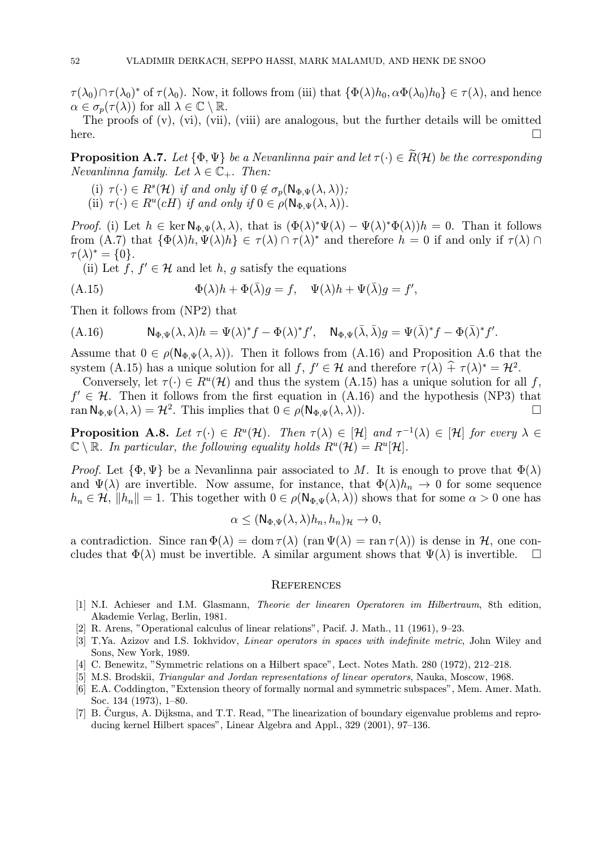$\tau(\lambda_0)\cap \tau(\lambda_0)^*$  of  $\tau(\lambda_0)$ . Now, it follows from (iii) that  $\{\Phi(\lambda)h_0, \alpha\Phi(\lambda_0)h_0\} \in \tau(\lambda)$ , and hence  $\alpha \in \sigma_n(\tau(\lambda))$  for all  $\lambda \in \mathbb{C} \setminus \mathbb{R}$ .

The proofs of  $(v)$ ,  $(vi)$ ,  $(vii)$ ,  $(viii)$  are analogous, but the further details will be omitted here.  $\Box$ 

**Proposition A.7.** Let  $\{\Phi, \Psi\}$  be a Nevanlinna pair and let  $\tau(\cdot) \in \widetilde{R}(\mathcal{H})$  be the corresponding Nevanlinna family. Let  $\lambda \in \mathbb{C}_+$ . Then:

- (i)  $\tau(\cdot) \in R^s(\mathcal{H})$  if and only if  $0 \notin \sigma_p(\mathsf{N}_{\Phi,\Psi}(\lambda,\lambda))$ ;
- (ii)  $\tau(\cdot) \in R^u(cH)$  if and only if  $0 \in \rho(\mathsf{N}_{\Phi,\Psi}(\lambda,\lambda)).$

*Proof.* (i) Let  $h \in \ker \mathbb{N}_{\Phi,\Psi}(\lambda,\lambda)$ , that is  $(\Phi(\lambda))^* \Psi(\lambda) - \Psi(\lambda)^* \Phi(\lambda)$  = 0. Than it follows from (A.7) that  $\{\Phi(\lambda)h, \Psi(\lambda)h\} \in \tau(\lambda) \cap \tau(\lambda)^*$  and therefore  $h = 0$  if and only if  $\tau(\lambda) \cap$  $\tau(\lambda)^* = \{0\}.$ 

(ii) Let f,  $f' \in \mathcal{H}$  and let h, g satisfy the equations

(A.15) 
$$
\Phi(\lambda)h + \Phi(\bar{\lambda})g = f, \quad \Psi(\lambda)h + \Psi(\bar{\lambda})g = f',
$$

Then it follows from (NP2) that

$$
(A.16) \t N_{\Phi,\Psi}(\lambda,\lambda)h = \Psi(\lambda)^*f - \Phi(\lambda)^*f', \quad N_{\Phi,\Psi}(\bar{\lambda},\bar{\lambda})g = \Psi(\bar{\lambda})^*f - \Phi(\bar{\lambda})^*f'.
$$

Assume that  $0 \in \rho(\mathsf{N}_{\Phi,\Psi}(\lambda,\lambda))$ . Then it follows from (A.16) and Proposition A.6 that the system (A.15) has a unique solution for all  $f, f' \in \mathcal{H}$  and therefore  $\tau(\lambda) + \tau(\lambda)^* = \mathcal{H}^2$ .

Conversely, let  $\tau(\cdot) \in R^u(\mathcal{H})$  and thus the system (A.15) has a unique solution for all f,  $f' \in \mathcal{H}$ . Then it follows from the first equation in (A.16) and the hypothesis (NP3) that ran  $\mathbb{N}_{\Phi} \mathbb{U}(\lambda, \lambda) = \mathcal{H}^2$ . This implies that  $0 \in \rho(\mathbb{N}_{\Phi} \mathbb{U}(\lambda, \lambda))$ . ran  $\mathsf{N}_{\Phi,\Psi}(\lambda,\lambda) = \mathcal{H}^2$ . This implies that  $0 \in \rho(\mathsf{N}_{\Phi,\Psi}(\lambda,\lambda)).$ 

**Proposition A.8.** Let  $\tau(\cdot) \in R^u(\mathcal{H})$ . Then  $\tau(\lambda) \in [\mathcal{H}]$  and  $\tau^{-1}(\lambda) \in [\mathcal{H}]$  for every  $\lambda \in$  $\mathbb{C} \setminus \mathbb{R}$ . In particular, the following equality holds  $R^u(\mathcal{H}) = R^u[\mathcal{H}]$ .

*Proof.* Let  $\{\Phi, \Psi\}$  be a Nevanlinna pair associated to M. It is enough to prove that  $\Phi(\lambda)$ and  $\Psi(\lambda)$  are invertible. Now assume, for instance, that  $\Phi(\lambda)h_n \to 0$  for some sequence  $h_n \in \mathcal{H}, \|h_n\| = 1.$  This together with  $0 \in \rho(\mathsf{N}_{\Phi,\Psi}(\lambda,\lambda))$  shows that for some  $\alpha > 0$  one has

$$
\alpha \leq (\mathsf{N}_{\Phi,\Psi}(\lambda,\lambda)h_n,h_n)_{\mathcal{H}} \to 0,
$$

a contradiction. Since ran  $\Phi(\lambda) = \text{dom } \tau(\lambda)$  (ran  $\Psi(\lambda) = \text{ran } \tau(\lambda)$ ) is dense in  $\mathcal{H}$ , one concludes that  $\Phi(\lambda)$  must be invertible. A similar argument shows that  $\Psi(\lambda)$  is invertible. cludes that  $\Phi(\lambda)$  must be invertible. A similar argument shows that  $\Psi(\lambda)$  is invertible.

#### **REFERENCES**

- [1] N.I. Achieser and I.M. Glasmann, Theorie der linearen Operatoren im Hilbertraum, 8th edition, Akademie Verlag, Berlin, 1981.
- [2] R. Arens, "Operational calculus of linear relations", Pacif. J. Math., 11 (1961), 9—23.
- [3] T.Ya. Azizov and I.S. Iokhvidov, Linear operators in spaces with indefinite metric, John Wiley and Sons, New York, 1989.
- [4] C. Benewitz, "Symmetric relations on a Hilbert space", Lect. Notes Math. 280 (1972), 212—218.
- [5] M.S. Brodskii, Triangular and Jordan representations of linear operators, Nauka, Moscow, 1968.
- [6] E.A. Coddington, "Extension theory of formally normal and symmetric subspaces", Mem. Amer. Math. Soc. 134 (1973), 1—80.
- [7] B. Čurgus, A. Dijksma, and T.T. Read, "The linearization of boundary eigenvalue problems and reproducing kernel Hilbert spaces", Linear Algebra and Appl., 329 (2001), 97—136.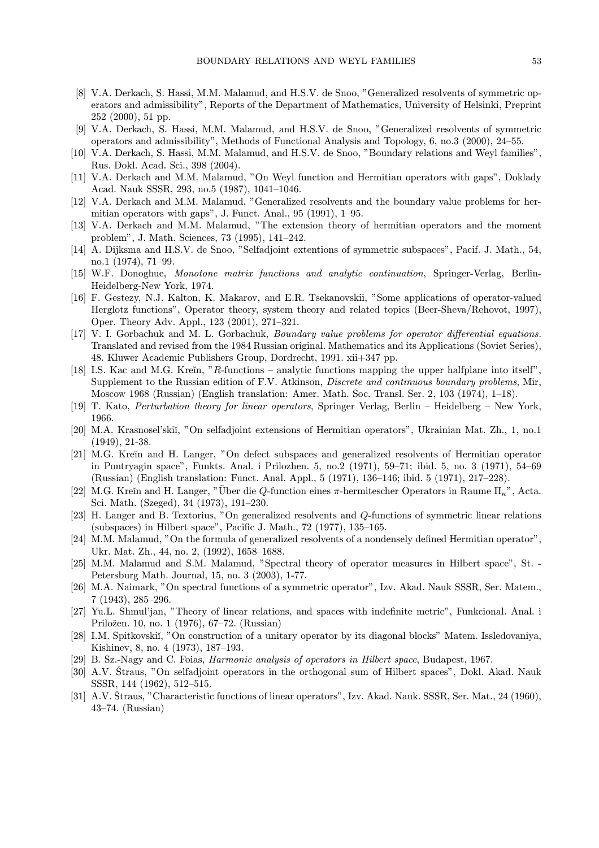- [8] V.A. Derkach, S. Hassi, M.M. Malamud, and H.S.V. de Snoo, "Generalized resolvents of symmetric operators and admissibility", Reports of the Department of Mathematics, University of Helsinki, Preprint 252 (2000), 51 pp.
- [9] V.A. Derkach, S. Hassi, M.M. Malamud, and H.S.V. de Snoo, "Generalized resolvents of symmetric operators and admissibility", Methods of Functional Analysis and Topology, 6, no.3 (2000), 24—55.
- [10] V.A. Derkach, S. Hassi, M.M. Malamud, and H.S.V. de Snoo, "Boundary relations and Weyl families", Rus. Dokl. Acad. Sci., 398 (2004).
- [11] V.A. Derkach and M.M. Malamud, "On Weyl function and Hermitian operators with gaps", Doklady Acad. Nauk SSSR, 293, no.5 (1987), 1041—1046.
- [12] V.A. Derkach and M.M. Malamud, "Generalized resolvents and the boundary value problems for hermitian operators with gaps", J. Funct. Anal., 95 (1991), 1—95.
- [13] V.A. Derkach and M.M. Malamud, "The extension theory of hermitian operators and the moment problem", J. Math. Sciences, 73 (1995), 141—242.
- [14] A. Dijksma and H.S.V. de Snoo, "Selfadjoint extentions of symmetric subspaces", Pacif. J. Math., 54, no.1 (1974), 71—99.
- [15] W.F. Donoghue, Monotone matrix functions and analytic continuation, Springer-Verlag, Berlin-Heidelberg-New York, 1974.
- [16] F. Gestezy, N.J. Kalton, K. Makarov, and E.R. Tsekanovskii, "Some applications of operator-valued Herglotz functions", Operator theory, system theory and related topics (Beer-Sheva/Rehovot, 1997), Oper. Theory Adv. Appl., 123 (2001), 271—321.
- [17] V. I. Gorbachuk and M. L. Gorbachuk, Boundary value problems for operator differential equations. Translated and revised from the 1984 Russian original. Mathematics and its Applications (Soviet Series), 48. Kluwer Academic Publishers Group, Dordrecht, 1991. xii+347 pp.
- [18] I.S. Kac and M.G. Kreĭn, "R-functions analytic functions mapping the upper halfplane into itself", Supplement to the Russian edition of F.V. Atkinson, Discrete and continuous boundary problems, Mir, Moscow 1968 (Russian) (English translation: Amer. Math. Soc. Transl. Ser. 2, 103 (1974), 1—18).
- [19] T. Kato, Perturbation theory for linear operators, Springer Verlag, Berlin Heidelberg New York, 1966.
- [20] M.A. Krasnosel'skiĭ, "On selfadjoint extensions of Hermitian operators", Ukrainian Mat. Zh., 1, no.1 (1949), 21-38.
- [21] M.G. Kreĭn and H. Langer, "On defect subspaces and generalized resolvents of Hermitian operator in Pontryagin space", Funkts. Anal. i Prilozhen. 5, no.2 (1971), 59—71; ibid. 5, no. 3 (1971), 54—69 (Russian) (English translation: Funct. Anal. Appl., 5 (1971), 136—146; ibid. 5 (1971), 217—228).
- [22] M.G. Kreĭn and H. Langer, "Über die Q-function eines π-hermitescher Operators in Raume  $\Pi_{\kappa}$ ", Acta. Sci. Math. (Szeged), 34 (1973), 191—230.
- [23] H. Langer and B. Textorius, "On generalized resolvents and Q-functions of symmetric linear relations (subspaces) in Hilbert space", Pacific J. Math., 72 (1977), 135—165.
- [24] M.M. Malamud, "On the formula of generalized resolvents of a nondensely defined Hermitian operator", Ukr. Mat. Zh., 44, no. 2, (1992), 1658—1688.
- [25] M.M. Malamud and S.M. Malamud, "Spectral theory of operator measures in Hilbert space", St. Petersburg Math. Journal, 15, no. 3 (2003), 1-77.
- [26] M.A. Naimark, "On spectral functions of a symmetric operator", Izv. Akad. Nauk SSSR, Ser. Matem., 7 (1943), 285—296.
- [27] Yu.L. Shmul'jan, "Theory of linear relations, and spaces with indefinite metric", Funkcional. Anal. i Priložen. 10, no. 1 (1976), 67–72. (Russian)
- [28] I.M. Spitkovskiı̆i, "On construction of a unitary operator by its diagonal blocks" Matem. Issledovaniya, Kishinev, 8, no. 4 (1973), 187—193.
- [29] B. Sz.-Nagy and C. Foias, Harmonic analysis of operators in Hilbert space, Budapest, 1967.
- [30] A.V. Straus, "On selfadjoint operators in the orthogonal sum of Hilbert spaces", Dokl. Akad. Nauk SSSR, 144 (1962), 512—515.
- $[31]$  A.V. Straus, "Characteristic functions of linear operators", Izv. Akad. Nauk. SSSR, Ser. Mat., 24 (1960), 43—74. (Russian)